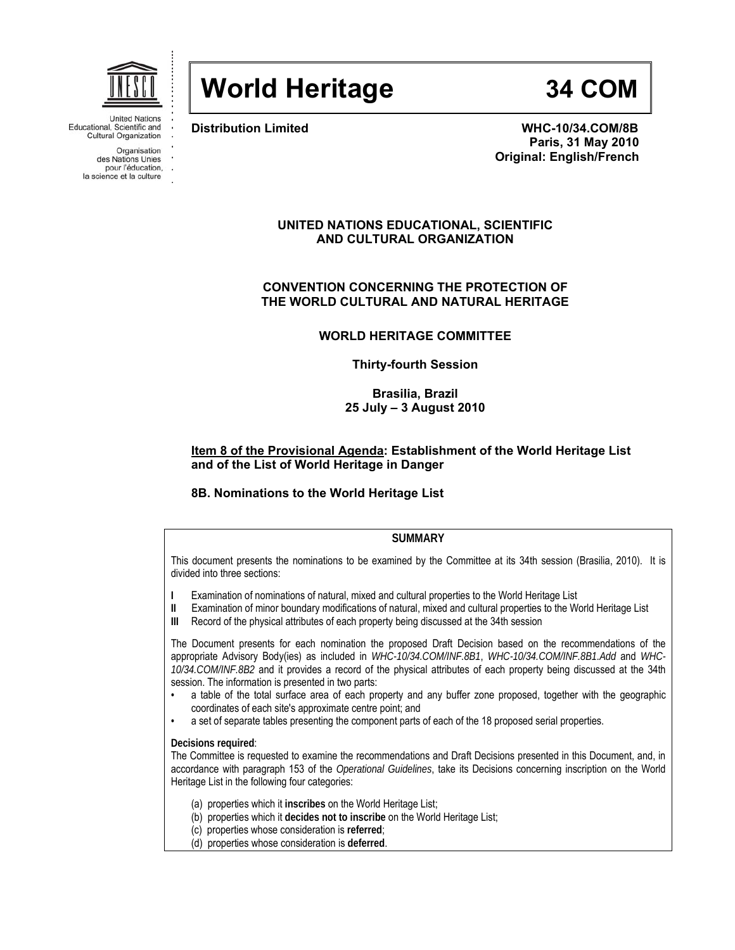

# **World Heritage 34 COM**

Educational, Scientific and **Cultural Organization** 

> Organisation des Nations Unies pour l'éducation, la science et la culture

**Distribution Limited WHC-10/34.COM/8B Paris, 31 May 2010 Original: English/French** 

# **UNITED NATIONS EDUCATIONAL, SCIENTIFIC AND CULTURAL ORGANIZATION**

# **CONVENTION CONCERNING THE PROTECTION OF THE WORLD CULTURAL AND NATURAL HERITAGE**

# **WORLD HERITAGE COMMITTEE**

**Thirty-fourth Session** 

**Brasilia, Brazil 25 July – 3 August 2010** 

# **Item 8 of the Provisional Agenda: Establishment of the World Heritage List and of the List of World Heritage in Danger**

# **8B. Nominations to the World Heritage List**

# **SUMMARY**

This document presents the nominations to be examined by the Committee at its 34th session (Brasilia, 2010). It is divided into three sections:

- **I** Examination of nominations of natural, mixed and cultural properties to the World Heritage List
- **II** Examination of minor boundary modifications of natural, mixed and cultural properties to the World Heritage List
- **III** Record of the physical attributes of each property being discussed at the 34th session

The Document presents for each nomination the proposed Draft Decision based on the recommendations of the appropriate Advisory Body(ies) as included in *WHC-10/34.COM/INF.8B1*, *WHC-10/34.COM/INF.8B1.Add* and *WHC-10/34.COM/INF.8B2* and it provides a record of the physical attributes of each property being discussed at the 34th session. The information is presented in two parts:

- a table of the total surface area of each property and any buffer zone proposed, together with the geographic coordinates of each site's approximate centre point; and
- a set of separate tables presenting the component parts of each of the 18 proposed serial properties.

# **Decisions required**:

The Committee is requested to examine the recommendations and Draft Decisions presented in this Document, and, in accordance with paragraph 153 of the *Operational Guidelines*, take its Decisions concerning inscription on the World Heritage List in the following four categories:

- (a) properties which it **inscribes** on the World Heritage List;
- (b) properties which it **decides not to inscribe** on the World Heritage List;
- (c) properties whose consideration is **referred**;
- (d) properties whose consideration is **deferred**.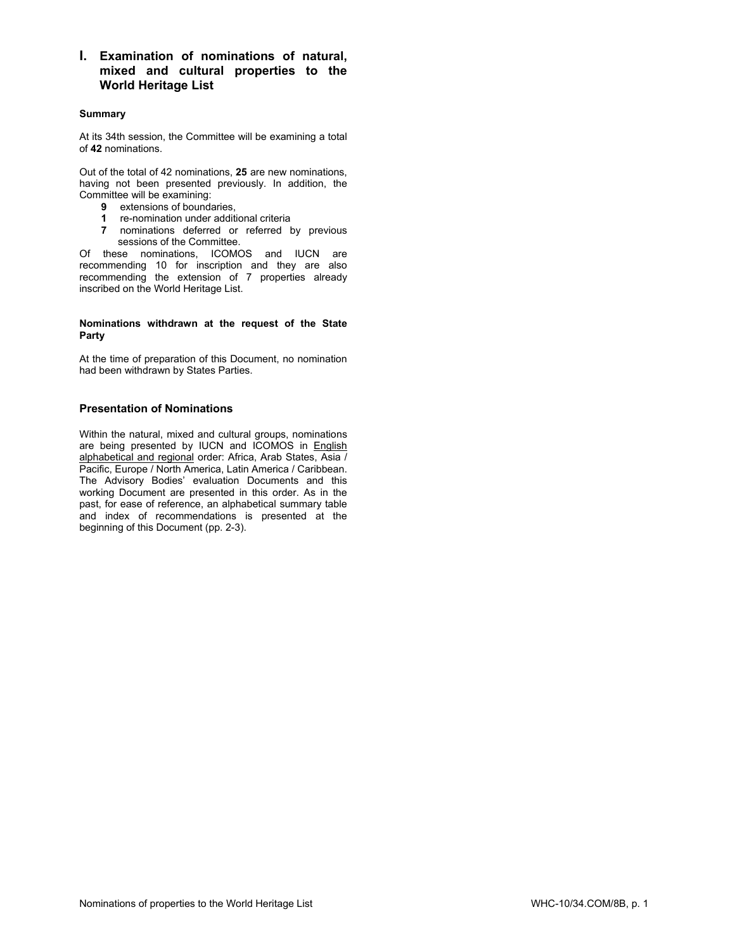**I. Examination of nominations of natural, mixed and cultural properties to the World Heritage List**

# **Summary**

At its 34th session, the Committee will be examining a total of **42** nominations.

Out of the total of 42 nominations, **25** are new nominations, having not been presented previously. In addition, the Committee will be examining:

- **9** extensions of boundaries,
- **1** re-nomination under additional criteria
- **7** nominations deferred or referred by previous sessions of the Committee.

Of these nominations, ICOMOS and IUCN are recommending 10 for inscription and they are also recommending the extension of 7 properties already inscribed on the World Heritage List.

### **Nominations withdrawn at the request of the State Party**

At the time of preparation of this Document, no nomination had been withdrawn by States Parties.

# **Presentation of Nominations**

Within the natural, mixed and cultural groups, nominations are being presented by IUCN and ICOMOS in **English** alphabetical and regional order: Africa, Arab States, Asia / Pacific, Europe / North America, Latin America / Caribbean. The Advisory Bodies' evaluation Documents and this working Document are presented in this order. As in the past, for ease of reference, an alphabetical summary table and index of recommendations is presented at the beginning of this Document (pp. 2-3).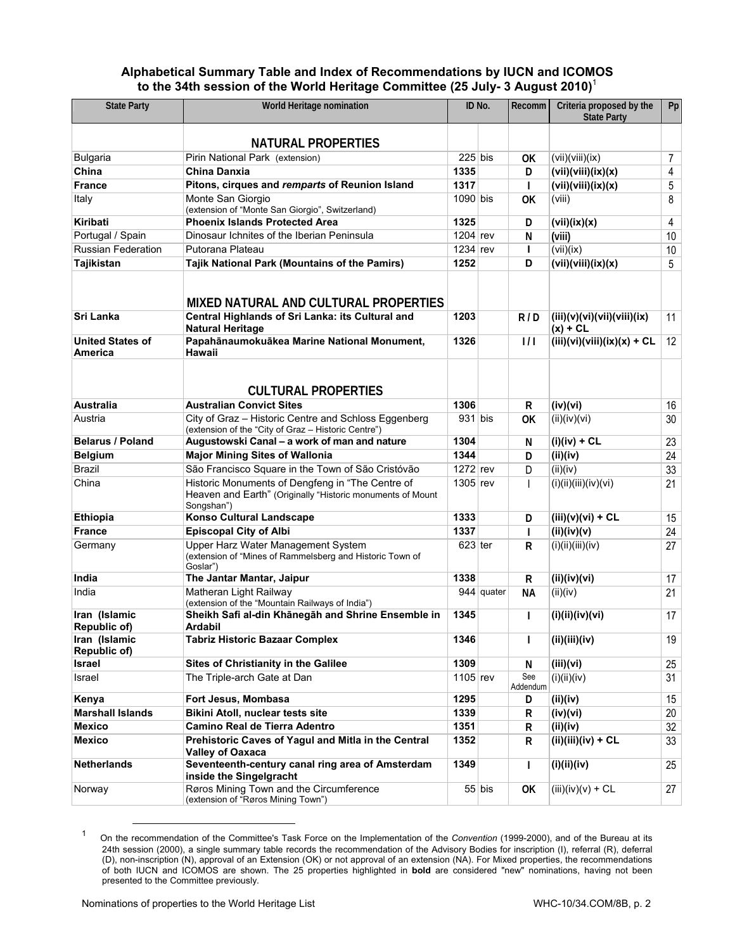# **Alphabetical Summary Table and Index of Recommendations by IUCN and ICOMOS to the 34th session of the World Heritage Committee (25 July- 3 August 2010)**<sup>1</sup>

| <b>State Party</b>                 | World Heritage nomination                                                                                                    |            | ID No.     | <b>Recomm</b>   | Criteria proposed by the<br><b>State Party</b> | Pp             |
|------------------------------------|------------------------------------------------------------------------------------------------------------------------------|------------|------------|-----------------|------------------------------------------------|----------------|
|                                    | <b>NATURAL PROPERTIES</b>                                                                                                    |            |            |                 |                                                |                |
| <b>Bulgaria</b>                    | Pirin National Park (extension)                                                                                              | $225$ bis  |            | OK              | (vii)(viii)(ix)                                | $\overline{7}$ |
| China                              | <b>China Danxia</b>                                                                                                          | 1335       |            | D               | (vii)(viii)(ix)(x)                             | 4              |
| <b>France</b>                      | Pitons, cirques and remparts of Reunion Island                                                                               | 1317       |            | $\mathbf{I}$    | (vii)(viii)(ix)(x)                             | 5              |
| Italy                              | Monte San Giorgio                                                                                                            | $1090$ bis |            |                 | (viii)                                         | 8              |
|                                    | (extension of "Monte San Giorgio", Switzerland)                                                                              |            |            | <b>OK</b>       |                                                |                |
| <b>Kiribati</b>                    | <b>Phoenix Islands Protected Area</b>                                                                                        | 1325       |            | D               | (vii)(ix)(x)                                   | 4              |
| Portugal / Spain                   | Dinosaur Ichnites of the Iberian Peninsula                                                                                   | $1204$ rev |            | N               | (viii)                                         | 10             |
| <b>Russian Federation</b>          | Putorana Plateau                                                                                                             | $1234$ rev |            | L               | (vii)(ix)                                      | 10             |
| <b>Tajikistan</b>                  | Tajik National Park (Mountains of the Pamirs)                                                                                | 1252       |            | D               | (vii)(viii)(ix)(x)                             | 5              |
| <b>Sri Lanka</b>                   | MIXED NATURAL AND CULTURAL PROPERTIES<br>Central Highlands of Sri Lanka: its Cultural and                                    | 1203       |            | R/D             | (iii)(v)(vi)(vii)(viii)(ix)                    | 11             |
|                                    | <b>Natural Heritage</b>                                                                                                      |            |            |                 | $(x) + CL$                                     |                |
| <b>United States of</b><br>America | Papahānaumokuākea Marine National Monument,<br>Hawaii                                                                        | 1326       |            | 1/1             | $(iii)(vi)(viii)(ix)(x) + CL$                  | 12             |
|                                    | <b>CULTURAL PROPERTIES</b>                                                                                                   |            |            |                 |                                                |                |
| <b>Australia</b>                   | <b>Australian Convict Sites</b>                                                                                              | 1306       |            | R               | (iv)(vi)                                       | 16             |
| Austria                            | City of Graz - Historic Centre and Schloss Eggenberg<br>(extension of the "City of Graz - Historic Centre")                  | $931$ bis  |            | <b>OK</b>       | (ii)(iv)(vi)                                   | 30             |
| <b>Belarus / Poland</b>            | Augustowski Canal - a work of man and nature                                                                                 | 1304       |            | N               | $(i)(iv) + CL$                                 | 23             |
| <b>Belgium</b>                     | <b>Major Mining Sites of Wallonia</b>                                                                                        | 1344       |            | D               | (ii)(iv)                                       | 24             |
| <b>Brazil</b>                      | São Francisco Square in the Town of São Cristóvão                                                                            | $1272$ rev |            | D               | (ii)(iv)                                       | 33             |
| China                              | Historic Monuments of Dengfeng in "The Centre of<br>Heaven and Earth" (Originally "Historic monuments of Mount<br>Songshan") | $1305$ rev |            | $\mathbf{I}$    | (i)(ii)(iii)(iv)(vi)                           | 21             |
| <b>Ethiopia</b>                    | <b>Konso Cultural Landscape</b>                                                                                              | 1333       |            | D               | $(iii)(v)(vi) + CL$                            | 15             |
| <b>France</b>                      | <b>Episcopal City of Albi</b>                                                                                                | 1337       |            | $\mathbf{I}$    | (ii)(iv)(v)                                    | 24             |
| Germany                            | Upper Harz Water Management System<br>(extension of "Mines of Rammelsberg and Historic Town of<br>Goslar")                   | $623$ ter  |            | R               | (i)(ii)(iii)(iv)                               | 27             |
| India                              | The Jantar Mantar, Jaipur                                                                                                    | 1338       |            | R               | (ii)(iv)(vi)                                   | 17             |
| India                              | Matheran Light Railway                                                                                                       |            | 944 quater | NА              | (ii)(iv)                                       | 21             |
| Iran (Islamic<br>Republic of)      | (extension of the "Mountain Railways of India")<br>Sheikh Safi al-din Khānegāh and Shrine Ensemble in<br>Ardabil             | 1345       |            | T               | (i)(ii)(iv)(vi)                                | 17             |
| Iran (Islamic<br>Republic of)      | <b>Tabriz Historic Bazaar Complex</b>                                                                                        | 1346       |            | $\mathbf{I}$    | (ii)(iii)(iv)                                  | 19             |
| Israel                             | Sites of Christianity in the Galilee                                                                                         | 1309       |            | N               | (iii)(vi)                                      | 25             |
| Israel                             | The Triple-arch Gate at Dan                                                                                                  | $1105$ rev |            | See<br>Addendum | (i)(ii)(iv)                                    | 31             |
| Kenya                              | Fort Jesus, Mombasa                                                                                                          | 1295       |            | D               | (ii)(iv)                                       | 15             |
| <b>Marshall Islands</b>            | Bikini Atoll, nuclear tests site                                                                                             | 1339       |            | R               | (iv)(vi)                                       | 20             |
| <b>Mexico</b>                      | Camino Real de Tierra Adentro                                                                                                | 1351       |            | R               | (ii)(iv)                                       | 32             |
| <b>Mexico</b>                      | Prehistoric Caves of Yagul and Mitla in the Central<br><b>Valley of Oaxaca</b>                                               | 1352       |            | R               | $(ii)(iii)(iv) + CL$                           | 33             |
| <b>Netherlands</b>                 | Seventeenth-century canal ring area of Amsterdam<br>inside the Singelgracht                                                  | 1349       |            | $\mathsf{I}$    | (i)(ii)(iv)                                    | 25             |
| Norway                             | Røros Mining Town and the Circumference<br>(extension of "Røros Mining Town")                                                |            | $55$ bis   | OK              | $(iii)(iv)(v) + CL$                            | 27             |

<sup>1</sup> On the recommendation of the Committee's Task Force on the Implementation of the *Convention* (1999-2000), and of the Bureau at its 24th session (2000), a single summary table records the recommendation of the Advisory Bodies for inscription (I), referral (R), deferral (D), non-inscription (N), approval of an Extension (OK) or not approval of an extension (NA). For Mixed properties, the recommendations of both IUCN and ICOMOS are shown. The 25 properties highlighted in **bold** are considered "new" nominations, having not been presented to the Committee previously.

 $\overline{a}$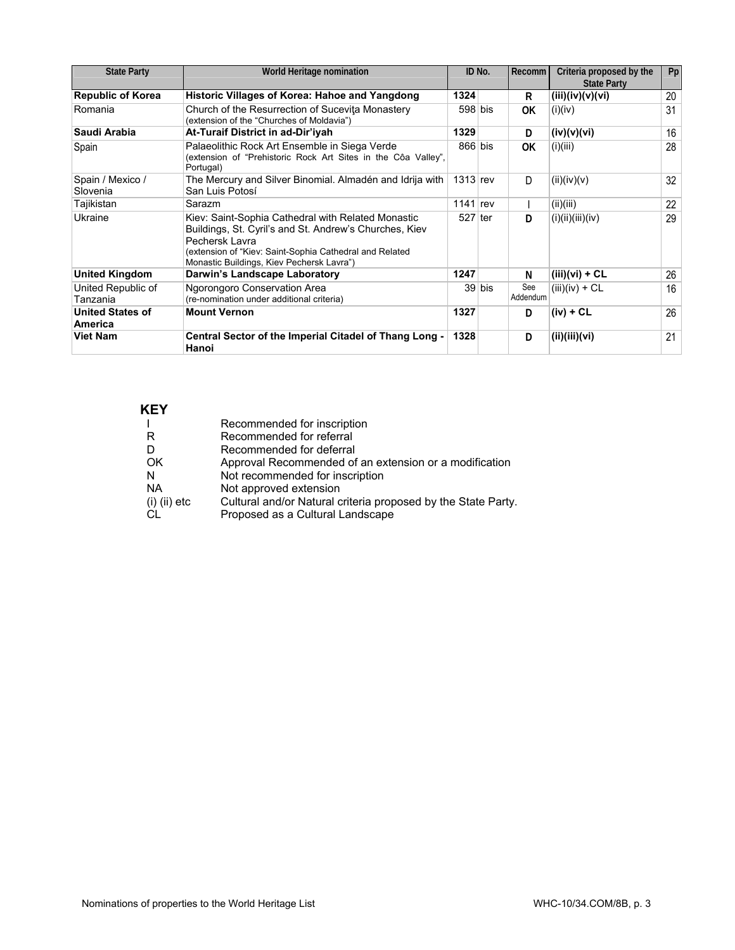| <b>State Party</b>                 | World Heritage nomination                                                                                                                                                                                                              |            | ID No.   | Recomm          | Criteria proposed by the<br><b>State Party</b> | Pp |
|------------------------------------|----------------------------------------------------------------------------------------------------------------------------------------------------------------------------------------------------------------------------------------|------------|----------|-----------------|------------------------------------------------|----|
| <b>Republic of Korea</b>           | Historic Villages of Korea: Hahoe and Yangdong                                                                                                                                                                                         | 1324       |          | R               | (iii)(iv)(v)(vi)                               | 20 |
| Romania                            | Church of the Resurrection of Sucevita Monastery<br>(extension of the "Churches of Moldavia")                                                                                                                                          | $598$ bis  |          | 0K              | (i)(iv)                                        | 31 |
| Saudi Arabia                       | At-Turaif District in ad-Dir'iyah                                                                                                                                                                                                      | 1329       |          | D               | (iv)(v)(vi)                                    | 16 |
| Spain                              | Palaeolithic Rock Art Ensemble in Siega Verde<br>(extension of "Prehistoric Rock Art Sites in the Côa Valley",<br>Portugal)                                                                                                            | $866$ bis  |          | 0K              | (i)(iii)                                       | 28 |
| Spain / Mexico /<br>Slovenia       | The Mercury and Silver Binomial. Almadén and Idrija with<br>San Luis Potosí                                                                                                                                                            | $1313$ rev |          | D               | (ii)(iv)(v)                                    | 32 |
| Tajikistan                         | Sarazm                                                                                                                                                                                                                                 | $1141$ rev |          |                 | (ii)(iii)                                      | 22 |
| Ukraine                            | Kiev: Saint-Sophia Cathedral with Related Monastic<br>Buildings, St. Cyril's and St. Andrew's Churches, Kiev<br>Pechersk Lavra<br>(extension of "Kiev: Saint-Sophia Cathedral and Related<br>Monastic Buildings, Kiev Pechersk Lavra") | $527$ ter  |          | D               | (i)(ii)(iii)(iv)                               | 29 |
| <b>United Kingdom</b>              | Darwin's Landscape Laboratory                                                                                                                                                                                                          | 1247       |          | N               | $(iii)(vi) + CL$                               | 26 |
| United Republic of<br>Tanzania     | Ngorongoro Conservation Area<br>(re-nomination under additional criteria)                                                                                                                                                              |            | $39$ bis | See<br>Addendum | $(iii)(iv) + CL$                               | 16 |
| <b>United States of</b><br>America | <b>Mount Vernon</b>                                                                                                                                                                                                                    | 1327       |          | D               | $(iv) + CL$                                    | 26 |
| <b>Viet Nam</b>                    | Central Sector of the Imperial Citadel of Thang Long -<br>Hanoi                                                                                                                                                                        | 1328       |          | D               | (ii)(iii)(vi)                                  | 21 |

# **KEY**

|                | Recommended for inscription                                   |
|----------------|---------------------------------------------------------------|
| R              | Recommended for referral                                      |
| D              | Recommended for deferral                                      |
| <b>OK</b>      | Approval Recommended of an extension or a modification        |
| N              | Not recommended for inscription                               |
| <b>NA</b>      | Not approved extension                                        |
| $(i)$ (ii) etc | Cultural and/or Natural criteria proposed by the State Party. |
| CL             | Proposed as a Cultural Landscape                              |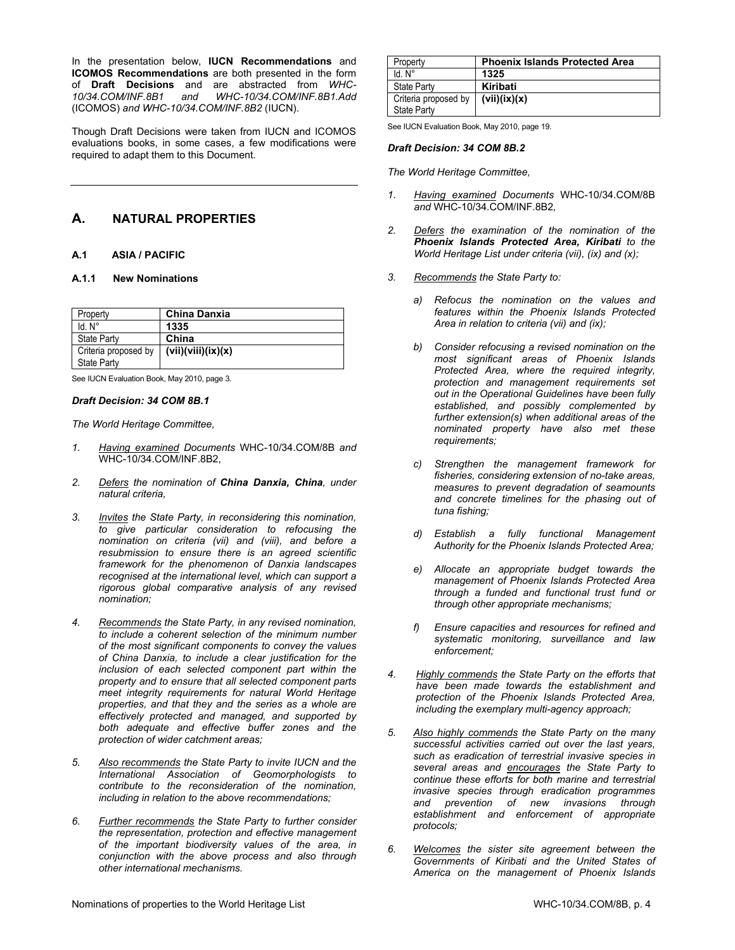In the presentation below, **IUCN Recommendations** and **ICOMOS Recommendations** are both presented in the form of **Draft Decisions** and are abstracted from *WHC-10/34.COM/INF.8B1 and WHC-10/34.COM/INF.8B1.Add*  (ICOMOS) *and WHC-10/34.COM/INF.8B2* (IUCN).

Though Draft Decisions were taken from IUCN and ICOMOS evaluations books, in some cases, a few modifications were required to adapt them to this Document.

# **A. NATURAL PROPERTIES**

# **A.1 ASIA / PACIFIC**

# **A.1.1 New Nominations**

| Property             | China Danxia       |
|----------------------|--------------------|
| ld N°                | 1335               |
| <b>State Party</b>   | China              |
| Criteria proposed by | (vii)(viii)(ix)(x) |
| <b>State Party</b>   |                    |

See IUCN Evaluation Book, May 2010, page 3.

#### *Draft Decision: 34 COM 8B.1*

*The World Heritage Committee,* 

- *1. Having examined Documents* WHC-10/34.COM/8B *and*  WHC-10/34.COM/INF.8B2,
- *2. Defers the nomination of China Danxia, China, under natural criteria,*
- *3. Invites the State Party, in reconsidering this nomination, to give particular consideration to refocusing the nomination on criteria (vii) and (viii), and before a resubmission to ensure there is an agreed scientific framework for the phenomenon of Danxia landscapes recognised at the international level, which can support a rigorous global comparative analysis of any revised nomination;*
- *4. Recommends the State Party, in any revised nomination, to include a coherent selection of the minimum number of the most significant components to convey the values of China Danxia, to include a clear justification for the inclusion of each selected component part within the property and to ensure that all selected component parts meet integrity requirements for natural World Heritage properties, and that they and the series as a whole are effectively protected and managed, and supported by both adequate and effective buffer zones and the protection of wider catchment areas;*
- *5. Also recommends the State Party to invite IUCN and the International Association of Geomorphologists to contribute to the reconsideration of the nomination, including in relation to the above recommendations;*
- *6. Further recommends the State Party to further consider the representation, protection and effective management of the important biodiversity values of the area, in conjunction with the above process and also through other international mechanisms.*

| Property                                   | <b>Phoenix Islands Protected Area</b> |
|--------------------------------------------|---------------------------------------|
| $Id$ $N^{\circ}$                           | 1325                                  |
| State Party                                | Kiribati                              |
| Criteria proposed by<br><b>State Party</b> | (vii)(ix)(x)                          |

See IUCN Evaluation Book, May 2010, page 19.

### *Draft Decision: 34 COM 8B.2*

- *1. Having examined Documents* WHC-10/34.COM/8B *and* WHC-10/34.COM/INF.8B2*,*
- *2. Defers the examination of the nomination of the Phoenix Islands Protected Area, Kiribati to the World Heritage List under criteria (vii), (ix) and (x);*
- *3. Recommends the State Party to:* 
	- *a) Refocus the nomination on the values and features within the Phoenix Islands Protected Area in relation to criteria (vii) and (ix);*
	- *b) Consider refocusing a revised nomination on the most significant areas of Phoenix Islands Protected Area, where the required integrity, protection and management requirements set out in the Operational Guidelines have been fully established, and possibly complemented by further extension(s) when additional areas of the nominated property have also met these requirements;*
	- *c) Strengthen the management framework for fisheries, considering extension of no-take areas, measures to prevent degradation of seamounts and concrete timelines for the phasing out of tuna fishing;*
	- *d) Establish a fully functional Management Authority for the Phoenix Islands Protected Area;*
	- *e) Allocate an appropriate budget towards the management of Phoenix Islands Protected Area through a funded and functional trust fund or through other appropriate mechanisms;*
	- *f) Ensure capacities and resources for refined and systematic monitoring, surveillance and law enforcement;*
- *4. Highly commends the State Party on the efforts that have been made towards the establishment and protection of the Phoenix Islands Protected Area, including the exemplary multi-agency approach;*
- *5. Also highly commends the State Party on the many successful activities carried out over the last years, such as eradication of terrestrial invasive species in several areas and encourages the State Party to continue these efforts for both marine and terrestrial invasive species through eradication programmes and prevention of new invasions through establishment and enforcement of appropriate protocols;*
- *6. Welcomes the sister site agreement between the Governments of Kiribati and the United States of America on the management of Phoenix Islands*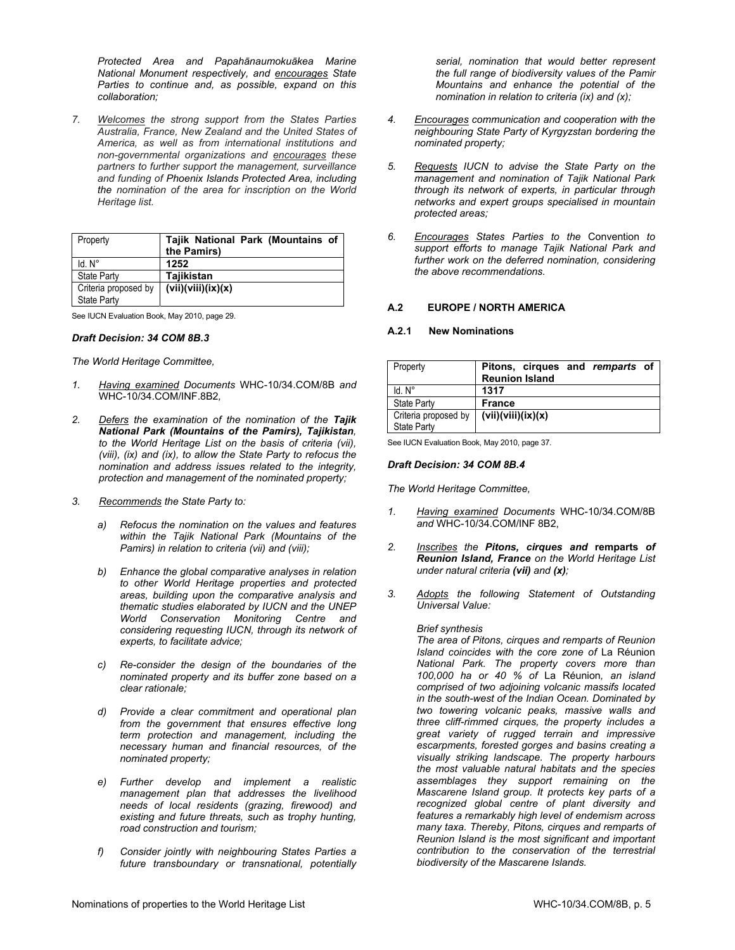*Protected Area and Papahānaumokuākea Marine National Monument respectively, and encourages State Parties to continue and, as possible, expand on this collaboration;* 

*7. Welcomes the strong support from the States Parties Australia, France, New Zealand and the United States of America, as well as from international institutions and non-governmental organizations and encourages these partners to further support the management, surveillance and funding of Phoenix Islands Protected Area, including the nomination of the area for inscription on the World Heritage list.* 

| Property             | Tajik National Park (Mountains of<br>the Pamirs) |
|----------------------|--------------------------------------------------|
| $Id. N^\circ$        | 1252                                             |
| <b>State Party</b>   | Tajikistan                                       |
| Criteria proposed by | (vii)(viii)(ix)(x)                               |
| <b>State Party</b>   |                                                  |

See IUCN Evaluation Book, May 2010, page 29.

# *Draft Decision: 34 COM 8B.3*

*The World Heritage Committee,* 

- *1. Having examined Documents* WHC-10/34.COM/8B *and*  WHC-10/34.COM/INF.8B2*,*
- *2. Defers the examination of the nomination of the Tajik National Park (Mountains of the Pamirs), Tajikistan, to the World Heritage List on the basis of criteria (vii), (viii), (ix) and (ix), to allow the State Party to refocus the nomination and address issues related to the integrity, protection and management of the nominated property;*
- *3. Recommends the State Party to:* 
	- *a) Refocus the nomination on the values and features within the Tajik National Park (Mountains of the Pamirs) in relation to criteria (vii) and (viii);*
	- *b) Enhance the global comparative analyses in relation to other World Heritage properties and protected areas, building upon the comparative analysis and thematic studies elaborated by IUCN and the UNEP World Conservation Monitoring Centre and considering requesting IUCN, through its network of experts, to facilitate advice;*
	- *c) Re-consider the design of the boundaries of the nominated property and its buffer zone based on a clear rationale;*
	- *d) Provide a clear commitment and operational plan from the government that ensures effective long term protection and management, including the necessary human and financial resources, of the nominated property;*
	- *e) Further develop and implement a realistic management plan that addresses the livelihood needs of local residents (grazing, firewood) and existing and future threats, such as trophy hunting, road construction and tourism;*
	- *f) Consider jointly with neighbouring States Parties a future transboundary or transnational, potentially*

*serial, nomination that would better represent the full range of biodiversity values of the Pamir Mountains and enhance the potential of the nomination in relation to criteria (ix) and (x);* 

- *4. Encourages communication and cooperation with the neighbouring State Party of Kyrgyzstan bordering the nominated property;*
- *5. Requests IUCN to advise the State Party on the management and nomination of Tajik National Park through its network of experts, in particular through networks and expert groups specialised in mountain protected areas;*
- *6. Encourages States Parties to the* Convention *to support efforts to manage Tajik National Park and further work on the deferred nomination, considering the above recommendations.*

# **A.2 EUROPE / NORTH AMERICA**

#### **A.2.1 New Nominations**

| Property             | Pitons, cirques and remparts of |
|----------------------|---------------------------------|
|                      | <b>Reunion Island</b>           |
| $Id. N^\circ$        | 1317                            |
| <b>State Party</b>   | <b>France</b>                   |
| Criteria proposed by | (vii)(viii)(ix)(x)              |
| <b>State Party</b>   |                                 |

See IUCN Evaluation Book, May 2010, page 37.

#### *Draft Decision: 34 COM 8B.4*

*The World Heritage Committee,* 

- *1. Having examined Documents* WHC-10/34.COM/8B *and* WHC-10/34.COM/INF 8B2,
- *2. Inscribes the Pitons, cirques and* **remparts** *of Reunion Island, France on the World Heritage List under natural criteria (vii) and (x);*
- *3. Adopts the following Statement of Outstanding Universal Value:*

#### *Brief synthesis*

*The area of Pitons, cirques and remparts of Reunion Island coincides with the core zone of* La Réunion *National Park. The property covers more than 100,000 ha or 40 % of* La Réunion*, an island comprised of two adjoining volcanic massifs located in the south-west of the Indian Ocean. Dominated by two towering volcanic peaks, massive walls and three cliff-rimmed cirques, the property includes a great variety of rugged terrain and impressive escarpments, forested gorges and basins creating a visually striking landscape. The property harbours the most valuable natural habitats and the species assemblages they support remaining on the Mascarene Island group. It protects key parts of a recognized global centre of plant diversity and features a remarkably high level of endemism across many taxa. Thereby, Pitons, cirques and remparts of Reunion Island is the most significant and important contribution to the conservation of the terrestrial biodiversity of the Mascarene Islands.*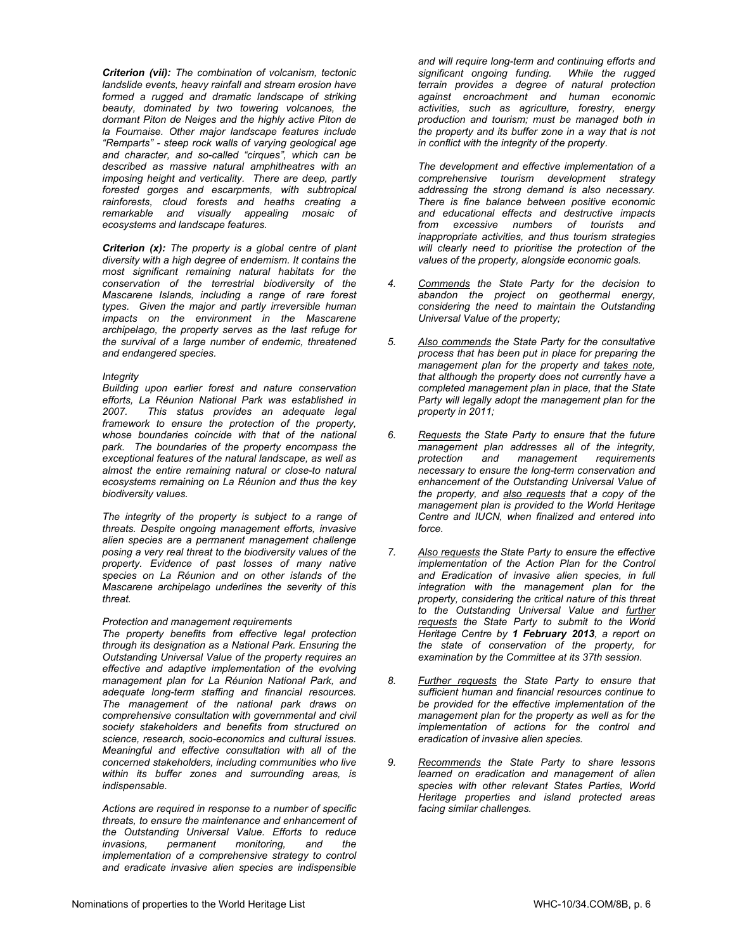*Criterion (vii): The combination of volcanism, tectonic landslide events, heavy rainfall and stream erosion have formed a rugged and dramatic landscape of striking beauty, dominated by two towering volcanoes, the dormant Piton de Neiges and the highly active Piton de la Fournaise. Other major landscape features include "Remparts" - steep rock walls of varying geological age and character, and so-called "cirques", which can be described as massive natural amphitheatres with an imposing height and verticality. There are deep, partly forested gorges and escarpments, with subtropical rainforests, cloud forests and heaths creating a remarkable and visually appealing mosaic of ecosystems and landscape features.* 

*Criterion (x): The property is a global centre of plant diversity with a high degree of endemism. It contains the most significant remaining natural habitats for the conservation of the terrestrial biodiversity of the Mascarene Islands, including a range of rare forest types. Given the major and partly irreversible human impacts on the environment in the Mascarene archipelago, the property serves as the last refuge for the survival of a large number of endemic, threatened and endangered species.* 

### *Integrity*

*Building upon earlier forest and nature conservation efforts, La Réunion National Park was established in 2007. This status provides an adequate legal framework to ensure the protection of the property, whose boundaries coincide with that of the national park. The boundaries of the property encompass the exceptional features of the natural landscape, as well as almost the entire remaining natural or close-to natural ecosystems remaining on La Réunion and thus the key biodiversity values.* 

*The integrity of the property is subject to a range of threats. Despite ongoing management efforts, invasive alien species are a permanent management challenge posing a very real threat to the biodiversity values of the property. Evidence of past losses of many native species on La Réunion and on other islands of the Mascarene archipelago underlines the severity of this threat.* 

# *Protection and management requirements*

*The property benefits from effective legal protection through its designation as a National Park. Ensuring the Outstanding Universal Value of the property requires an effective and adaptive implementation of the evolving management plan for La Réunion National Park, and adequate long-term staffing and financial resources. The management of the national park draws on comprehensive consultation with governmental and civil society stakeholders and benefits from structured on science, research, socio-economics and cultural issues. Meaningful and effective consultation with all of the concerned stakeholders, including communities who live within its buffer zones and surrounding areas, is indispensable.* 

*Actions are required in response to a number of specific threats, to ensure the maintenance and enhancement of the Outstanding Universal Value. Efforts to reduce invasions, permanent monitoring, and implementation of a comprehensive strategy to control and eradicate invasive alien species are indispensible* 

*and will require long-term and continuing efforts and significant ongoing funding. While the rugged terrain provides a degree of natural protection against encroachment and human economic activities, such as agriculture, forestry, energy production and tourism; must be managed both in the property and its buffer zone in a way that is not in conflict with the integrity of the property.* 

*The development and effective implementation of a comprehensive tourism development strategy addressing the strong demand is also necessary. There is fine balance between positive economic and educational effects and destructive impacts from excessive numbers of tourists and inappropriate activities, and thus tourism strategies will clearly need to prioritise the protection of the values of the property, alongside economic goals.* 

- *4. Commends the State Party for the decision to abandon the project on geothermal energy, considering the need to maintain the Outstanding Universal Value of the property;*
- *5. Also commends the State Party for the consultative process that has been put in place for preparing the management plan for the property and takes note, that although the property does not currently have a completed management plan in place, that the State Party will legally adopt the management plan for the property in 2011;*
- *6. Requests the State Party to ensure that the future management plan addresses all of the integrity, protection and management requirements necessary to ensure the long-term conservation and enhancement of the Outstanding Universal Value of the property, and also requests that a copy of the management plan is provided to the World Heritage Centre and IUCN, when finalized and entered into force.*
- *7. Also requests the State Party to ensure the effective implementation of the Action Plan for the Control and Eradication of invasive alien species, in full integration with the management plan for the property, considering the critical nature of this threat to the Outstanding Universal Value and further requests the State Party to submit to the World Heritage Centre by 1 February 2013, a report on the state of conservation of the property, for examination by the Committee at its 37th session.*
- *8. Further requests the State Party to ensure that sufficient human and financial resources continue to be provided for the effective implementation of the management plan for the property as well as for the implementation of actions for the control and eradication of invasive alien species.*
- *9. Recommends the State Party to share lessons learned on eradication and management of alien species with other relevant States Parties, World Heritage properties and island protected areas facing similar challenges.*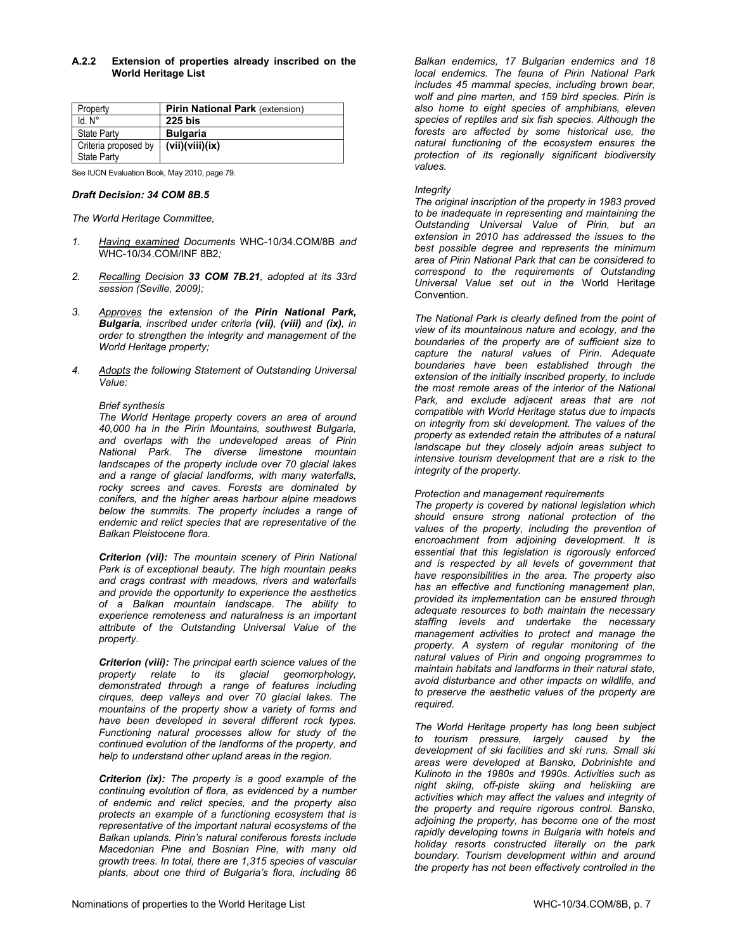# **A.2.2 Extension of properties already inscribed on the World Heritage List**

| Property             | <b>Pirin National Park (extension)</b> |
|----------------------|----------------------------------------|
| Id. N <sup>o</sup>   | <b>225 bis</b>                         |
| <b>State Party</b>   | <b>Bulgaria</b>                        |
| Criteria proposed by | (vii)(viii)(ix)                        |
| <b>State Party</b>   |                                        |

See IUCN Evaluation Book, May 2010, page 79.

#### *Draft Decision: 34 COM 8B.5*

*The World Heritage Committee,* 

- *1. Having examined Documents* WHC-10/34.COM/8B *and* WHC-10/34.COM/INF 8B2*;*
- *2. Recalling Decision 33 COM 7B.21, adopted at its 33rd session (Seville, 2009);*
- *3. Approves the extension of the Pirin National Park, Bulgaria, inscribed under criteria (vii), (viii) and (ix), in order to strengthen the integrity and management of the World Heritage property;*
- *4. Adopts the following Statement of Outstanding Universal Value:*

#### *Brief synthesis*

*The World Heritage property covers an area of around 40,000 ha in the Pirin Mountains, southwest Bulgaria, and overlaps with the undeveloped areas of Pirin National Park. The diverse limestone mountain landscapes of the property include over 70 glacial lakes and a range of glacial landforms, with many waterfalls, rocky screes and caves. Forests are dominated by conifers, and the higher areas harbour alpine meadows below the summits. The property includes a range of endemic and relict species that are representative of the Balkan Pleistocene flora.* 

*Criterion (vii): The mountain scenery of Pirin National Park is of exceptional beauty. The high mountain peaks and crags contrast with meadows, rivers and waterfalls and provide the opportunity to experience the aesthetics of a Balkan mountain landscape. The ability to experience remoteness and naturalness is an important attribute of the Outstanding Universal Value of the property.* 

*Criterion (viii): The principal earth science values of the property relate to its glacial geomorphology, demonstrated through a range of features including cirques, deep valleys and over 70 glacial lakes. The mountains of the property show a variety of forms and have been developed in several different rock types. Functioning natural processes allow for study of the continued evolution of the landforms of the property, and help to understand other upland areas in the region.* 

*Criterion (ix): The property is a good example of the continuing evolution of flora, as evidenced by a number of endemic and relict species, and the property also protects an example of a functioning ecosystem that is representative of the important natural ecosystems of the Balkan uplands. Pirin's natural coniferous forests include Macedonian Pine and Bosnian Pine, with many old growth trees. In total, there are 1,315 species of vascular plants, about one third of Bulgaria's flora, including 86* 

*Balkan endemics, 17 Bulgarian endemics and 18 local endemics. The fauna of Pirin National Park includes 45 mammal species, including brown bear, wolf and pine marten, and 159 bird species. Pirin is also home to eight species of amphibians, eleven species of reptiles and six fish species. Although the forests are affected by some historical use, the natural functioning of the ecosystem ensures the protection of its regionally significant biodiversity values.* 

### *Integrity*

*The original inscription of the property in 1983 proved to be inadequate in representing and maintaining the Outstanding Universal Value of Pirin, but an extension in 2010 has addressed the issues to the best possible degree and represents the minimum area of Pirin National Park that can be considered to correspond to the requirements of Outstanding Universal Value set out in the* World Heritage Convention.

*The National Park is clearly defined from the point of view of its mountainous nature and ecology, and the boundaries of the property are of sufficient size to capture the natural values of Pirin. Adequate boundaries have been established through the extension of the initially inscribed property, to include the most remote areas of the interior of the National Park, and exclude adjacent areas that are not compatible with World Heritage status due to impacts on integrity from ski development. The values of the property as extended retain the attributes of a natural landscape but they closely adjoin areas subject to intensive tourism development that are a risk to the integrity of the property.* 

#### *Protection and management requirements*

*The property is covered by national legislation which should ensure strong national protection of the values of the property, including the prevention of encroachment from adjoining development. It is essential that this legislation is rigorously enforced and is respected by all levels of government that have responsibilities in the area. The property also has an effective and functioning management plan, provided its implementation can be ensured through adequate resources to both maintain the necessary staffing levels and undertake the necessary management activities to protect and manage the property. A system of regular monitoring of the natural values of Pirin and ongoing programmes to maintain habitats and landforms in their natural state, avoid disturbance and other impacts on wildlife, and to preserve the aesthetic values of the property are required.* 

*The World Heritage property has long been subject to tourism pressure, largely caused by the development of ski facilities and ski runs. Small ski areas were developed at Bansko, Dobrinishte and Kulinoto in the 1980s and 1990s. Activities such as night skiing, off-piste skiing and heliskiing are activities which may affect the values and integrity of the property and require rigorous control. Bansko, adjoining the property, has become one of the most rapidly developing towns in Bulgaria with hotels and holiday resorts constructed literally on the park boundary. Tourism development within and around the property has not been effectively controlled in the*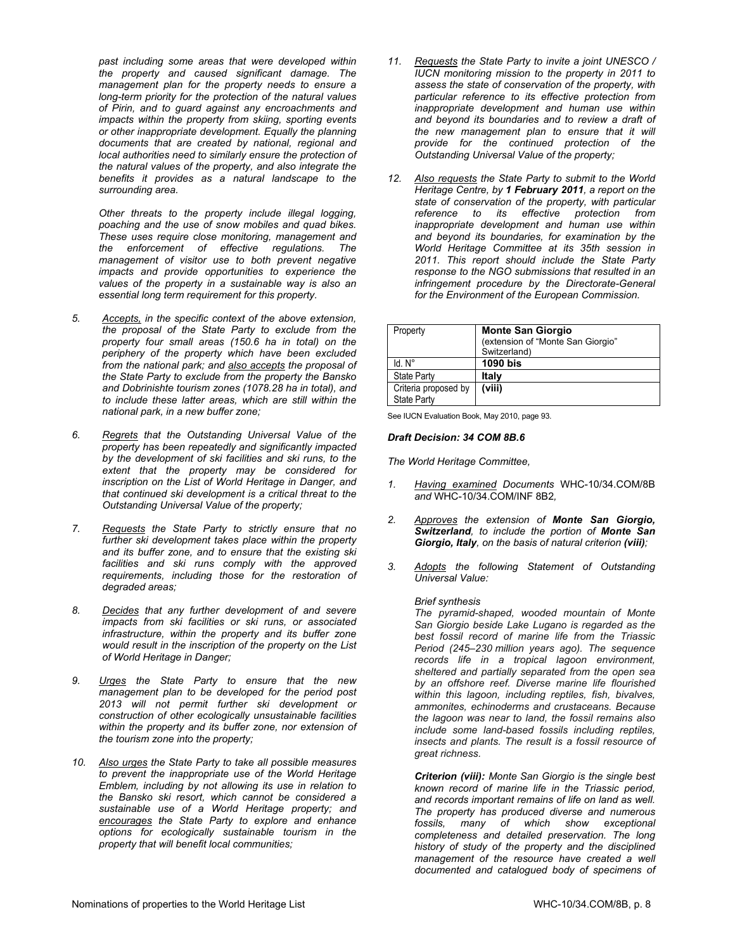*past including some areas that were developed within the property and caused significant damage. The management plan for the property needs to ensure a long-term priority for the protection of the natural values of Pirin, and to guard against any encroachments and impacts within the property from skiing, sporting events or other inappropriate development. Equally the planning documents that are created by national, regional and local authorities need to similarly ensure the protection of the natural values of the property, and also integrate the benefits it provides as a natural landscape to the surrounding area.* 

*Other threats to the property include illegal logging, poaching and the use of snow mobiles and quad bikes. These uses require close monitoring, management and the enforcement of effective regulations. The management of visitor use to both prevent negative impacts and provide opportunities to experience the values of the property in a sustainable way is also an essential long term requirement for this property.* 

- *5. Accepts, in the specific context of the above extension, the proposal of the State Party to exclude from the property four small areas (150.6 ha in total) on the periphery of the property which have been excluded from the national park; and also accepts the proposal of the State Party to exclude from the property the Bansko and Dobrinishte tourism zones (1078.28 ha in total), and to include these latter areas, which are still within the national park, in a new buffer zone;*
- *6. Regrets that the Outstanding Universal Value of the property has been repeatedly and significantly impacted by the development of ski facilities and ski runs, to the extent that the property may be considered for inscription on the List of World Heritage in Danger, and that continued ski development is a critical threat to the Outstanding Universal Value of the property;*
- *7. Requests the State Party to strictly ensure that no further ski development takes place within the property and its buffer zone, and to ensure that the existing ski facilities and ski runs comply with the approved requirements, including those for the restoration of degraded areas;*
- *8. Decides that any further development of and severe impacts from ski facilities or ski runs, or associated infrastructure, within the property and its buffer zone would result in the inscription of the property on the List of World Heritage in Danger;*
- *9. Urges the State Party to ensure that the new management plan to be developed for the period post 2013 will not permit further ski development or construction of other ecologically unsustainable facilities within the property and its buffer zone, nor extension of the tourism zone into the property;*
- *10. Also urges the State Party to take all possible measures to prevent the inappropriate use of the World Heritage Emblem, including by not allowing its use in relation to the Bansko ski resort, which cannot be considered a sustainable use of a World Heritage property; and encourages the State Party to explore and enhance options for ecologically sustainable tourism in the property that will benefit local communities;*
- *11. Requests the State Party to invite a joint UNESCO / IUCN monitoring mission to the property in 2011 to assess the state of conservation of the property, with particular reference to its effective protection from inappropriate development and human use within and beyond its boundaries and to review a draft of the new management plan to ensure that it will provide for the continued protection of the Outstanding Universal Value of the property;*
- *12. Also requests the State Party to submit to the World Heritage Centre, by 1 February 2011, a report on the state of conservation of the property, with particular reference to its effective protection from inappropriate development and human use within and beyond its boundaries, for examination by the World Heritage Committee at its 35th session in 2011. This report should include the State Party response to the NGO submissions that resulted in an infringement procedure by the Directorate-General for the Environment of the European Commission.*

| Property             | <b>Monte San Giorgio</b><br>(extension of "Monte San Giorgio"<br>Switzerland) |
|----------------------|-------------------------------------------------------------------------------|
| ld N°                | 1090 bis                                                                      |
| <b>State Party</b>   | Italy                                                                         |
| Criteria proposed by | (viii)                                                                        |
| State Party          |                                                                               |

See IUCN Evaluation Book, May 2010, page 93.

#### *Draft Decision: 34 COM 8B.6*

*The World Heritage Committee,* 

- *1. Having examined Documents* WHC-10/34.COM/8B *and* WHC-10/34.COM/INF 8B2*,*
- *2. Approves the extension of Monte San Giorgio, Switzerland, to include the portion of Monte San Giorgio, Italy, on the basis of natural criterion (viii);*
- *3. Adopts the following Statement of Outstanding Universal Value:*

#### *Brief synthesis*

*The pyramid-shaped, wooded mountain of Monte San Giorgio beside Lake Lugano is regarded as the best fossil record of marine life from the Triassic Period (245–230 million years ago). The sequence records life in a tropical lagoon environment, sheltered and partially separated from the open sea by an offshore reef. Diverse marine life flourished within this lagoon, including reptiles, fish, bivalves, ammonites, echinoderms and crustaceans. Because the lagoon was near to land, the fossil remains also include some land-based fossils including reptiles, insects and plants. The result is a fossil resource of great richness.*

*Criterion (viii): Monte San Giorgio is the single best known record of marine life in the Triassic period, and records important remains of life on land as well. The property has produced diverse and numerous fossils, many of which show exceptional completeness and detailed preservation. The long history of study of the property and the disciplined management of the resource have created a well documented and catalogued body of specimens of*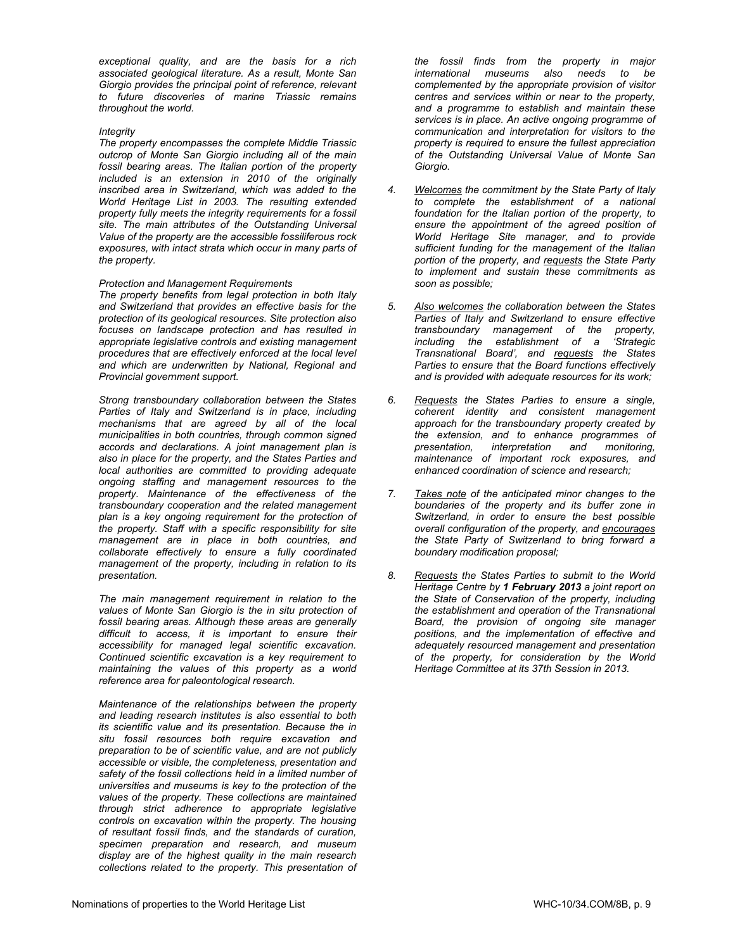*exceptional quality, and are the basis for a rich associated geological literature. As a result, Monte San Giorgio provides the principal point of reference, relevant to future discoveries of marine Triassic remains throughout the world.*

#### *Integrity*

*The property encompasses the complete Middle Triassic outcrop of Monte San Giorgio including all of the main fossil bearing areas. The Italian portion of the property included is an extension in 2010 of the originally inscribed area in Switzerland, which was added to the World Heritage List in 2003. The resulting extended property fully meets the integrity requirements for a fossil site. The main attributes of the Outstanding Universal Value of the property are the accessible fossiliferous rock exposures, with intact strata which occur in many parts of the property.* 

# *Protection and Management Requirements*

*The property benefits from legal protection in both Italy and Switzerland that provides an effective basis for the protection of its geological resources. Site protection also focuses on landscape protection and has resulted in appropriate legislative controls and existing management procedures that are effectively enforced at the local level and which are underwritten by National, Regional and Provincial government support.* 

*Strong transboundary collaboration between the States Parties of Italy and Switzerland is in place, including mechanisms that are agreed by all of the local municipalities in both countries, through common signed accords and declarations. A joint management plan is also in place for the property, and the States Parties and local authorities are committed to providing adequate ongoing staffing and management resources to the property. Maintenance of the effectiveness of the transboundary cooperation and the related management plan is a key ongoing requirement for the protection of the property. Staff with a specific responsibility for site management are in place in both countries, and collaborate effectively to ensure a fully coordinated management of the property, including in relation to its presentation.* 

*The main management requirement in relation to the values of Monte San Giorgio is the in situ protection of fossil bearing areas. Although these areas are generally difficult to access, it is important to ensure their accessibility for managed legal scientific excavation. Continued scientific excavation is a key requirement to maintaining the values of this property as a world reference area for paleontological research.* 

*Maintenance of the relationships between the property and leading research institutes is also essential to both its scientific value and its presentation. Because the in situ fossil resources both require excavation and preparation to be of scientific value, and are not publicly accessible or visible, the completeness, presentation and safety of the fossil collections held in a limited number of universities and museums is key to the protection of the values of the property. These collections are maintained through strict adherence to appropriate legislative controls on excavation within the property. The housing of resultant fossil finds, and the standards of curation, specimen preparation and research, and museum display are of the highest quality in the main research collections related to the property. This presentation of* 

*the fossil finds from the property in major international museums also needs to be complemented by the appropriate provision of visitor centres and services within or near to the property, and a programme to establish and maintain these services is in place. An active ongoing programme of communication and interpretation for visitors to the property is required to ensure the fullest appreciation of the Outstanding Universal Value of Monte San Giorgio.* 

- *4. Welcomes the commitment by the State Party of Italy to complete the establishment of a national foundation for the Italian portion of the property, to ensure the appointment of the agreed position of World Heritage Site manager, and to provide sufficient funding for the management of the Italian portion of the property, and requests the State Party to implement and sustain these commitments as soon as possible;*
- *5. Also welcomes the collaboration between the States Parties of Italy and Switzerland to ensure effective transboundary management of the property, including the establishment of a 'Strategic Transnational Board', and requests the States Parties to ensure that the Board functions effectively and is provided with adequate resources for its work;*
- *6. Requests the States Parties to ensure a single, coherent identity and consistent management approach for the transboundary property created by the extension, and to enhance programmes of presentation, interpretation and monitoring, maintenance of important rock exposures, and enhanced coordination of science and research;*
- *7. Takes note of the anticipated minor changes to the boundaries of the property and its buffer zone in Switzerland, in order to ensure the best possible overall configuration of the property, and encourages the State Party of Switzerland to bring forward a boundary modification proposal;*
- *8. Requests the States Parties to submit to the World Heritage Centre by 1 February 2013 a joint report on the State of Conservation of the property, including the establishment and operation of the Transnational Board, the provision of ongoing site manager positions, and the implementation of effective and adequately resourced management and presentation of the property, for consideration by the World Heritage Committee at its 37th Session in 2013.*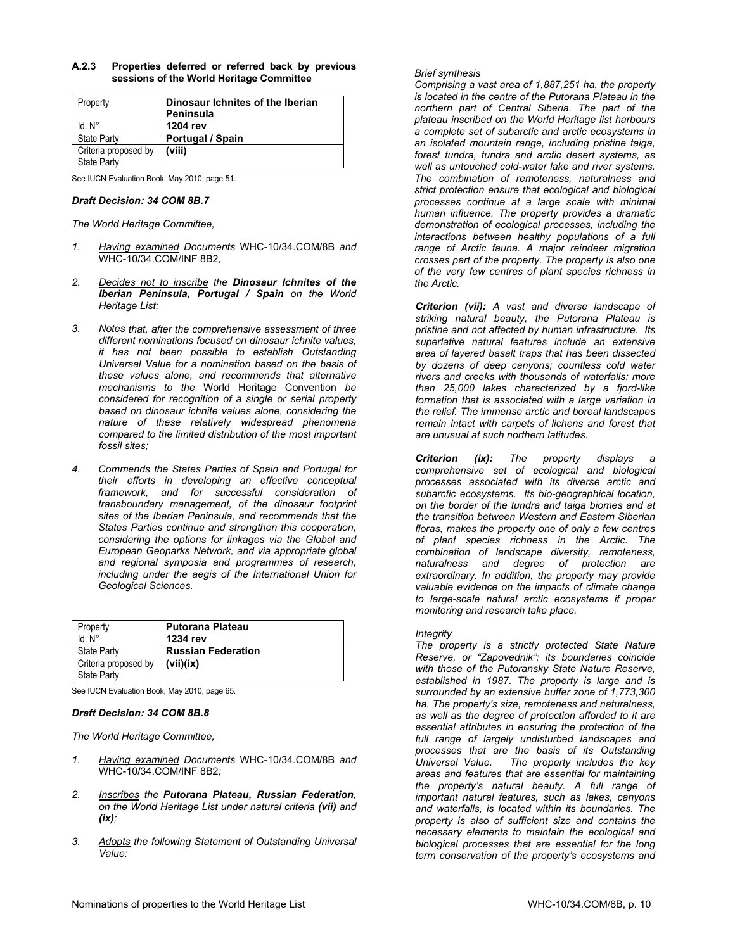| Property             | Dinosaur Ichnites of the Iberian |
|----------------------|----------------------------------|
|                      | Peninsula                        |
| $Id. N^\circ$        | 1204 rev                         |
| <b>State Party</b>   | Portugal / Spain                 |
| Criteria proposed by | (viii)                           |
| <b>State Party</b>   |                                  |

**A.2.3 Properties deferred or referred back by previous sessions of the World Heritage Committee** 

See IUCN Evaluation Book, May 2010, page 51.

### *Draft Decision: 34 COM 8B.7*

*The World Heritage Committee,* 

- *1. Having examined Documents* WHC-10/34.COM/8B *and* WHC-10/34.COM/INF 8B2*,*
- *2. Decides not to inscribe the Dinosaur Ichnites of the Iberian Peninsula, Portugal / Spain on the World Heritage List;*
- *3. Notes that, after the comprehensive assessment of three different nominations focused on dinosaur ichnite values, it has not been possible to establish Outstanding Universal Value for a nomination based on the basis of these values alone, and recommends that alternative mechanisms to the* World Heritage Convention *be considered for recognition of a single or serial property based on dinosaur ichnite values alone, considering the nature of these relatively widespread phenomena compared to the limited distribution of the most important fossil sites;*
- *4. Commends the States Parties of Spain and Portugal for their efforts in developing an effective conceptual framework, and for successful consideration of transboundary management, of the dinosaur footprint sites of the Iberian Peninsula, and recommends that the States Parties continue and strengthen this cooperation, considering the options for linkages via the Global and European Geoparks Network, and via appropriate global and regional symposia and programmes of research, including under the aegis of the International Union for Geological Sciences.*

| Property             | <b>Putorana Plateau</b>   |
|----------------------|---------------------------|
| Id. N°               | 1234 rev                  |
| <b>State Party</b>   | <b>Russian Federation</b> |
| Criteria proposed by | (vii)(ix)                 |
| <b>State Party</b>   |                           |

See IUCN Evaluation Book, May 2010, page 65.

# *Draft Decision: 34 COM 8B.8*

*The World Heritage Committee,* 

- *1. Having examined Documents* WHC-10/34.COM/8B *and*  WHC-10/34.COM/INF 8B2*;*
- *2. Inscribes the Putorana Plateau, Russian Federation, on the World Heritage List under natural criteria (vii) and (ix);*
- *3. Adopts the following Statement of Outstanding Universal Value:*

# *Brief synthesis*

*Comprising a vast area of 1,887,251 ha, the property is located in the centre of the Putorana Plateau in the northern part of Central Siberia. The part of the plateau inscribed on the World Heritage list harbours a complete set of subarctic and arctic ecosystems in an isolated mountain range, including pristine taiga, forest tundra, tundra and arctic desert systems, as well as untouched cold-water lake and river systems. The combination of remoteness, naturalness and strict protection ensure that ecological and biological processes continue at a large scale with minimal human influence. The property provides a dramatic demonstration of ecological processes, including the interactions between healthy populations of a full range of Arctic fauna. A major reindeer migration crosses part of the property. The property is also one of the very few centres of plant species richness in the Arctic.* 

*Criterion (vii): A vast and diverse landscape of striking natural beauty, the Putorana Plateau is pristine and not affected by human infrastructure. Its superlative natural features include an extensive area of layered basalt traps that has been dissected by dozens of deep canyons; countless cold water rivers and creeks with thousands of waterfalls; more than 25,000 lakes characterized by a fjord-like formation that is associated with a large variation in the relief. The immense arctic and boreal landscapes remain intact with carpets of lichens and forest that are unusual at such northern latitudes.* 

*Criterion (ix): The property displays a comprehensive set of ecological and biological processes associated with its diverse arctic and subarctic ecosystems. Its bio-geographical location, on the border of the tundra and taiga biomes and at the transition between Western and Eastern Siberian floras, makes the property one of only a few centres of plant species richness in the Arctic. The combination of landscape diversity, remoteness, naturalness and degree of protection are extraordinary. In addition, the property may provide valuable evidence on the impacts of climate change to large-scale natural arctic ecosystems if proper monitoring and research take place.* 

# *Integrity*

*The property is a strictly protected State Nature Reserve, or "Zapovednik": its boundaries coincide with those of the Putoransky State Nature Reserve, established in 1987. The property is large and is surrounded by an extensive buffer zone of 1,773,300 ha. The property's size, remoteness and naturalness, as well as the degree of protection afforded to it are essential attributes in ensuring the protection of the full range of largely undisturbed landscapes and processes that are the basis of its Outstanding Universal Value. The property includes the key areas and features that are essential for maintaining the property's natural beauty. A full range of important natural features, such as lakes, canyons and waterfalls, is located within its boundaries. The property is also of sufficient size and contains the necessary elements to maintain the ecological and biological processes that are essential for the long term conservation of the property's ecosystems and*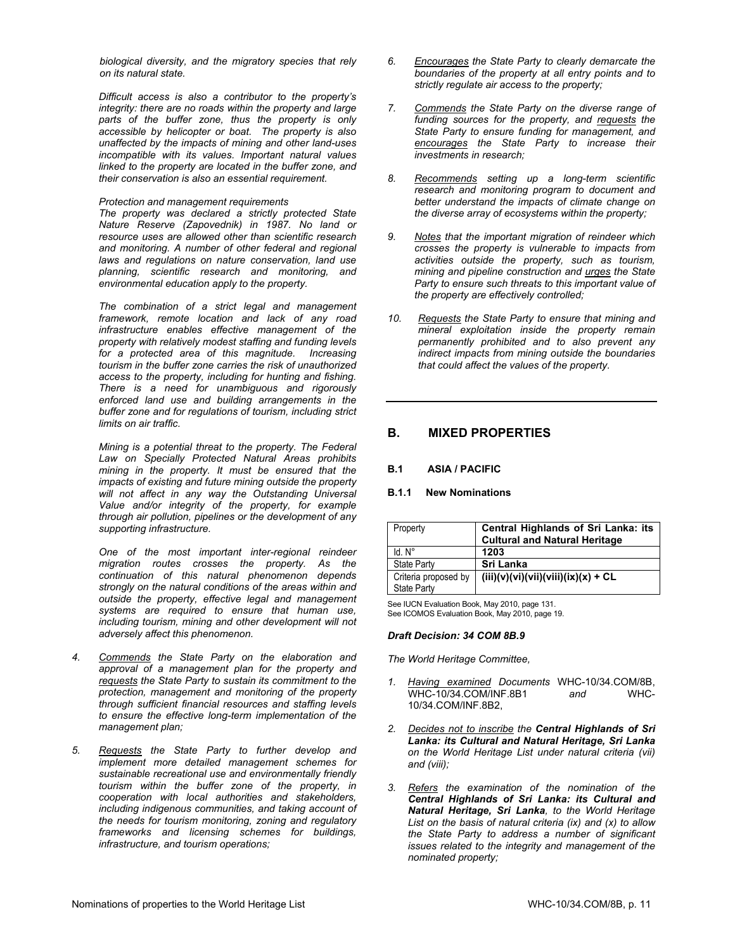*biological diversity, and the migratory species that rely on its natural state.* 

*Difficult access is also a contributor to the property's integrity: there are no roads within the property and large parts of the buffer zone, thus the property is only accessible by helicopter or boat. The property is also unaffected by the impacts of mining and other land-uses incompatible with its values. Important natural values linked to the property are located in the buffer zone, and their conservation is also an essential requirement.* 

#### *Protection and management requirements*

*The property was declared a strictly protected State Nature Reserve (Zapovednik) in 1987. No land or resource uses are allowed other than scientific research and monitoring. A number of other federal and regional laws and regulations on nature conservation, land use planning, scientific research and monitoring, and environmental education apply to the property.* 

*The combination of a strict legal and management framework, remote location and lack of any road infrastructure enables effective management of the property with relatively modest staffing and funding levels for a protected area of this magnitude. Increasing tourism in the buffer zone carries the risk of unauthorized access to the property, including for hunting and fishing. There is a need for unambiguous and rigorously enforced land use and building arrangements in the buffer zone and for regulations of tourism, including strict limits on air traffic.* 

*Mining is a potential threat to the property. The Federal Law on Specially Protected Natural Areas prohibits mining in the property. It must be ensured that the impacts of existing and future mining outside the property will not affect in any way the Outstanding Universal Value and/or integrity of the property, for example through air pollution, pipelines or the development of any supporting infrastructure.* 

*One of the most important inter-regional reindeer migration routes crosses the property. As the continuation of this natural phenomenon depends strongly on the natural conditions of the areas within and outside the property, effective legal and management systems are required to ensure that human use, including tourism, mining and other development will not adversely affect this phenomenon.* 

- *4. Commends the State Party on the elaboration and approval of a management plan for the property and requests the State Party to sustain its commitment to the protection, management and monitoring of the property through sufficient financial resources and staffing levels to ensure the effective long-term implementation of the management plan;*
- *5. Requests the State Party to further develop and implement more detailed management schemes for sustainable recreational use and environmentally friendly tourism within the buffer zone of the property, in cooperation with local authorities and stakeholders, including indigenous communities, and taking account of the needs for tourism monitoring, zoning and regulatory frameworks and licensing schemes for buildings, infrastructure, and tourism operations;*
- *6. Encourages the State Party to clearly demarcate the boundaries of the property at all entry points and to strictly regulate air access to the property;*
- *7. Commends the State Party on the diverse range of funding sources for the property, and requests the State Party to ensure funding for management, and encourages the State Party to increase their investments in research;*
- *8. Recommends setting up a long-term scientific research and monitoring program to document and better understand the impacts of climate change on the diverse array of ecosystems within the property;*
- *9. Notes that the important migration of reindeer which crosses the property is vulnerable to impacts from activities outside the property, such as tourism, mining and pipeline construction and urges the State Party to ensure such threats to this important value of the property are effectively controlled;*
- *10. Requests the State Party to ensure that mining and mineral exploitation inside the property remain permanently prohibited and to also prevent any indirect impacts from mining outside the boundaries that could affect the values of the property.*

# **B. MIXED PROPERTIES**

# **B.1 ASIA / PACIFIC**

# **B.1.1 New Nominations**

| Property                            | Central Highlands of Sri Lanka: its<br><b>Cultural and Natural Heritage</b> |
|-------------------------------------|-----------------------------------------------------------------------------|
| ld N°                               | 1203                                                                        |
| <b>State Party</b>                  | Sri Lanka                                                                   |
| Criteria proposed by<br>State Party | $(iii)(v)(vi)(vii)(viii)(ix)(x) + CL$                                       |

See IUCN Evaluation Book, May 2010, page 131. See ICOMOS Evaluation Book, May 2010, page 19.

# *Draft Decision: 34 COM 8B.9*

- *1. Having examined Documents* WHC-10/34.COM/8B, WHC-10/34.COM/INF.8B1 *and* WHC-10/34.COM/INF.8B2,
- *2. Decides not to inscribe the Central Highlands of Sri Lanka: its Cultural and Natural Heritage, Sri Lanka on the World Heritage List under natural criteria (vii) and (viii);*
- *3. Refers the examination of the nomination of the Central Highlands of Sri Lanka: its Cultural and Natural Heritage, Sri Lanka, to the World Heritage List on the basis of natural criteria (ix) and (x) to allow the State Party to address a number of significant issues related to the integrity and management of the nominated property;*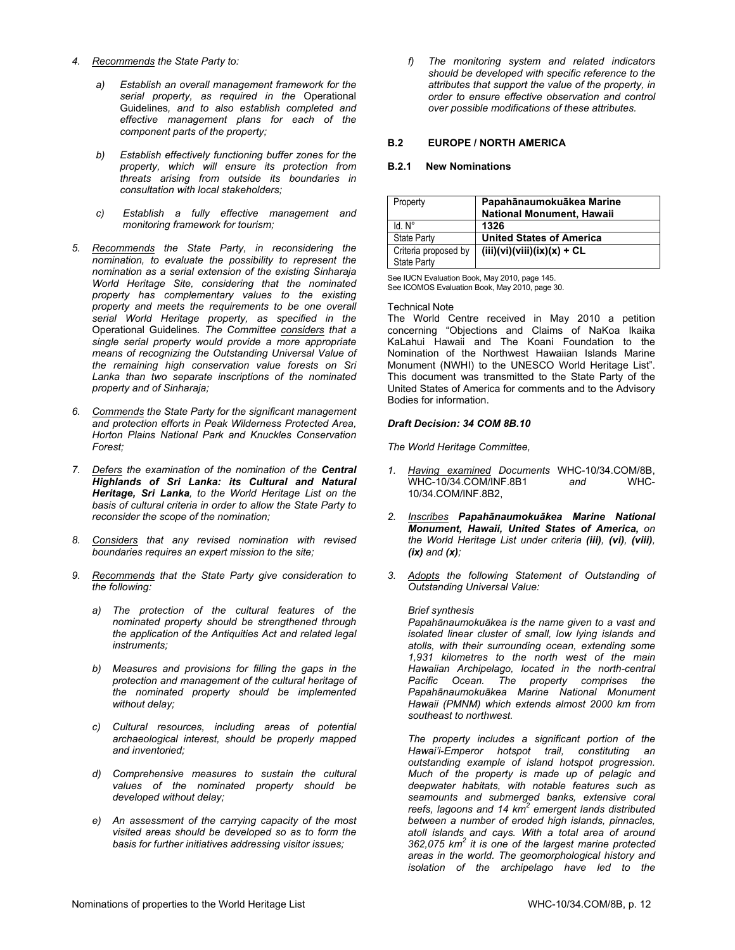- *4. Recommends the State Party to:*
	- *a) Establish an overall management framework for the serial property, as required in the* Operational Guidelines*, and to also establish completed and effective management plans for each of the component parts of the property;*
	- *b) Establish effectively functioning buffer zones for the property, which will ensure its protection from threats arising from outside its boundaries in consultation with local stakeholders;*
	- *c) Establish a fully effective management and monitoring framework for tourism;*
- *5. Recommends the State Party, in reconsidering the nomination, to evaluate the possibility to represent the nomination as a serial extension of the existing Sinharaja World Heritage Site, considering that the nominated property has complementary values to the existing property and meets the requirements to be one overall serial World Heritage property, as specified in the*  Operational Guidelines*. The Committee considers that a single serial property would provide a more appropriate means of recognizing the Outstanding Universal Value of the remaining high conservation value forests on Sri Lanka than two separate inscriptions of the nominated property and of Sinharaja;*
- *6. Commends the State Party for the significant management and protection efforts in Peak Wilderness Protected Area, Horton Plains National Park and Knuckles Conservation Forest;*
- *7. Defers the examination of the nomination of the Central Highlands of Sri Lanka: its Cultural and Natural Heritage, Sri Lanka, to the World Heritage List on the basis of cultural criteria in order to allow the State Party to reconsider the scope of the nomination;*
- *8. Considers that any revised nomination with revised boundaries requires an expert mission to the site;*
- *9. Recommends that the State Party give consideration to the following:*
	- *a) The protection of the cultural features of the nominated property should be strengthened through the application of the Antiquities Act and related legal instruments;*
	- *b) Measures and provisions for filling the gaps in the protection and management of the cultural heritage of the nominated property should be implemented without delay;*
	- *c) Cultural resources, including areas of potential archaeological interest, should be properly mapped and inventoried;*
	- *d) Comprehensive measures to sustain the cultural values of the nominated property should be developed without delay;*
	- *e) An assessment of the carrying capacity of the most visited areas should be developed so as to form the basis for further initiatives addressing visitor issues;*

*f) The monitoring system and related indicators should be developed with specific reference to the attributes that support the value of the property, in order to ensure effective observation and control over possible modifications of these attributes.* 

# **B.2 EUROPE / NORTH AMERICA**

### **B.2.1 New Nominations**

| Property                                   | Papahānaumokuākea Marine<br><b>National Monument, Hawaii</b> |
|--------------------------------------------|--------------------------------------------------------------|
| ld N°                                      | 1326                                                         |
| <b>State Party</b>                         | <b>United States of America</b>                              |
| Criteria proposed by<br><b>State Party</b> | $(iii)(vi)(viii)(ix)(x) + CL$                                |

See IUCN Evaluation Book, May 2010, page 145. See ICOMOS Evaluation Book, May 2010, page 30.

#### Technical Note

The World Centre received in May 2010 a petition concerning "Objections and Claims of NaKoa Ikaika KaLahui Hawaii and The Koani Foundation to the Nomination of the Northwest Hawaiian Islands Marine Monument (NWHI) to the UNESCO World Heritage List". This document was transmitted to the State Party of the United States of America for comments and to the Advisory Bodies for information.

# *Draft Decision: 34 COM 8B.10*

*The World Heritage Committee,* 

- *1. Having examined Documents* WHC-10/34.COM/8B, WHC-10/34.COM/INF.8B1 *and* WHC-10/34.COM/INF.8B2,
- *2. Inscribes Papahānaumokuākea Marine National Monument, Hawaii, United States of America, on the World Heritage List under criteria (iii), (vi), (viii), (ix) and (x);*
- *3. Adopts the following Statement of Outstanding of Outstanding Universal Value:*

# *Brief synthesis*

*Papahānaumokuākea is the name given to a vast and isolated linear cluster of small, low lying islands and atolls, with their surrounding ocean, extending some 1,931 kilometres to the north west of the main Hawaiian Archipelago, located in the north-central Pacific Ocean. The property comprises the Papahānaumokuākea Marine National Monument Hawaii (PMNM) which extends almost 2000 km from southeast to northwest.* 

*The property includes a significant portion of the Hawai'i-Emperor hotspot trail, constituting an outstanding example of island hotspot progression. Much of the property is made up of pelagic and deepwater habitats, with notable features such as seamounts and submerged banks, extensive coral*  reefs, lagoons and 14 km<sup>2</sup> emergent lands distributed *between a number of eroded high islands, pinnacles, atoll islands and cays. With a total area of around*  362,075 km<sup>2</sup> it is one of the largest marine protected *areas in the world. The geomorphological history and isolation of the archipelago have led to the*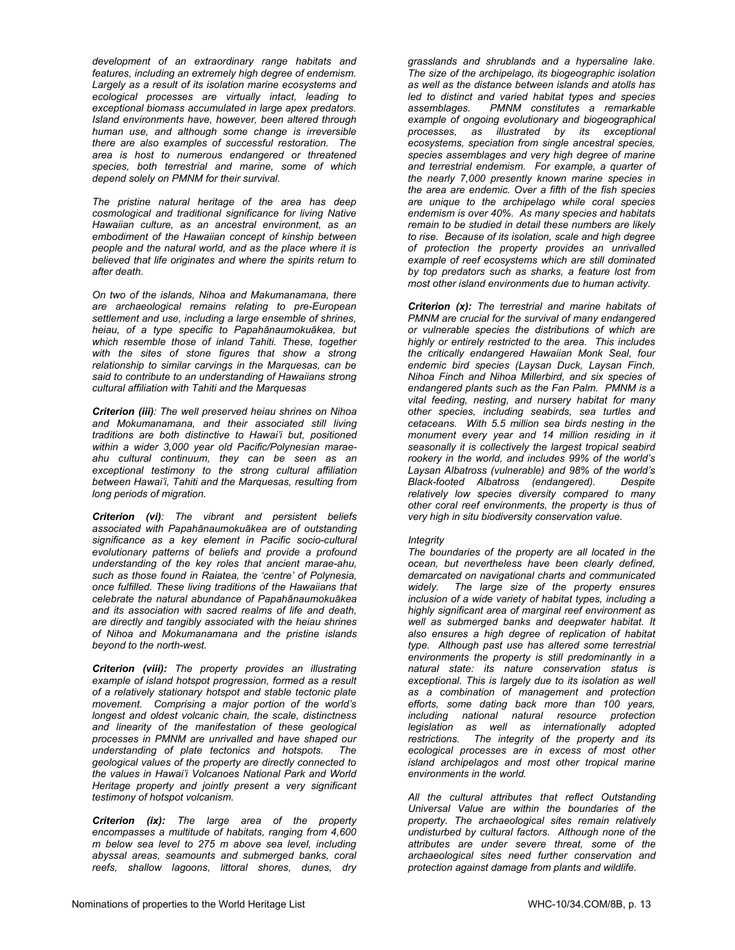*development of an extraordinary range habitats and features, including an extremely high degree of endemism. Largely as a result of its isolation marine ecosystems and ecological processes are virtually intact, leading to exceptional biomass accumulated in large apex predators. Island environments have, however, been altered through human use, and although some change is irreversible there are also examples of successful restoration. The area is host to numerous endangered or threatened species, both terrestrial and marine, some of which depend solely on PMNM for their survival.* 

*The pristine natural heritage of the area has deep cosmological and traditional significance for living Native Hawaiian culture, as an ancestral environment, as an embodiment of the Hawaiian concept of kinship between people and the natural world, and as the place where it is believed that life originates and where the spirits return to after death.* 

*On two of the islands, Nihoa and Makumanamana, there are archaeological remains relating to pre-European settlement and use, including a large ensemble of shrines, heiau, of a type specific to Papahānaumokuākea, but which resemble those of inland Tahiti. These, together with the sites of stone figures that show a strong relationship to similar carvings in the Marquesas, can be said to contribute to an understanding of Hawaiians strong cultural affiliation with Tahiti and the Marquesas* 

*Criterion (iii): The well preserved heiau shrines on Nihoa and Mokumanamana, and their associated still living traditions are both distinctive to Hawai'i but, positioned within a wider 3,000 year old Pacific/Polynesian maraeahu cultural continuum, they can be seen as an exceptional testimony to the strong cultural affiliation between Hawai'i, Tahiti and the Marquesas, resulting from long periods of migration.* 

*Criterion (vi): The vibrant and persistent beliefs associated with Papahānaumokuākea are of outstanding significance as a key element in Pacific socio-cultural evolutionary patterns of beliefs and provide a profound understanding of the key roles that ancient marae-ahu, such as those found in Raiatea, the 'centre' of Polynesia, once fulfilled. These living traditions of the Hawaiians that celebrate the natural abundance of Papahānaumokuākea and its association with sacred realms of life and death, are directly and tangibly associated with the heiau shrines of Nihoa and Mokumanamana and the pristine islands beyond to the north-west.* 

*Criterion (viii): The property provides an illustrating example of island hotspot progression, formed as a result of a relatively stationary hotspot and stable tectonic plate movement. Comprising a major portion of the world's longest and oldest volcanic chain, the scale, distinctness and linearity of the manifestation of these geological processes in PMNM are unrivalled and have shaped our understanding of plate tectonics and hotspots. The geological values of the property are directly connected to the values in Hawai'i Volcanoes National Park and World Heritage property and jointly present a very significant testimony of hotspot volcanism.* 

*Criterion (ix): The large area of the property encompasses a multitude of habitats, ranging from 4,600 m below sea level to 275 m above sea level, including abyssal areas, seamounts and submerged banks, coral reefs, shallow lagoons, littoral shores, dunes, dry* 

*grasslands and shrublands and a hypersaline lake. The size of the archipelago, its biogeographic isolation as well as the distance between islands and atolls has led to distinct and varied habitat types and species assemblages. PMNM constitutes a remarkable example of ongoing evolutionary and biogeographical processes, as illustrated by its exceptional ecosystems, speciation from single ancestral species, species assemblages and very high degree of marine and terrestrial endemism. For example, a quarter of the nearly 7,000 presently known marine species in the area are endemic. Over a fifth of the fish species are unique to the archipelago while coral species endemism is over 40%. As many species and habitats remain to be studied in detail these numbers are likely to rise. Because of its isolation, scale and high degree of protection the property provides an unrivalled example of reef ecosystems which are still dominated by top predators such as sharks, a feature lost from most other island environments due to human activity.* 

*Criterion (x): The terrestrial and marine habitats of PMNM are crucial for the survival of many endangered or vulnerable species the distributions of which are highly or entirely restricted to the area. This includes the critically endangered Hawaiian Monk Seal, four endemic bird species (Laysan Duck, Laysan Finch, Nihoa Finch and Nihoa Millerbird, and six species of endangered plants such as the Fan Palm. PMNM is a vital feeding, nesting, and nursery habitat for many other species, including seabirds, sea turtles and cetaceans. With 5.5 million sea birds nesting in the monument every year and 14 million residing in it seasonally it is collectively the largest tropical seabird rookery in the world, and includes 99% of the world's Laysan Albatross (vulnerable) and 98% of the world's Black-footed Albatross (endangered). Despite relatively low species diversity compared to many other coral reef environments, the property is thus of very high in situ biodiversity conservation value.* 

# *Integrity*

*The boundaries of the property are all located in the ocean, but nevertheless have been clearly defined, demarcated on navigational charts and communicated widely. The large size of the property ensures inclusion of a wide variety of habitat types, including a highly significant area of marginal reef environment as well as submerged banks and deepwater habitat. It also ensures a high degree of replication of habitat type. Although past use has altered some terrestrial environments the property is still predominantly in a natural state: its nature conservation status is exceptional. This is largely due to its isolation as well as a combination of management and protection efforts, some dating back more than 100 years, including national natural resource protection legislation as well as internationally adopted restrictions. The integrity of the property and its ecological processes are in excess of most other island archipelagos and most other tropical marine environments in the world.* 

*All the cultural attributes that reflect Outstanding Universal Value are within the boundaries of the property. The archaeological sites remain relatively undisturbed by cultural factors. Although none of the attributes are under severe threat, some of the archaeological sites need further conservation and protection against damage from plants and wildlife.*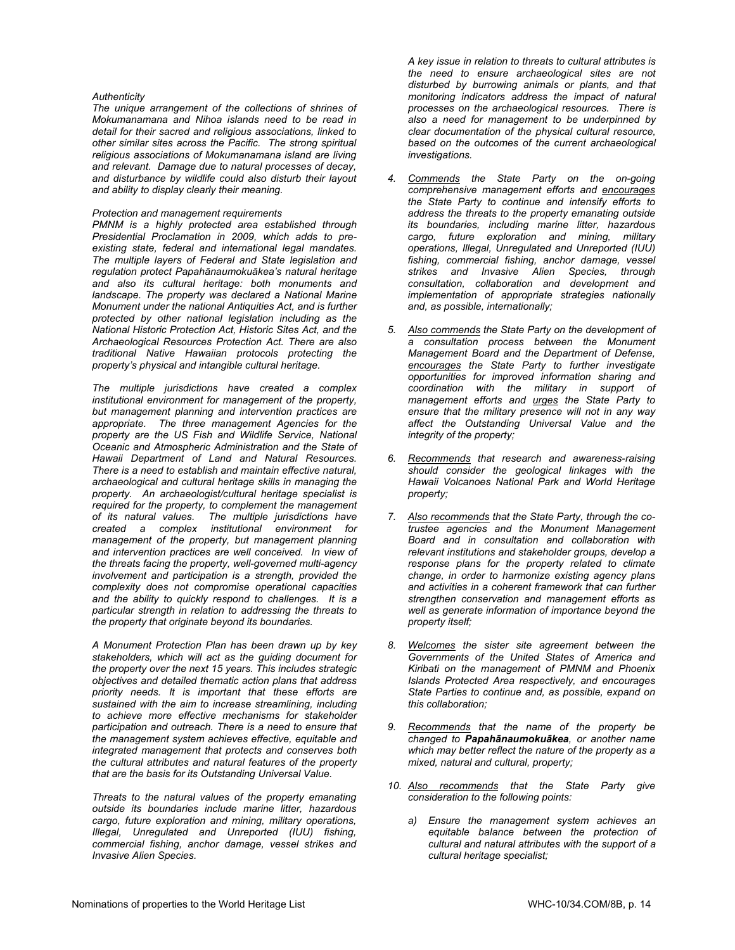### *Authenticity*

*The unique arrangement of the collections of shrines of Mokumanamana and Nihoa islands need to be read in detail for their sacred and religious associations, linked to other similar sites across the Pacific. The strong spiritual religious associations of Mokumanamana island are living and relevant. Damage due to natural processes of decay, and disturbance by wildlife could also disturb their layout and ability to display clearly their meaning.* 

#### *Protection and management requirements*

*PMNM is a highly protected area established through Presidential Proclamation in 2009, which adds to preexisting state, federal and international legal mandates. The multiple layers of Federal and State legislation and regulation protect Papahānaumokuākea's natural heritage and also its cultural heritage: both monuments and landscape. The property was declared a National Marine Monument under the national Antiquities Act, and is further protected by other national legislation including as the National Historic Protection Act, Historic Sites Act, and the Archaeological Resources Protection Act. There are also traditional Native Hawaiian protocols protecting the property's physical and intangible cultural heritage.* 

*The multiple jurisdictions have created a complex institutional environment for management of the property, but management planning and intervention practices are appropriate. The three management Agencies for the property are the US Fish and Wildlife Service, National Oceanic and Atmospheric Administration and the State of Hawaii Department of Land and Natural Resources. There is a need to establish and maintain effective natural, archaeological and cultural heritage skills in managing the property. An archaeologist/cultural heritage specialist is required for the property, to complement the management of its natural values. The multiple jurisdictions have created a complex institutional environment for management of the property, but management planning and intervention practices are well conceived. In view of the threats facing the property, well-governed multi-agency involvement and participation is a strength, provided the complexity does not compromise operational capacities and the ability to quickly respond to challenges. It is a particular strength in relation to addressing the threats to the property that originate beyond its boundaries.* 

*A Monument Protection Plan has been drawn up by key stakeholders, which will act as the guiding document for the property over the next 15 years. This includes strategic objectives and detailed thematic action plans that address priority needs. It is important that these efforts are sustained with the aim to increase streamlining, including to achieve more effective mechanisms for stakeholder participation and outreach. There is a need to ensure that the management system achieves effective, equitable and integrated management that protects and conserves both the cultural attributes and natural features of the property that are the basis for its Outstanding Universal Value.* 

*Threats to the natural values of the property emanating outside its boundaries include marine litter, hazardous cargo, future exploration and mining, military operations, Illegal, Unregulated and Unreported (IUU) fishing, commercial fishing, anchor damage, vessel strikes and Invasive Alien Species.* 

*A key issue in relation to threats to cultural attributes is the need to ensure archaeological sites are not disturbed by burrowing animals or plants, and that monitoring indicators address the impact of natural processes on the archaeological resources. There is also a need for management to be underpinned by clear documentation of the physical cultural resource, based on the outcomes of the current archaeological investigations.* 

- *4. Commends the State Party on the on-going comprehensive management efforts and encourages the State Party to continue and intensify efforts to address the threats to the property emanating outside its boundaries, including marine litter, hazardous cargo, future exploration and mining, military operations, Illegal, Unregulated and Unreported (IUU) fishing, commercial fishing, anchor damage, vessel strikes and Invasive Alien Species, through consultation, collaboration and development and implementation of appropriate strategies nationally and, as possible, internationally;*
- *5. Also commends the State Party on the development of a consultation process between the Monument Management Board and the Department of Defense, encourages the State Party to further investigate opportunities for improved information sharing and coordination with the military in support of management efforts and urges the State Party to ensure that the military presence will not in any way affect the Outstanding Universal Value and the integrity of the property;*
- *6. Recommends that research and awareness-raising should consider the geological linkages with the Hawaii Volcanoes National Park and World Heritage property;*
- *7. Also recommends that the State Party, through the cotrustee agencies and the Monument Management Board and in consultation and collaboration with relevant institutions and stakeholder groups, develop a response plans for the property related to climate change, in order to harmonize existing agency plans and activities in a coherent framework that can further strengthen conservation and management efforts as well as generate information of importance beyond the property itself;*
- *8. Welcomes the sister site agreement between the Governments of the United States of America and Kiribati on the management of PMNM and Phoenix Islands Protected Area respectively, and encourages State Parties to continue and, as possible, expand on this collaboration;*
- *9. Recommends that the name of the property be changed to Papahānaumokuākea, or another name which may better reflect the nature of the property as a mixed, natural and cultural, property;*
- *10. Also recommends that the State Party give consideration to the following points:* 
	- *a) Ensure the management system achieves an equitable balance between the protection of cultural and natural attributes with the support of a cultural heritage specialist;*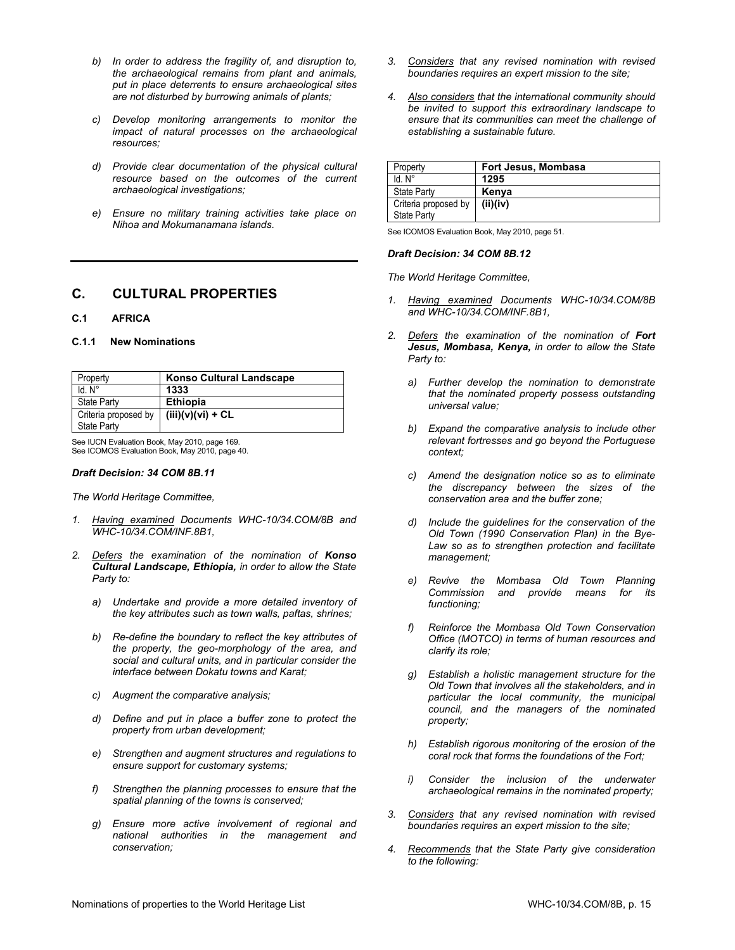- *b) In order to address the fragility of, and disruption to, the archaeological remains from plant and animals, put in place deterrents to ensure archaeological sites are not disturbed by burrowing animals of plants;*
- *c) Develop monitoring arrangements to monitor the impact of natural processes on the archaeological resources;*
- *d) Provide clear documentation of the physical cultural resource based on the outcomes of the current archaeological investigations;*
- *e) Ensure no military training activities take place on Nihoa and Mokumanamana islands.*

# **C. CULTURAL PROPERTIES**

#### **C.1 AFRICA**

#### **C.1.1 New Nominations**

| Property             | <b>Konso Cultural Landscape</b> |
|----------------------|---------------------------------|
| Id. N <sup>o</sup>   | 1333                            |
| <b>State Party</b>   | <b>Ethiopia</b>                 |
| Criteria proposed by | $(iii)(v)(vi) + CL$             |
| State Party          |                                 |

See IUCN Evaluation Book, May 2010, page 169. See ICOMOS Evaluation Book, May 2010, page 40.

#### *Draft Decision: 34 COM 8B.11*

*The World Heritage Committee,* 

- *1. Having examined Documents WHC-10/34.COM/8B and WHC-10/34.COM/INF.8B1,*
- *2. Defers the examination of the nomination of Konso Cultural Landscape, Ethiopia, in order to allow the State Party to:* 
	- *a) Undertake and provide a more detailed inventory of the key attributes such as town walls, paftas, shrines;*
	- *b) Re-define the boundary to reflect the key attributes of the property, the geo-morphology of the area, and social and cultural units, and in particular consider the interface between Dokatu towns and Karat;*
	- *c) Augment the comparative analysis;*
	- *d) Define and put in place a buffer zone to protect the property from urban development;*
	- *e) Strengthen and augment structures and regulations to ensure support for customary systems;*
	- *f) Strengthen the planning processes to ensure that the spatial planning of the towns is conserved;*
	- *g) Ensure more active involvement of regional and national authorities in the management and conservation;*
- *3. Considers that any revised nomination with revised boundaries requires an expert mission to the site;*
- *4. Also considers that the international community should be invited to support this extraordinary landscape to ensure that its communities can meet the challenge of establishing a sustainable future.*

| Property             | Fort Jesus, Mombasa |
|----------------------|---------------------|
| $Id. N^{\circ}$      | 1295                |
| <b>State Party</b>   | Kenya               |
| Criteria proposed by | (ii)(iv)            |
| <b>State Party</b>   |                     |

See ICOMOS Evaluation Book, May 2010, page 51.

# *Draft Decision: 34 COM 8B.12*

- *1. Having examined Documents WHC-10/34.COM/8B and WHC-10/34.COM/INF.8B1,*
- *2. Defers the examination of the nomination of Fort Jesus, Mombasa, Kenya, in order to allow the State Party to:* 
	- *a) Further develop the nomination to demonstrate that the nominated property possess outstanding universal value;*
	- *b) Expand the comparative analysis to include other relevant fortresses and go beyond the Portuguese context;*
	- *c) Amend the designation notice so as to eliminate the discrepancy between the sizes of the conservation area and the buffer zone;*
	- *d) Include the guidelines for the conservation of the Old Town (1990 Conservation Plan) in the Bye-Law so as to strengthen protection and facilitate management;*
	- *e) Revive the Mombasa Old Town Planning Commission and provide means for its functioning;*
	- *f) Reinforce the Mombasa Old Town Conservation Office (MOTCO) in terms of human resources and clarify its role;*
	- *g) Establish a holistic management structure for the Old Town that involves all the stakeholders, and in particular the local community, the municipal council, and the managers of the nominated property;*
	- *h) Establish rigorous monitoring of the erosion of the coral rock that forms the foundations of the Fort;*
	- *i) Consider the inclusion of the underwater archaeological remains in the nominated property;*
- *3. Considers that any revised nomination with revised boundaries requires an expert mission to the site;*
- *4. Recommends that the State Party give consideration to the following:*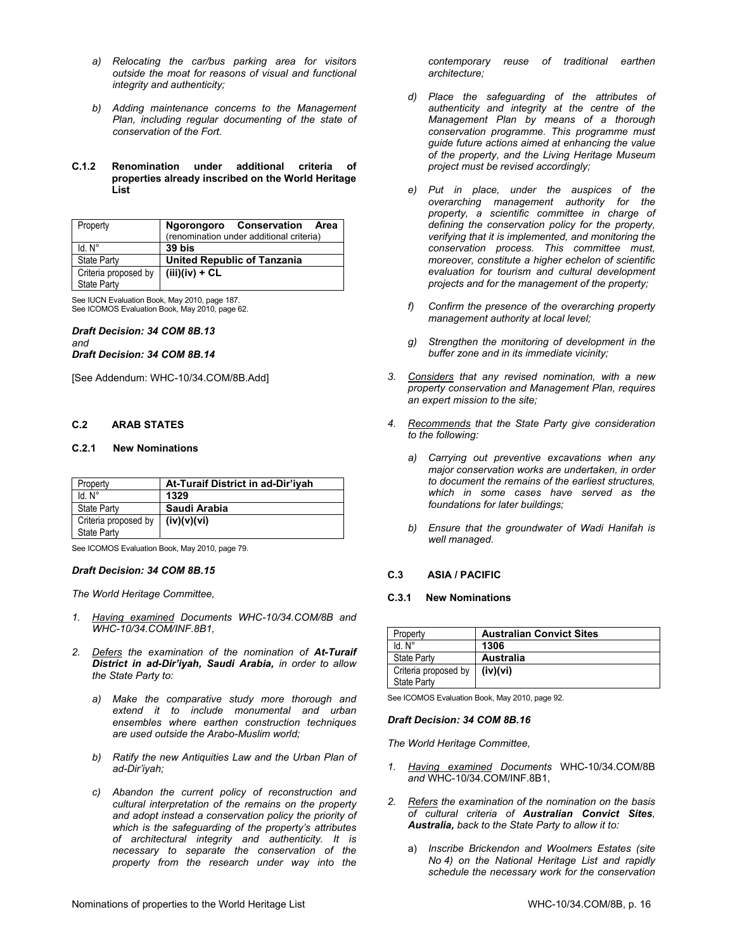- *a) Relocating the car/bus parking area for visitors outside the moat for reasons of visual and functional integrity and authenticity;*
- *b) Adding maintenance concerns to the Management Plan, including regular documenting of the state of conservation of the Fort.*
- **C.1.2 Renomination under additional criteria of properties already inscribed on the World Heritage List**

| Property             | Ngorongoro Conservation Area             |
|----------------------|------------------------------------------|
|                      | (renomination under additional criteria) |
| $Id. N^\circ$        | 39 bis                                   |
| <b>State Party</b>   | <b>United Republic of Tanzania</b>       |
| Criteria proposed by | $(iii)(iv) + CL$                         |
| State Party          |                                          |

See IUCN Evaluation Book, May 2010, page 187. See ICOMOS Evaluation Book, May 2010, page 62.

#### *Draft Decision: 34 COM 8B.13 and Draft Decision: 34 COM 8B.14*

[See Addendum: WHC-10/34.COM/8B.Add]

# **C.2 ARAB STATES**

# **C.2.1 New Nominations**

| Property             | At-Turaif District in ad-Dir'iyah |
|----------------------|-----------------------------------|
| $Id. N^{\circ}$      | 1329                              |
| <b>State Party</b>   | Saudi Arabia                      |
| Criteria proposed by | (iv)(v)(vi)                       |
| <b>State Party</b>   |                                   |

See ICOMOS Evaluation Book, May 2010, page 79.

# *Draft Decision: 34 COM 8B.15*

*The World Heritage Committee,* 

- *1. Having examined Documents WHC-10/34.COM/8B and WHC-10/34.COM/INF.8B1,*
- *2. Defers the examination of the nomination of At-Turaif District in ad-Dir'iyah, Saudi Arabia, in order to allow the State Party to:* 
	- *a) Make the comparative study more thorough and extend it to include monumental and urban ensembles where earthen construction techniques are used outside the Arabo-Muslim world;*
	- *b) Ratify the new Antiquities Law and the Urban Plan of ad-Dir'iyah;*
	- *c) Abandon the current policy of reconstruction and cultural interpretation of the remains on the property and adopt instead a conservation policy the priority of which is the safeguarding of the property's attributes of architectural integrity and authenticity. It is necessary to separate the conservation of the property from the research under way into the*

*contemporary reuse of traditional earthen architecture;* 

- *d) Place the safeguarding of the attributes of authenticity and integrity at the centre of the Management Plan by means of a thorough conservation programme. This programme must guide future actions aimed at enhancing the value of the property, and the Living Heritage Museum project must be revised accordingly;*
- *e) Put in place, under the auspices of the overarching management authority for the property, a scientific committee in charge of defining the conservation policy for the property, verifying that it is implemented, and monitoring the conservation process. This committee must, moreover, constitute a higher echelon of scientific evaluation for tourism and cultural development projects and for the management of the property;*
- *f) Confirm the presence of the overarching property management authority at local level;*
- *g) Strengthen the monitoring of development in the buffer zone and in its immediate vicinity;*
- *3. Considers that any revised nomination, with a new property conservation and Management Plan, requires an expert mission to the site;*
- *4. Recommends that the State Party give consideration to the following:* 
	- *a) Carrying out preventive excavations when any major conservation works are undertaken, in order to document the remains of the earliest structures, which in some cases have served as the foundations for later buildings;*
	- *b) Ensure that the groundwater of Wadi Hanifah is well managed.*

# **C.3 ASIA / PACIFIC**

# **C.3.1 New Nominations**

| Property             | <b>Australian Convict Sites</b> |
|----------------------|---------------------------------|
| ld N°                | 1306                            |
| <b>State Party</b>   | Australia                       |
| Criteria proposed by | (iv)(vi)                        |
| State Party          |                                 |

See ICOMOS Evaluation Book, May 2010, page 92.

# *Draft Decision: 34 COM 8B.16*

- *1. Having examined Documents* WHC-10/34.COM/8B *and* WHC-10/34.COM/INF.8B1,
- *2. Refers the examination of the nomination on the basis of cultural criteria of Australian Convict Sites, Australia, back to the State Party to allow it to:*
	- a) *Inscribe Brickendon and Woolmers Estates (site No 4) on the National Heritage List and rapidly schedule the necessary work for the conservation*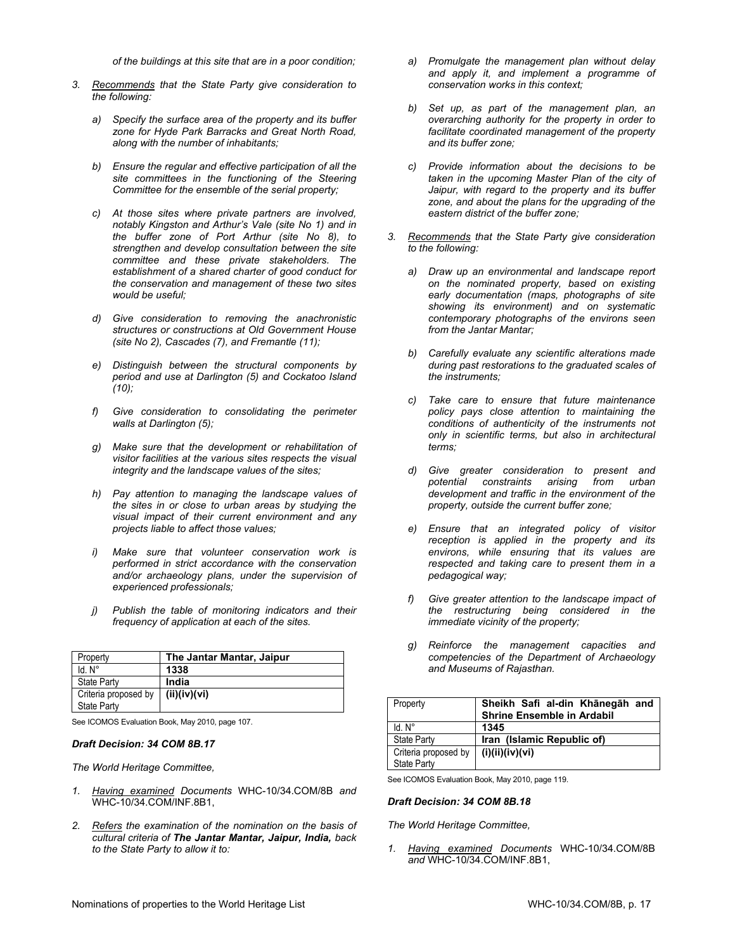*of the buildings at this site that are in a poor condition;* 

- *3. Recommends that the State Party give consideration to the following:* 
	- *a) Specify the surface area of the property and its buffer zone for Hyde Park Barracks and Great North Road, along with the number of inhabitants;*
	- *b) Ensure the regular and effective participation of all the site committees in the functioning of the Steering Committee for the ensemble of the serial property;*
	- *c) At those sites where private partners are involved, notably Kingston and Arthur's Vale (site No 1) and in the buffer zone of Port Arthur (site No 8), to strengthen and develop consultation between the site committee and these private stakeholders. The establishment of a shared charter of good conduct for the conservation and management of these two sites would be useful;*
	- *d) Give consideration to removing the anachronistic structures or constructions at Old Government House (site No 2), Cascades (7), and Fremantle (11);*
	- *e) Distinguish between the structural components by period and use at Darlington (5) and Cockatoo Island (10);*
	- *f) Give consideration to consolidating the perimeter walls at Darlington (5);*
	- *g) Make sure that the development or rehabilitation of visitor facilities at the various sites respects the visual integrity and the landscape values of the sites;*
	- *h) Pay attention to managing the landscape values of the sites in or close to urban areas by studying the visual impact of their current environment and any projects liable to affect those values;*
	- *i) Make sure that volunteer conservation work is performed in strict accordance with the conservation and/or archaeology plans, under the supervision of experienced professionals;*
	- *j) Publish the table of monitoring indicators and their frequency of application at each of the sites.*

| Property                                   | The Jantar Mantar, Jaipur |
|--------------------------------------------|---------------------------|
| Id. N <sup>o</sup>                         | 1338                      |
| <b>State Party</b>                         | India                     |
| Criteria proposed by<br><b>State Party</b> | (ii)(iv)(vi)              |

See ICOMOS Evaluation Book, May 2010, page 107.

### *Draft Decision: 34 COM 8B.17*

*The World Heritage Committee,* 

- *1. Having examined Documents* WHC-10/34.COM/8B *and* WHC-10/34.COM/INF.8B1,
- *2. Refers the examination of the nomination on the basis of cultural criteria of The Jantar Mantar, Jaipur, India, back to the State Party to allow it to:*
- *a) Promulgate the management plan without delay and apply it, and implement a programme of conservation works in this context;*
- *b) Set up, as part of the management plan, an overarching authority for the property in order to facilitate coordinated management of the property and its buffer zone;*
- *c) Provide information about the decisions to be taken in the upcoming Master Plan of the city of Jaipur, with regard to the property and its buffer zone, and about the plans for the upgrading of the eastern district of the buffer zone;*
- *3. Recommends that the State Party give consideration to the following:* 
	- *a) Draw up an environmental and landscape report on the nominated property, based on existing early documentation (maps, photographs of site showing its environment) and on systematic contemporary photographs of the environs seen from the Jantar Mantar;*
	- *b) Carefully evaluate any scientific alterations made during past restorations to the graduated scales of the instruments;*
	- *c) Take care to ensure that future maintenance policy pays close attention to maintaining the conditions of authenticity of the instruments not only in scientific terms, but also in architectural terms;*
	- *d) Give greater consideration to present and potential constraints arising from urban development and traffic in the environment of the property, outside the current buffer zone;*
	- *e) Ensure that an integrated policy of visitor reception is applied in the property and its environs, while ensuring that its values are respected and taking care to present them in a pedagogical way;*
	- *f) Give greater attention to the landscape impact of the restructuring being considered in the immediate vicinity of the property;*
	- *g) Reinforce the management capacities and competencies of the Department of Archaeology and Museums of Rajasthan.*

| Property             | Sheikh Safi al-din Khānegāh and<br><b>Shrine Ensemble in Ardabil</b> |
|----------------------|----------------------------------------------------------------------|
| $Id. N^\circ$        | 1345                                                                 |
| <b>State Party</b>   | Iran (Islamic Republic of)                                           |
| Criteria proposed by | (i)(ii)(iv)(vi)                                                      |
| State Party          |                                                                      |

See ICOMOS Evaluation Book, May 2010, page 119.

#### *Draft Decision: 34 COM 8B.18*

*The World Heritage Committee,* 

*1. Having examined Documents* WHC-10/34.COM/8B *and* WHC-10/34.COM/INF.8B1,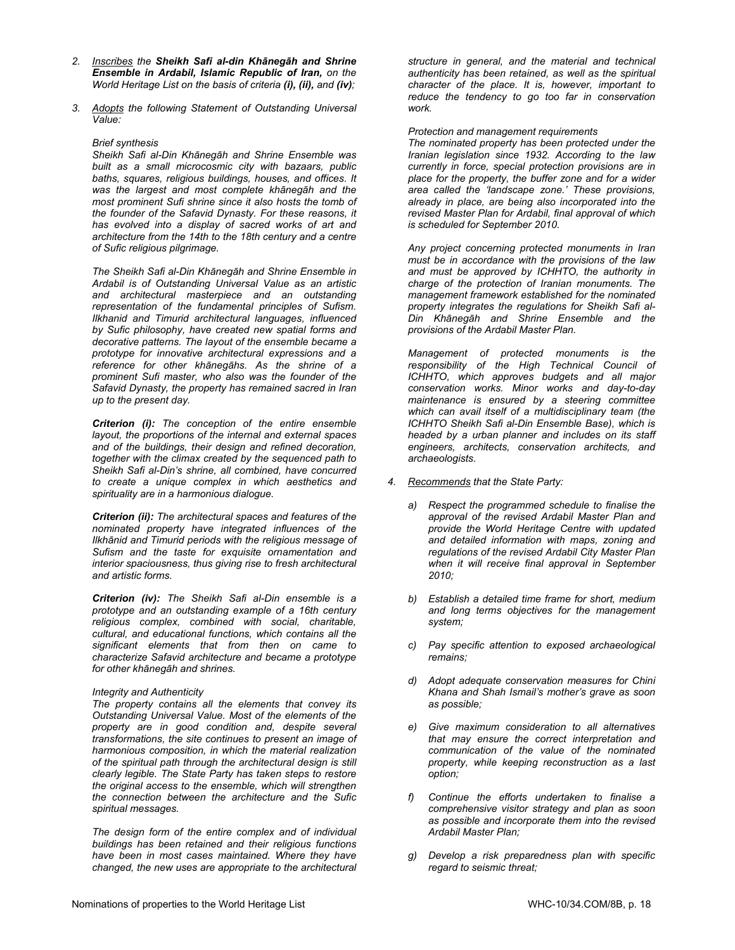- *2. Inscribes the Sheikh Safi al-din Khānegāh and Shrine Ensemble in Ardabil, Islamic Republic of Iran, on the World Heritage List on the basis of criteria (i), (ii), and (iv);*
- *3. Adopts the following Statement of Outstanding Universal Value:*

#### *Brief synthesis*

*Sheikh Safi al-Din Khānegāh and Shrine Ensemble was built as a small microcosmic city with bazaars, public baths, squares, religious buildings, houses, and offices. It was the largest and most complete khānegāh and the most prominent Sufi shrine since it also hosts the tomb of the founder of the Safavid Dynasty. For these reasons, it has evolved into a display of sacred works of art and architecture from the 14th to the 18th century and a centre of Sufic religious pilgrimage.* 

*The Sheikh Safi al-Din Khānegāh and Shrine Ensemble in Ardabil is of Outstanding Universal Value as an artistic and architectural masterpiece and an outstanding representation of the fundamental principles of Sufism. Ilkhanid and Timurid architectural languages, influenced by Sufic philosophy, have created new spatial forms and decorative patterns. The layout of the ensemble became a prototype for innovative architectural expressions and a reference for other khānegāhs. As the shrine of a prominent Sufi master, who also was the founder of the Safavid Dynasty, the property has remained sacred in Iran up to the present day.* 

*Criterion (i): The conception of the entire ensemble layout, the proportions of the internal and external spaces and of the buildings, their design and refined decoration, together with the climax created by the sequenced path to Sheikh Safi al-Din's shrine, all combined, have concurred to create a unique complex in which aesthetics and spirituality are in a harmonious dialogue.* 

*Criterion (ii): The architectural spaces and features of the nominated property have integrated influences of the Ilkhānid and Timurid periods with the religious message of Sufism and the taste for exquisite ornamentation and interior spaciousness, thus giving rise to fresh architectural and artistic forms.* 

*Criterion (iv): The Sheikh Safi al-Din ensemble is a prototype and an outstanding example of a 16th century religious complex, combined with social, charitable, cultural, and educational functions, which contains all the significant elements that from then on came to characterize Safavid architecture and became a prototype for other khānegāh and shrines.* 

#### *Integrity and Authenticity*

*The property contains all the elements that convey its Outstanding Universal Value. Most of the elements of the property are in good condition and, despite several transformations, the site continues to present an image of harmonious composition, in which the material realization of the spiritual path through the architectural design is still clearly legible. The State Party has taken steps to restore the original access to the ensemble, which will strengthen the connection between the architecture and the Sufic spiritual messages.* 

*The design form of the entire complex and of individual buildings has been retained and their religious functions have been in most cases maintained. Where they have changed, the new uses are appropriate to the architectural*  *structure in general, and the material and technical authenticity has been retained, as well as the spiritual character of the place. It is, however, important to reduce the tendency to go too far in conservation work.* 

*Protection and management requirements* 

*The nominated property has been protected under the Iranian legislation since 1932. According to the law currently in force, special protection provisions are in place for the property, the buffer zone and for a wider area called the 'landscape zone.' These provisions, already in place, are being also incorporated into the revised Master Plan for Ardabil, final approval of which is scheduled for September 2010.* 

*Any project concerning protected monuments in Iran must be in accordance with the provisions of the law and must be approved by ICHHTO, the authority in charge of the protection of Iranian monuments. The management framework established for the nominated property integrates the regulations for Sheikh Safi al-Din Khānegāh and Shrine Ensemble and the provisions of the Ardabil Master Plan.* 

*Management of protected monuments is the responsibility of the High Technical Council of ICHHTO, which approves budgets and all major conservation works. Minor works and day-to-day maintenance is ensured by a steering committee which can avail itself of a multidisciplinary team (the ICHHTO Sheikh Safi al-Din Ensemble Base), which is headed by a urban planner and includes on its staff engineers, architects, conservation architects, and archaeologists.* 

- *4. Recommends that the State Party:* 
	- *a) Respect the programmed schedule to finalise the approval of the revised Ardabil Master Plan and provide the World Heritage Centre with updated and detailed information with maps, zoning and regulations of the revised Ardabil City Master Plan when it will receive final approval in September 2010;*
	- *b) Establish a detailed time frame for short, medium and long terms objectives for the management system;*
	- *c) Pay specific attention to exposed archaeological remains;*
	- *d) Adopt adequate conservation measures for Chini Khana and Shah Ismail's mother's grave as soon as possible;*
	- *e) Give maximum consideration to all alternatives that may ensure the correct interpretation and communication of the value of the nominated property, while keeping reconstruction as a last option;*
	- *f) Continue the efforts undertaken to finalise a comprehensive visitor strategy and plan as soon as possible and incorporate them into the revised Ardabil Master Plan;*
	- *g) Develop a risk preparedness plan with specific regard to seismic threat;*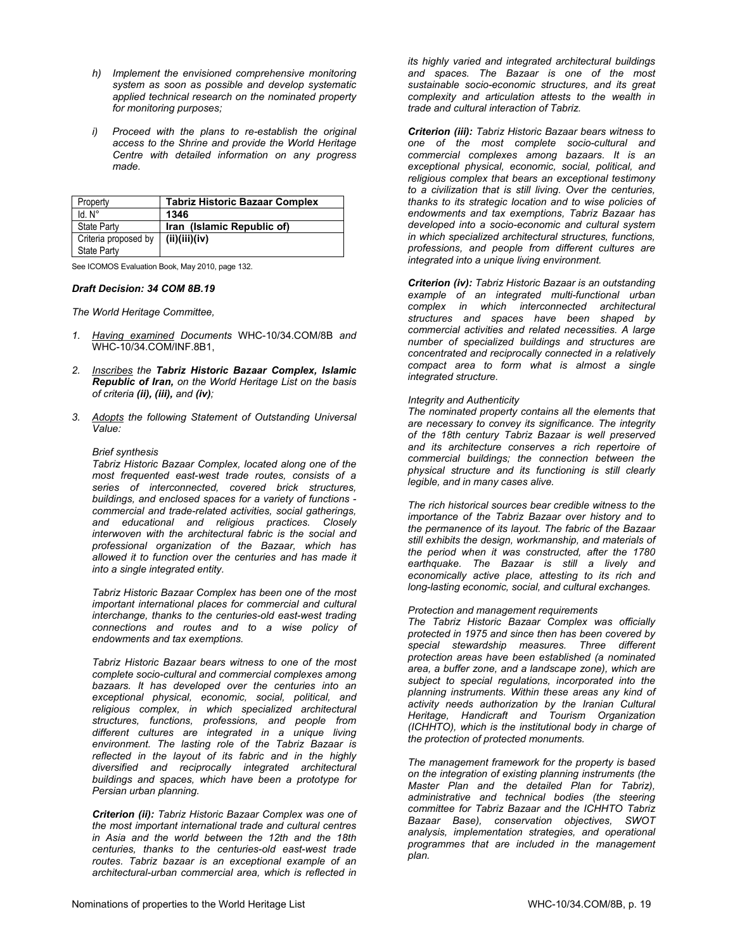- *h) Implement the envisioned comprehensive monitoring system as soon as possible and develop systematic applied technical research on the nominated property for monitoring purposes;*
- *i) Proceed with the plans to re-establish the original access to the Shrine and provide the World Heritage Centre with detailed information on any progress made.*

| Property             | <b>Tabriz Historic Bazaar Complex</b> |
|----------------------|---------------------------------------|
| Id. N°               | 1346                                  |
| <b>State Party</b>   | Iran (Islamic Republic of)            |
| Criteria proposed by | (ii)(iii)(iv)                         |
| State Party          |                                       |

See ICOMOS Evaluation Book, May 2010, page 132.

#### *Draft Decision: 34 COM 8B.19*

*The World Heritage Committee,* 

- *1. Having examined Documents* WHC-10/34.COM/8B *and* WHC-10/34.COM/INF.8B1,
- *2. Inscribes the Tabriz Historic Bazaar Complex, Islamic Republic of Iran, on the World Heritage List on the basis of criteria (ii), (iii), and (iv);*
- *3. Adopts the following Statement of Outstanding Universal Value:*

#### *Brief synthesis*

*Tabriz Historic Bazaar Complex, located along one of the most frequented east-west trade routes, consists of a series of interconnected, covered brick structures, buildings, and enclosed spaces for a variety of functions commercial and trade-related activities, social gatherings, and educational and religious practices. Closely interwoven with the architectural fabric is the social and professional organization of the Bazaar, which has allowed it to function over the centuries and has made it into a single integrated entity.* 

*Tabriz Historic Bazaar Complex has been one of the most important international places for commercial and cultural interchange, thanks to the centuries-old east-west trading connections and routes and to a wise policy of endowments and tax exemptions.* 

*Tabriz Historic Bazaar bears witness to one of the most complete socio-cultural and commercial complexes among bazaars. It has developed over the centuries into an exceptional physical, economic, social, political, and religious complex, in which specialized architectural structures, functions, professions, and people from different cultures are integrated in a unique living environment. The lasting role of the Tabriz Bazaar is reflected in the layout of its fabric and in the highly diversified and reciprocally integrated architectural buildings and spaces, which have been a prototype for Persian urban planning.* 

*Criterion (ii): Tabriz Historic Bazaar Complex was one of the most important international trade and cultural centres in Asia and the world between the 12th and the 18th centuries, thanks to the centuries-old east-west trade routes. Tabriz bazaar is an exceptional example of an architectural-urban commercial area, which is reflected in* 

*its highly varied and integrated architectural buildings and spaces. The Bazaar is one of the most sustainable socio-economic structures, and its great complexity and articulation attests to the wealth in trade and cultural interaction of Tabriz.* 

*Criterion (iii): Tabriz Historic Bazaar bears witness to one of the most complete socio-cultural and commercial complexes among bazaars. It is an exceptional physical, economic, social, political, and religious complex that bears an exceptional testimony to a civilization that is still living. Over the centuries, thanks to its strategic location and to wise policies of endowments and tax exemptions, Tabriz Bazaar has developed into a socio-economic and cultural system in which specialized architectural structures, functions, professions, and people from different cultures are integrated into a unique living environment.* 

*Criterion (iv): Tabriz Historic Bazaar is an outstanding example of an integrated multi-functional urban complex in which interconnected architectural structures and spaces have been shaped by commercial activities and related necessities. A large number of specialized buildings and structures are concentrated and reciprocally connected in a relatively compact area to form what is almost a single integrated structure.* 

#### *Integrity and Authenticity*

*The nominated property contains all the elements that are necessary to convey its significance. The integrity of the 18th century Tabriz Bazaar is well preserved and its architecture conserves a rich repertoire of commercial buildings; the connection between the physical structure and its functioning is still clearly legible, and in many cases alive.* 

*The rich historical sources bear credible witness to the importance of the Tabriz Bazaar over history and to the permanence of its layout. The fabric of the Bazaar still exhibits the design, workmanship, and materials of the period when it was constructed, after the 1780 earthquake. The Bazaar is still a lively and economically active place, attesting to its rich and long-lasting economic, social, and cultural exchanges.* 

#### *Protection and management requirements*

*The Tabriz Historic Bazaar Complex was officially protected in 1975 and since then has been covered by special stewardship measures. Three different protection areas have been established (a nominated area, a buffer zone, and a landscape zone), which are subject to special regulations, incorporated into the planning instruments. Within these areas any kind of activity needs authorization by the Iranian Cultural Heritage, Handicraft and Tourism Organization (ICHHTO), which is the institutional body in charge of the protection of protected monuments.* 

*The management framework for the property is based on the integration of existing planning instruments (the Master Plan and the detailed Plan for Tabriz), administrative and technical bodies (the steering committee for Tabriz Bazaar and the ICHHTO Tabriz Bazaar Base), conservation objectives, SWOT analysis, implementation strategies, and operational programmes that are included in the management plan.*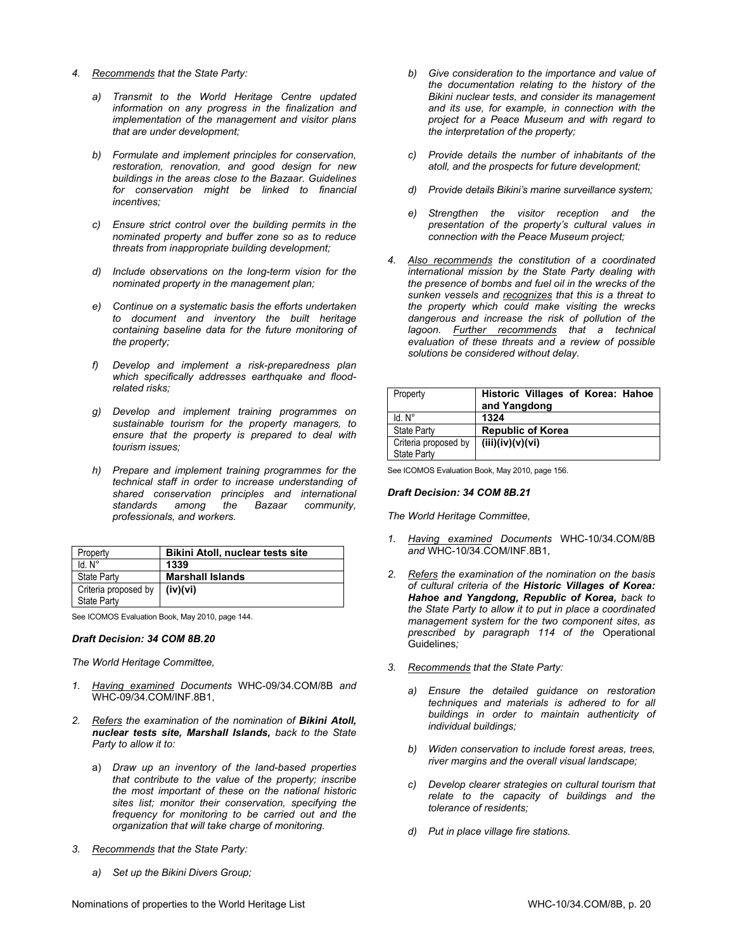- *4. Recommends that the State Party:* 
	- *a) Transmit to the World Heritage Centre updated information on any progress in the finalization and implementation of the management and visitor plans that are under development;*
	- *b) Formulate and implement principles for conservation, restoration, renovation, and good design for new buildings in the areas close to the Bazaar. Guidelines for conservation might be linked to financial incentives;*
	- *c) Ensure strict control over the building permits in the nominated property and buffer zone so as to reduce threats from inappropriate building development;*
	- *d) Include observations on the long-term vision for the nominated property in the management plan;*
	- *e) Continue on a systematic basis the efforts undertaken to document and inventory the built heritage containing baseline data for the future monitoring of the property;*
	- *f) Develop and implement a risk-preparedness plan which specifically addresses earthquake and floodrelated risks;*
	- *g) Develop and implement training programmes on sustainable tourism for the property managers, to ensure that the property is prepared to deal with tourism issues;*
	- *h) Prepare and implement training programmes for the technical staff in order to increase understanding of shared conservation principles and international standards among the Bazaar community, professionals, and workers.*

| Property             | <b>Bikini Atoll, nuclear tests site</b> |
|----------------------|-----------------------------------------|
| $Id. N^\circ$        | 1339                                    |
| State Party          | <b>Marshall Islands</b>                 |
| Criteria proposed by | (iv)(vi)                                |
| <b>State Party</b>   |                                         |

See ICOMOS Evaluation Book, May 2010, page 144.

#### *Draft Decision: 34 COM 8B.20*

*The World Heritage Committee,* 

- *1. Having examined Documents* WHC-09/34.COM/8B *and* WHC-09/34.COM/INF.8B1,
- *2. Refers the examination of the nomination of Bikini Atoll, nuclear tests site, Marshall Islands, back to the State Party to allow it to:*
	- a) *Draw up an inventory of the land-based properties that contribute to the value of the property; inscribe the most important of these on the national historic sites list; monitor their conservation, specifying the frequency for monitoring to be carried out and the organization that will take charge of monitoring.*
- *3. Recommends that the State Party:* 
	- *a) Set up the Bikini Divers Group;*
- *b) Give consideration to the importance and value of the documentation relating to the history of the Bikini nuclear tests, and consider its management and its use, for example, in connection with the project for a Peace Museum and with regard to the interpretation of the property;*
- *c) Provide details the number of inhabitants of the atoll, and the prospects for future development;*
- *d) Provide details Bikini's marine surveillance system;*
- *e) Strengthen the visitor reception and the presentation of the property's cultural values in connection with the Peace Museum project;*
- *4. Also recommends the constitution of a coordinated international mission by the State Party dealing with the presence of bombs and fuel oil in the wrecks of the sunken vessels and recognizes that this is a threat to the property which could make visiting the wrecks dangerous and increase the risk of pollution of the lagoon. Further recommends that a technical evaluation of these threats and a review of possible solutions be considered without delay.*

| Property                                   | Historic Villages of Korea: Hahoe<br>and Yangdong |
|--------------------------------------------|---------------------------------------------------|
| $Id. N^\circ$                              | 1324                                              |
| <b>State Party</b>                         | <b>Republic of Korea</b>                          |
| Criteria proposed by<br><b>State Party</b> | (iii)(iv)(v)(vi)                                  |

See ICOMOS Evaluation Book, May 2010, page 156.

#### *Draft Decision: 34 COM 8B.21*

- *1. Having examined Documents* WHC-10/34.COM/8B *and* WHC-10/34.COM/INF.8B1,
- *2. Refers the examination of the nomination on the basis of cultural criteria of the Historic Villages of Korea: Hahoe and Yangdong, Republic of Korea, back to the State Party to allow it to put in place a coordinated management system for the two component sites, as prescribed by paragraph 114 of the* Operational Guidelines*;*
- *3. Recommends that the State Party:* 
	- *a) Ensure the detailed guidance on restoration techniques and materials is adhered to for all buildings in order to maintain authenticity of individual buildings;*
	- *b) Widen conservation to include forest areas, trees, river margins and the overall visual landscape;*
	- *c) Develop clearer strategies on cultural tourism that relate to the capacity of buildings and the tolerance of residents;*
	- *d) Put in place village fire stations.*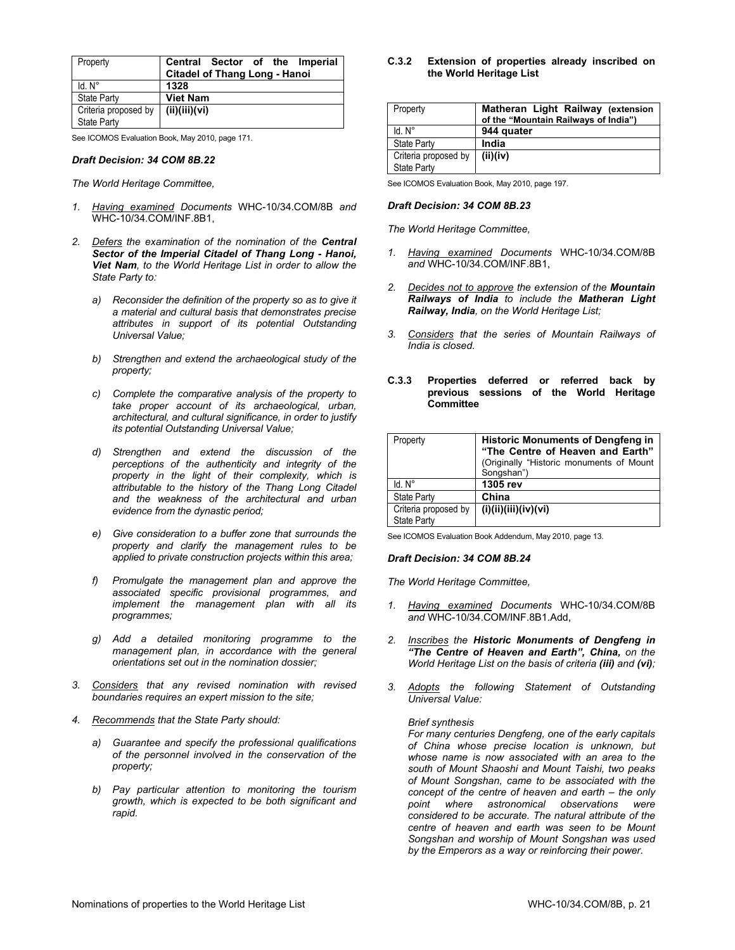| Property                                   | Central Sector of the Imperial<br><b>Citadel of Thang Long - Hanoi</b> |
|--------------------------------------------|------------------------------------------------------------------------|
| $Id. N^\circ$                              | 1328                                                                   |
| <b>State Party</b>                         | <b>Viet Nam</b>                                                        |
| Criteria proposed by<br><b>State Party</b> | (ii)(iii)(vi)                                                          |

See ICOMOS Evaluation Book, May 2010, page 171.

#### *Draft Decision: 34 COM 8B.22*

*The World Heritage Committee,* 

- *1. Having examined Documents* WHC-10/34.COM/8B *and* WHC-10/34.COM/INF.8B1,
- *2. Defers the examination of the nomination of the Central Sector of the Imperial Citadel of Thang Long - Hanoi, Viet Nam, to the World Heritage List in order to allow the State Party to:* 
	- *a) Reconsider the definition of the property so as to give it a material and cultural basis that demonstrates precise attributes in support of its potential Outstanding Universal Value;*
	- *b) Strengthen and extend the archaeological study of the property;*
	- *c) Complete the comparative analysis of the property to take proper account of its archaeological, urban, architectural, and cultural significance, in order to justify its potential Outstanding Universal Value;*
	- *d) Strengthen and extend the discussion of the perceptions of the authenticity and integrity of the property in the light of their complexity, which is attributable to the history of the Thang Long Citadel and the weakness of the architectural and urban evidence from the dynastic period;*
	- *e) Give consideration to a buffer zone that surrounds the property and clarify the management rules to be applied to private construction projects within this area;*
	- *f) Promulgate the management plan and approve the associated specific provisional programmes, and implement the management plan with all its programmes;*
	- *g) Add a detailed monitoring programme to the management plan, in accordance with the general orientations set out in the nomination dossier;*
- *3. Considers that any revised nomination with revised boundaries requires an expert mission to the site;*
- *4. Recommends that the State Party should:* 
	- *a) Guarantee and specify the professional qualifications of the personnel involved in the conservation of the property;*
	- *b) Pay particular attention to monitoring the tourism growth, which is expected to be both significant and rapid.*

**C.3.2 Extension of properties already inscribed on the World Heritage List**

| Property                            | Matheran Light Railway (extension<br>of the "Mountain Railways of India") |
|-------------------------------------|---------------------------------------------------------------------------|
| Id N°                               | 944 quater                                                                |
| <b>State Party</b>                  | India                                                                     |
| Criteria proposed by<br>State Party | (ii)(iv)                                                                  |

See ICOMOS Evaluation Book, May 2010, page 197.

#### *Draft Decision: 34 COM 8B.23*

*The World Heritage Committee,* 

- *1. Having examined Documents* WHC-10/34.COM/8B *and* WHC-10/34.COM/INF.8B1,
- *2. Decides not to approve the extension of the Mountain Railways of India to include the Matheran Light Railway, India, on the World Heritage List;*
- *3. Considers that the series of Mountain Railways of India is closed.*
- **C.3.3 Properties deferred or referred back by previous sessions of the World Heritage Committee**

| Property                                   | <b>Historic Monuments of Dengfeng in</b><br>"The Centre of Heaven and Earth"<br>(Originally "Historic monuments of Mount<br>Songshan") |
|--------------------------------------------|----------------------------------------------------------------------------------------------------------------------------------------|
| Id. N°                                     | 1305 rev                                                                                                                               |
| <b>State Party</b>                         | China                                                                                                                                  |
| Criteria proposed by<br><b>State Party</b> | (i)(ii)(iii)(iv)(vi)                                                                                                                   |

See ICOMOS Evaluation Book Addendum, May 2010, page 13.

#### *Draft Decision: 34 COM 8B.24*

*The World Heritage Committee,* 

- *1. Having examined Documents* WHC-10/34.COM/8B *and* WHC-10/34.COM/INF.8B1.Add,
- *2. Inscribes the Historic Monuments of Dengfeng in "The Centre of Heaven and Earth", China, on the World Heritage List on the basis of criteria (iii) and (vi);*
- *3. Adopts the following Statement of Outstanding Universal Value:*

#### *Brief synthesis*

*For many centuries Dengfeng, one of the early capitals of China whose precise location is unknown, but whose name is now associated with an area to the south of Mount Shaoshi and Mount Taishi, two peaks of Mount Songshan, came to be associated with the concept of the centre of heaven and earth – the only point where astronomical observations were considered to be accurate. The natural attribute of the centre of heaven and earth was seen to be Mount Songshan and worship of Mount Songshan was used by the Emperors as a way or reinforcing their power.*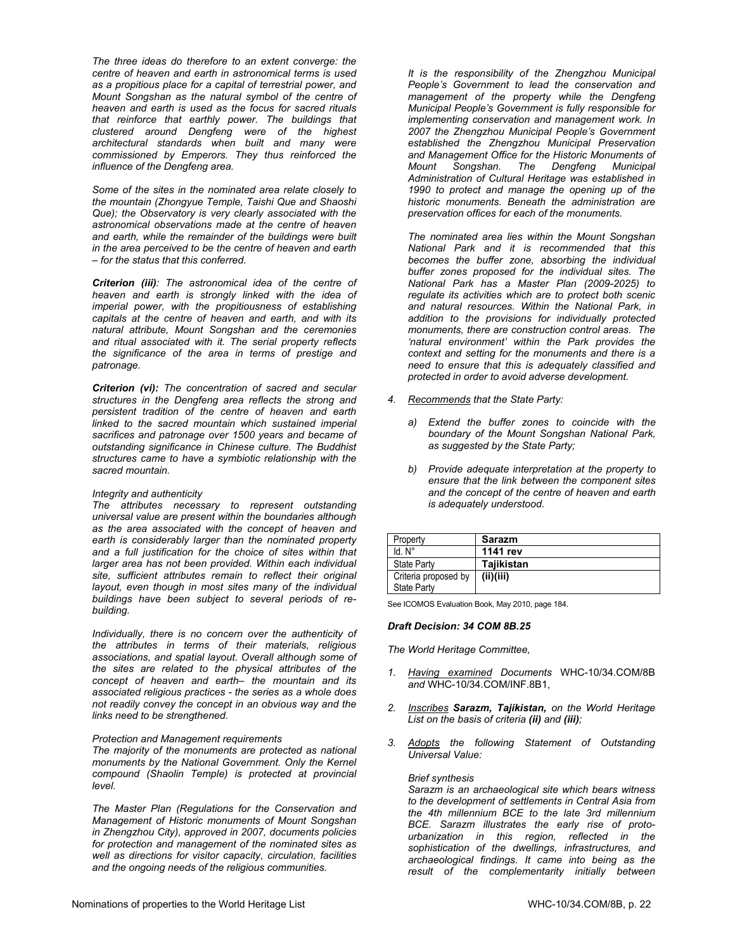*The three ideas do therefore to an extent converge: the centre of heaven and earth in astronomical terms is used as a propitious place for a capital of terrestrial power, and Mount Songshan as the natural symbol of the centre of heaven and earth is used as the focus for sacred rituals that reinforce that earthly power. The buildings that clustered around Dengfeng were of the highest architectural standards when built and many were commissioned by Emperors. They thus reinforced the influence of the Dengfeng area.* 

*Some of the sites in the nominated area relate closely to the mountain (Zhongyue Temple, Taishi Que and Shaoshi Que); the Observatory is very clearly associated with the astronomical observations made at the centre of heaven and earth, while the remainder of the buildings were built in the area perceived to be the centre of heaven and earth – for the status that this conferred.* 

*Criterion (iii): The astronomical idea of the centre of heaven and earth is strongly linked with the idea of imperial power, with the propitiousness of establishing capitals at the centre of heaven and earth, and with its natural attribute, Mount Songshan and the ceremonies and ritual associated with it. The serial property reflects the significance of the area in terms of prestige and patronage.* 

*Criterion (vi): The concentration of sacred and secular structures in the Dengfeng area reflects the strong and persistent tradition of the centre of heaven and earth linked to the sacred mountain which sustained imperial sacrifices and patronage over 1500 years and became of outstanding significance in Chinese culture. The Buddhist structures came to have a symbiotic relationship with the sacred mountain.* 

# *Integrity and authenticity*

*The attributes necessary to represent outstanding universal value are present within the boundaries although as the area associated with the concept of heaven and earth is considerably larger than the nominated property and a full justification for the choice of sites within that larger area has not been provided. Within each individual site, sufficient attributes remain to reflect their original layout, even though in most sites many of the individual buildings have been subject to several periods of rebuilding.* 

*Individually, there is no concern over the authenticity of the attributes in terms of their materials, religious associations, and spatial layout. Overall although some of the sites are related to the physical attributes of the concept of heaven and earth– the mountain and its associated religious practices - the series as a whole does not readily convey the concept in an obvious way and the links need to be strengthened.* 

# *Protection and Management requirements*

*The majority of the monuments are protected as national monuments by the National Government. Only the Kernel compound (Shaolin Temple) is protected at provincial level.* 

*The Master Plan (Regulations for the Conservation and Management of Historic monuments of Mount Songshan in Zhengzhou City), approved in 2007, documents policies for protection and management of the nominated sites as well as directions for visitor capacity, circulation, facilities and the ongoing needs of the religious communities.* 

*It is the responsibility of the Zhengzhou Municipal People's Government to lead the conservation and management of the property while the Dengfeng Municipal People's Government is fully responsible for implementing conservation and management work. In 2007 the Zhengzhou Municipal People's Government established the Zhengzhou Municipal Preservation and Management Office for the Historic Monuments of Mount Songshan. The Dengfeng Municipal Administration of Cultural Heritage was established in 1990 to protect and manage the opening up of the historic monuments. Beneath the administration are preservation offices for each of the monuments.* 

*The nominated area lies within the Mount Songshan National Park and it is recommended that this becomes the buffer zone, absorbing the individual buffer zones proposed for the individual sites. The National Park has a Master Plan (2009-2025) to regulate its activities which are to protect both scenic and natural resources. Within the National Park, in addition to the provisions for individually protected monuments, there are construction control areas. The 'natural environment' within the Park provides the context and setting for the monuments and there is a need to ensure that this is adequately classified and protected in order to avoid adverse development.* 

- *4. Recommends that the State Party:* 
	- *a) Extend the buffer zones to coincide with the boundary of the Mount Songshan National Park, as suggested by the State Party;*
	- *b) Provide adequate interpretation at the property to ensure that the link between the component sites and the concept of the centre of heaven and earth is adequately understood.*

| Property                            | <b>Sarazm</b> |
|-------------------------------------|---------------|
| ld N°                               | 1141 rev      |
| <b>State Party</b>                  | Tajikistan    |
| Criteria proposed by<br>State Party | (ii)(iii)     |
|                                     |               |

See ICOMOS Evaluation Book, May 2010, page 184.

#### *Draft Decision: 34 COM 8B.25*

*The World Heritage Committee,* 

- *1. Having examined Documents* WHC-10/34.COM/8B *and* WHC-10/34.COM/INF.8B1,
- *2. Inscribes Sarazm, Tajikistan, on the World Heritage List on the basis of criteria (ii) and (iii);*
- *3. Adopts the following Statement of Outstanding Universal Value:*

#### *Brief synthesis*

*Sarazm is an archaeological site which bears witness to the development of settlements in Central Asia from the 4th millennium BCE to the late 3rd millennium BCE. Sarazm illustrates the early rise of protourbanization in this region, reflected in the sophistication of the dwellings, infrastructures, and archaeological findings. It came into being as the result of the complementarity initially between*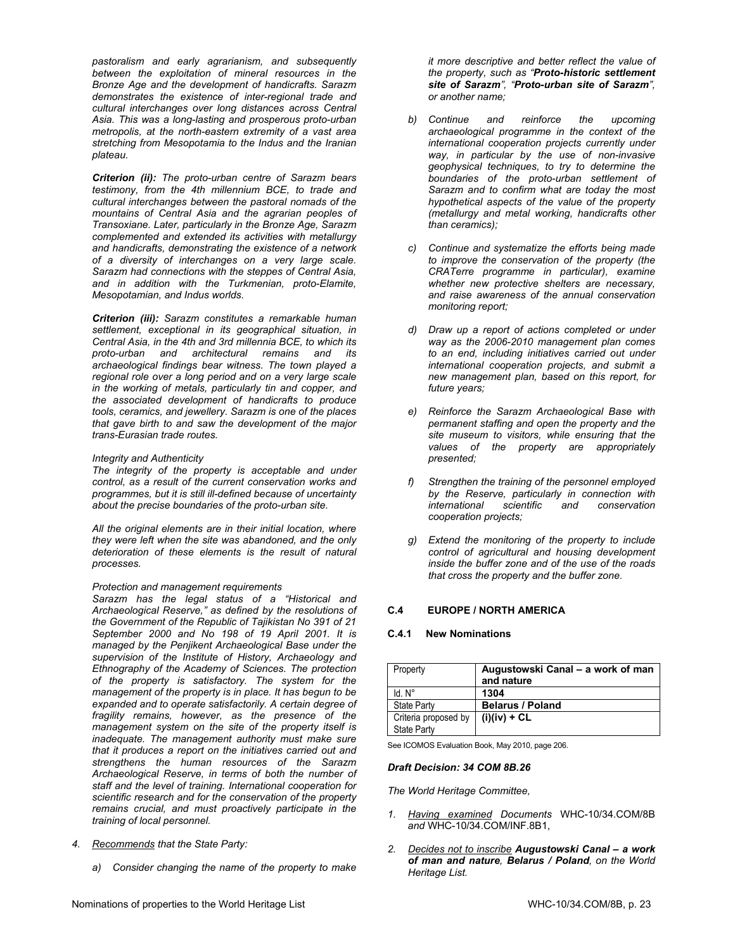*pastoralism and early agrarianism, and subsequently between the exploitation of mineral resources in the Bronze Age and the development of handicrafts. Sarazm demonstrates the existence of inter-regional trade and cultural interchanges over long distances across Central Asia. This was a long-lasting and prosperous proto-urban metropolis, at the north-eastern extremity of a vast area stretching from Mesopotamia to the Indus and the Iranian plateau.* 

*Criterion (ii): The proto-urban centre of Sarazm bears testimony, from the 4th millennium BCE, to trade and cultural interchanges between the pastoral nomads of the mountains of Central Asia and the agrarian peoples of Transoxiane. Later, particularly in the Bronze Age, Sarazm complemented and extended its activities with metallurgy and handicrafts, demonstrating the existence of a network of a diversity of interchanges on a very large scale. Sarazm had connections with the steppes of Central Asia, and in addition with the Turkmenian, proto-Elamite, Mesopotamian, and Indus worlds.* 

*Criterion (iii): Sarazm constitutes a remarkable human settlement, exceptional in its geographical situation, in Central Asia, in the 4th and 3rd millennia BCE, to which its proto-urban and architectural remains and its archaeological findings bear witness. The town played a regional role over a long period and on a very large scale in the working of metals, particularly tin and copper, and the associated development of handicrafts to produce tools, ceramics, and jewellery. Sarazm is one of the places that gave birth to and saw the development of the major trans-Eurasian trade routes.* 

# *Integrity and Authenticity*

*The integrity of the property is acceptable and under control, as a result of the current conservation works and programmes, but it is still ill-defined because of uncertainty about the precise boundaries of the proto-urban site.* 

*All the original elements are in their initial location, where they were left when the site was abandoned, and the only deterioration of these elements is the result of natural processes.* 

# *Protection and management requirements*

*Sarazm has the legal status of a "Historical and Archaeological Reserve," as defined by the resolutions of the Government of the Republic of Tajikistan No 391 of 21 September 2000 and No 198 of 19 April 2001. It is managed by the Penjikent Archaeological Base under the supervision of the Institute of History, Archaeology and Ethnography of the Academy of Sciences. The protection of the property is satisfactory. The system for the management of the property is in place. It has begun to be expanded and to operate satisfactorily. A certain degree of fragility remains, however, as the presence of the management system on the site of the property itself is inadequate. The management authority must make sure that it produces a report on the initiatives carried out and strengthens the human resources of the Sarazm Archaeological Reserve, in terms of both the number of staff and the level of training. International cooperation for scientific research and for the conservation of the property remains crucial, and must proactively participate in the training of local personnel.* 

- *4. Recommends that the State Party:* 
	- *a) Consider changing the name of the property to make*
- *b) Continue and reinforce the upcoming archaeological programme in the context of the international cooperation projects currently under way, in particular by the use of non-invasive geophysical techniques, to try to determine the boundaries of the proto-urban settlement of Sarazm and to confirm what are today the most hypothetical aspects of the value of the property (metallurgy and metal working, handicrafts other than ceramics);*
- *c) Continue and systematize the efforts being made to improve the conservation of the property (the CRATerre programme in particular), examine whether new protective shelters are necessary, and raise awareness of the annual conservation monitoring report;*
- *d) Draw up a report of actions completed or under way as the 2006-2010 management plan comes to an end, including initiatives carried out under international cooperation projects, and submit a new management plan, based on this report, for future years;*
- *e) Reinforce the Sarazm Archaeological Base with permanent staffing and open the property and the site museum to visitors, while ensuring that the values of the property are appropriately presented;*
- *f) Strengthen the training of the personnel employed by the Reserve, particularly in connection with international scientific and conservation cooperation projects;*
- *g) Extend the monitoring of the property to include control of agricultural and housing development inside the buffer zone and of the use of the roads that cross the property and the buffer zone*.

# **C.4 EUROPE / NORTH AMERICA**

# **C.4.1 New Nominations**

| Property                                   | Augustowski Canal – a work of man<br>and nature |
|--------------------------------------------|-------------------------------------------------|
| $Id$ $N^{\circ}$                           | 1304                                            |
| <b>State Party</b>                         | <b>Belarus / Poland</b>                         |
| Criteria proposed by<br><b>State Party</b> | $(i)(iv) + CL$                                  |

See ICOMOS Evaluation Book, May 2010, page 206.

# *Draft Decision: 34 COM 8B.26*

- *1. Having examined Documents* WHC-10/34.COM/8B *and* WHC-10/34.COM/INF.8B1,
- *2. Decides not to inscribe Augustowski Canal a work of man and nature, Belarus / Poland, on the World Heritage List.*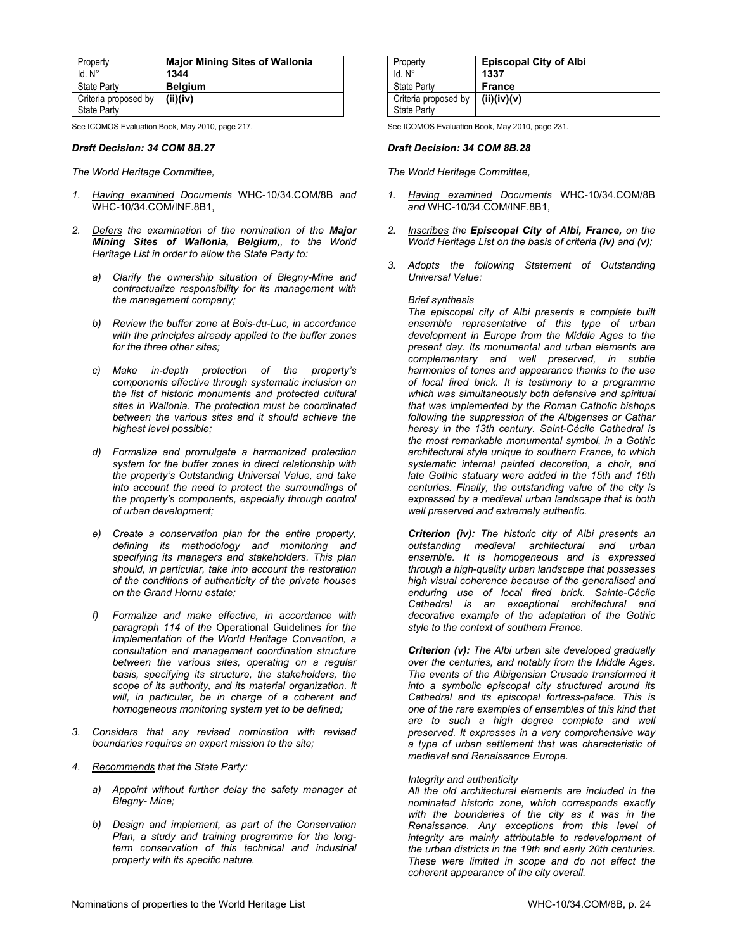| Property             | <b>Major Mining Sites of Wallonia</b> |
|----------------------|---------------------------------------|
| $Id. N^{\circ}$      | 1344                                  |
| <b>State Party</b>   | <b>Belgium</b>                        |
| Criteria proposed by | (ii)(iv)                              |
| State Party          |                                       |

See ICOMOS Evaluation Book, May 2010, page 217.

#### *Draft Decision: 34 COM 8B.27*

*The World Heritage Committee,* 

- *1. Having examined Documents* WHC-10/34.COM/8B *and* WHC-10/34.COM/INF.8B1,
- *2. Defers the examination of the nomination of the Major Mining Sites of Wallonia, Belgium,, to the World Heritage List in order to allow the State Party to:* 
	- *a) Clarify the ownership situation of Blegny-Mine and contractualize responsibility for its management with the management company;*
	- *b) Review the buffer zone at Bois-du-Luc, in accordance with the principles already applied to the buffer zones for the three other sites;*
	- *c) Make in-depth protection of the property's components effective through systematic inclusion on the list of historic monuments and protected cultural sites in Wallonia. The protection must be coordinated between the various sites and it should achieve the highest level possible;*
	- *d) Formalize and promulgate a harmonized protection system for the buffer zones in direct relationship with the property's Outstanding Universal Value, and take into account the need to protect the surroundings of the property's components, especially through control of urban development;*
	- *e) Create a conservation plan for the entire property, defining its methodology and monitoring and specifying its managers and stakeholders. This plan should, in particular, take into account the restoration of the conditions of authenticity of the private houses on the Grand Hornu estate;*
	- *f) Formalize and make effective, in accordance with paragraph 114 of the* Operational Guidelines *for the Implementation of the World Heritage Convention, a consultation and management coordination structure between the various sites, operating on a regular basis, specifying its structure, the stakeholders, the scope of its authority, and its material organization. It will, in particular, be in charge of a coherent and homogeneous monitoring system yet to be defined;*
- *3. Considers that any revised nomination with revised boundaries requires an expert mission to the site;*
- *4. Recommends that the State Party:* 
	- *a) Appoint without further delay the safety manager at Blegny- Mine;*
	- *b) Design and implement, as part of the Conservation Plan, a study and training programme for the longterm conservation of this technical and industrial property with its specific nature.*

| Property                                   | <b>Episcopal City of Albi</b> |
|--------------------------------------------|-------------------------------|
| $Id$ $N^{\circ}$                           | 1337                          |
| <b>State Party</b>                         | <b>France</b>                 |
| Criteria proposed by<br><b>State Party</b> | (ii)(iv)(v)                   |

See ICOMOS Evaluation Book, May 2010, page 231.

#### *Draft Decision: 34 COM 8B.28*

*The World Heritage Committee,* 

- *1. Having examined Documents* WHC-10/34.COM/8B *and* WHC-10/34.COM/INF.8B1,
- *2. Inscribes the Episcopal City of Albi, France, on the World Heritage List on the basis of criteria (iv) and (v);*
- *3. Adopts the following Statement of Outstanding Universal Value:*

#### *Brief synthesis*

*The episcopal city of Albi presents a complete built ensemble representative of this type of urban development in Europe from the Middle Ages to the present day. Its monumental and urban elements are complementary and well preserved, in subtle harmonies of tones and appearance thanks to the use of local fired brick. It is testimony to a programme which was simultaneously both defensive and spiritual that was implemented by the Roman Catholic bishops following the suppression of the Albigenses or Cathar heresy in the 13th century. Saint-Cécile Cathedral is the most remarkable monumental symbol, in a Gothic architectural style unique to southern France, to which systematic internal painted decoration, a choir, and late Gothic statuary were added in the 15th and 16th centuries. Finally, the outstanding value of the city is expressed by a medieval urban landscape that is both well preserved and extremely authentic.* 

*Criterion (iv): The historic city of Albi presents an outstanding medieval architectural and urban ensemble. It is homogeneous and is expressed through a high-quality urban landscape that possesses high visual coherence because of the generalised and enduring use of local fired brick. Sainte-Cécile Cathedral is an exceptional architectural and decorative example of the adaptation of the Gothic style to the context of southern France.* 

*Criterion (v): The Albi urban site developed gradually over the centuries, and notably from the Middle Ages. The events of the Albigensian Crusade transformed it into a symbolic episcopal city structured around its Cathedral and its episcopal fortress-palace. This is one of the rare examples of ensembles of this kind that are to such a high degree complete and well preserved. It expresses in a very comprehensive way a type of urban settlement that was characteristic of medieval and Renaissance Europe.* 

#### *Integrity and authenticity*

*All the old architectural elements are included in the nominated historic zone, which corresponds exactly with the boundaries of the city as it was in the Renaissance. Any exceptions from this level of integrity are mainly attributable to redevelopment of the urban districts in the 19th and early 20th centuries. These were limited in scope and do not affect the coherent appearance of the city overall.*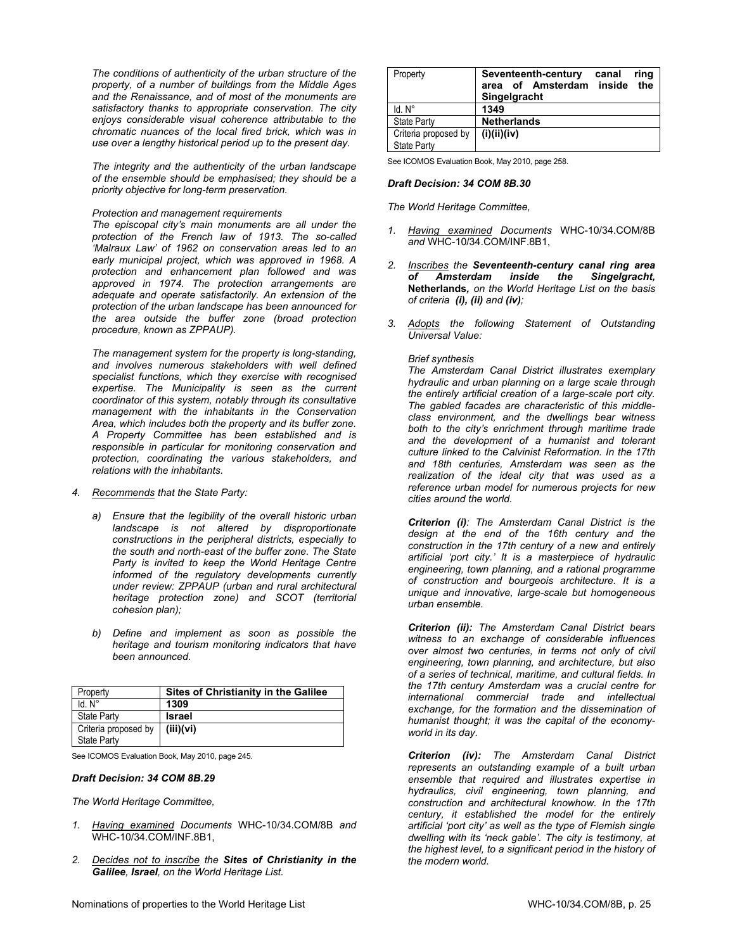*The conditions of authenticity of the urban structure of the property, of a number of buildings from the Middle Ages and the Renaissance, and of most of the monuments are satisfactory thanks to appropriate conservation. The city enjoys considerable visual coherence attributable to the chromatic nuances of the local fired brick, which was in use over a lengthy historical period up to the present day.* 

*The integrity and the authenticity of the urban landscape of the ensemble should be emphasised; they should be a priority objective for long-term preservation.* 

#### *Protection and management requirements*

*The episcopal city's main monuments are all under the protection of the French law of 1913. The so-called 'Malraux Law' of 1962 on conservation areas led to an early municipal project, which was approved in 1968. A protection and enhancement plan followed and was approved in 1974. The protection arrangements are adequate and operate satisfactorily. An extension of the protection of the urban landscape has been announced for the area outside the buffer zone (broad protection procedure, known as ZPPAUP).* 

*The management system for the property is long-standing, and involves numerous stakeholders with well defined specialist functions, which they exercise with recognised expertise. The Municipality is seen as the current coordinator of this system, notably through its consultative management with the inhabitants in the Conservation Area, which includes both the property and its buffer zone. A Property Committee has been established and is responsible in particular for monitoring conservation and protection, coordinating the various stakeholders, and relations with the inhabitants.* 

#### *4. Recommends that the State Party:*

- *a) Ensure that the legibility of the overall historic urban landscape is not altered by disproportionate constructions in the peripheral districts, especially to the south and north-east of the buffer zone. The State Party is invited to keep the World Heritage Centre informed of the regulatory developments currently under review: ZPPAUP (urban and rural architectural heritage protection zone) and SCOT (territorial cohesion plan);*
- *b) Define and implement as soon as possible the heritage and tourism monitoring indicators that have been announced.*

| Property             | <b>Sites of Christianity in the Galilee</b> |
|----------------------|---------------------------------------------|
| $Id. N^\circ$        | 1309                                        |
| <b>State Party</b>   | <b>Israel</b>                               |
| Criteria proposed by | (iii)(vi)                                   |
| State Party          |                                             |

See ICOMOS Evaluation Book, May 2010, page 245.

#### *Draft Decision: 34 COM 8B.29*

*The World Heritage Committee,* 

- *1. Having examined Documents* WHC-10/34.COM/8B *and* WHC-10/34.COM/INF.8B1,
- *2. Decides not to inscribe the Sites of Christianity in the Galilee, Israel, on the World Heritage List.*

| Property                            | Seventeenth-century<br>area of Amsterdam inside<br>Singelgracht | canal | ring<br>the |
|-------------------------------------|-----------------------------------------------------------------|-------|-------------|
| $Id$ $N^{\circ}$                    | 1349                                                            |       |             |
| <b>State Party</b>                  | <b>Netherlands</b>                                              |       |             |
| Criteria proposed by<br>State Party | (i)(ii)(iv)                                                     |       |             |

See ICOMOS Evaluation Book, May 2010, page 258.

# *Draft Decision: 34 COM 8B.30*

*The World Heritage Committee,* 

- *1. Having examined Documents* WHC-10/34.COM/8B *and* WHC-10/34.COM/INF.8B1,
- *2. Inscribes the Seventeenth-century canal ring area of Amsterdam inside the Singelgracht,*  **Netherlands***, on the World Heritage List on the basis of criteria (i), (ii) and (iv);*
- *3. Adopts the following Statement of Outstanding Universal Value:*

# *Brief synthesis*

*The Amsterdam Canal District illustrates exemplary hydraulic and urban planning on a large scale through the entirely artificial creation of a large-scale port city. The gabled facades are characteristic of this middleclass environment, and the dwellings bear witness both to the city's enrichment through maritime trade and the development of a humanist and tolerant culture linked to the Calvinist Reformation. In the 17th and 18th centuries, Amsterdam was seen as the realization of the ideal city that was used as a reference urban model for numerous projects for new cities around the world.* 

*Criterion (i): The Amsterdam Canal District is the design at the end of the 16th century and the construction in the 17th century of a new and entirely artificial 'port city.' It is a masterpiece of hydraulic engineering, town planning, and a rational programme of construction and bourgeois architecture. It is a unique and innovative, large-scale but homogeneous urban ensemble.* 

*Criterion (ii): The Amsterdam Canal District bears witness to an exchange of considerable influences over almost two centuries, in terms not only of civil engineering, town planning, and architecture, but also of a series of technical, maritime, and cultural fields. In the 17th century Amsterdam was a crucial centre for international commercial trade and intellectual exchange, for the formation and the dissemination of humanist thought; it was the capital of the economyworld in its day.* 

*Criterion (iv): The Amsterdam Canal District represents an outstanding example of a built urban ensemble that required and illustrates expertise in hydraulics, civil engineering, town planning, and construction and architectural knowhow. In the 17th century, it established the model for the entirely artificial 'port city' as well as the type of Flemish single dwelling with its 'neck gable'. The city is testimony, at the highest level, to a significant period in the history of the modern world.*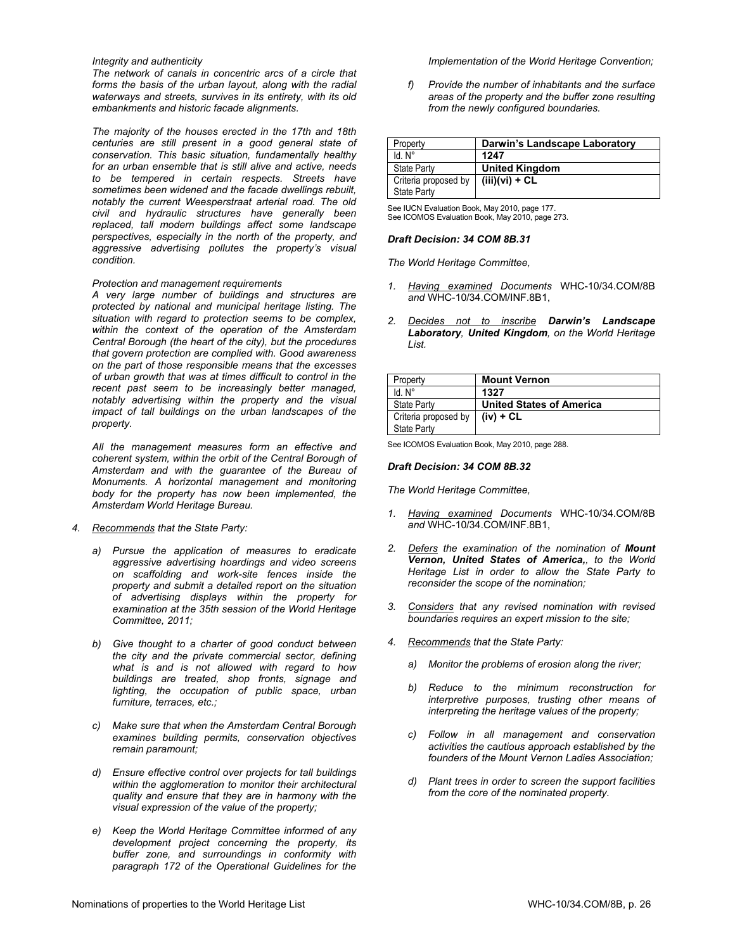### *Integrity and authenticity*

*The network of canals in concentric arcs of a circle that forms the basis of the urban layout, along with the radial waterways and streets, survives in its entirety, with its old embankments and historic facade alignments.* 

*The majority of the houses erected in the 17th and 18th centuries are still present in a good general state of conservation. This basic situation, fundamentally healthy for an urban ensemble that is still alive and active, needs to be tempered in certain respects. Streets have sometimes been widened and the facade dwellings rebuilt, notably the current Weesperstraat arterial road. The old civil and hydraulic structures have generally been replaced, tall modern buildings affect some landscape perspectives, especially in the north of the property, and aggressive advertising pollutes the property's visual condition.* 

### *Protection and management requirements*

*A very large number of buildings and structures are protected by national and municipal heritage listing. The situation with regard to protection seems to be complex, within the context of the operation of the Amsterdam Central Borough (the heart of the city), but the procedures that govern protection are complied with. Good awareness on the part of those responsible means that the excesses of urban growth that was at times difficult to control in the recent past seem to be increasingly better managed, notably advertising within the property and the visual impact of tall buildings on the urban landscapes of the property.* 

*All the management measures form an effective and coherent system, within the orbit of the Central Borough of Amsterdam and with the guarantee of the Bureau of Monuments. A horizontal management and monitoring body for the property has now been implemented, the Amsterdam World Heritage Bureau.* 

- *4. Recommends that the State Party:* 
	- *a) Pursue the application of measures to eradicate aggressive advertising hoardings and video screens on scaffolding and work-site fences inside the property and submit a detailed report on the situation of advertising displays within the property for examination at the 35th session of the World Heritage Committee, 2011;*
	- *b) Give thought to a charter of good conduct between the city and the private commercial sector, defining what is and is not allowed with regard to how buildings are treated, shop fronts, signage and lighting, the occupation of public space, urban furniture, terraces, etc.;*
	- *c) Make sure that when the Amsterdam Central Borough examines building permits, conservation objectives remain paramount;*
	- *d) Ensure effective control over projects for tall buildings within the agglomeration to monitor their architectural quality and ensure that they are in harmony with the visual expression of the value of the property;*
	- *e) Keep the World Heritage Committee informed of any development project concerning the property, its buffer zone, and surroundings in conformity with paragraph 172 of the Operational Guidelines for the*

#### *Implementation of the World Heritage Convention;*

*f) Provide the number of inhabitants and the surface areas of the property and the buffer zone resulting from the newly configured boundaries.* 

| Property             | Darwin's Landscape Laboratory |
|----------------------|-------------------------------|
| ld N°                | 1247                          |
| <b>State Party</b>   | <b>United Kingdom</b>         |
| Criteria proposed by | $(iii)(vi) + CL$              |
| State Party          |                               |

See IUCN Evaluation Book, May 2010, page 177. See ICOMOS Evaluation Book, May 2010, page 273.

#### *Draft Decision: 34 COM 8B.31*

*The World Heritage Committee,* 

- *1. Having examined Documents* WHC-10/34.COM/8B *and* WHC-10/34.COM/INF.8B1,
- *2. Decides not to inscribe Darwin's Landscape Laboratory, United Kingdom, on the World Heritage List.*

| Property                            | <b>Mount Vernon</b>             |
|-------------------------------------|---------------------------------|
| ld N°                               | 1327                            |
| <b>State Party</b>                  | <b>United States of America</b> |
| Criteria proposed by<br>State Party | $(iv) + CL$                     |

See ICOMOS Evaluation Book, May 2010, page 288.

#### *Draft Decision: 34 COM 8B.32*

- *1. Having examined Documents* WHC-10/34.COM/8B *and* WHC-10/34.COM/INF.8B1,
- *2. Defers the examination of the nomination of Mount Vernon, United States of America,, to the World Heritage List in order to allow the State Party to reconsider the scope of the nomination;*
- *3. Considers that any revised nomination with revised boundaries requires an expert mission to the site;*
- *4. Recommends that the State Party:* 
	- *a) Monitor the problems of erosion along the river;*
	- *b) Reduce to the minimum reconstruction for interpretive purposes, trusting other means of interpreting the heritage values of the property;*
	- *c) Follow in all management and conservation activities the cautious approach established by the founders of the Mount Vernon Ladies Association;*
	- *d) Plant trees in order to screen the support facilities from the core of the nominated property.*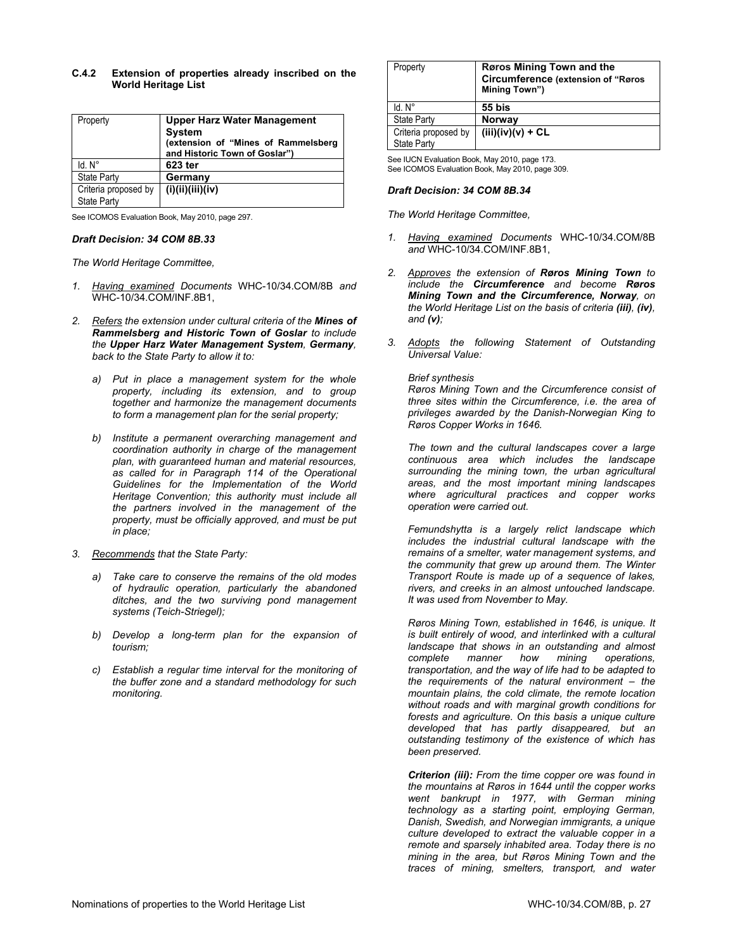# **C.4.2 Extension of properties already inscribed on the World Heritage List**

| Property                            | <b>Upper Harz Water Management</b><br><b>System</b><br>(extension of "Mines of Rammelsberg<br>and Historic Town of Goslar") |
|-------------------------------------|-----------------------------------------------------------------------------------------------------------------------------|
| $Id. N^\circ$                       | 623 ter                                                                                                                     |
| <b>State Party</b>                  | Germany                                                                                                                     |
| Criteria proposed by<br>State Party | (i)(ii)(iii)(iv)                                                                                                            |

See ICOMOS Evaluation Book, May 2010, page 297.

#### *Draft Decision: 34 COM 8B.33*

*The World Heritage Committee,* 

- *1. Having examined Documents* WHC-10/34.COM/8B *and* WHC-10/34.COM/INF.8B1,
- *2. Refers the extension under cultural criteria of the Mines of Rammelsberg and Historic Town of Goslar to include the Upper Harz Water Management System, Germany, back to the State Party to allow it to:*
	- *a) Put in place a management system for the whole property, including its extension, and to group together and harmonize the management documents to form a management plan for the serial property;*
	- *b) Institute a permanent overarching management and coordination authority in charge of the management plan, with guaranteed human and material resources, as called for in Paragraph 114 of the Operational Guidelines for the Implementation of the World Heritage Convention; this authority must include all the partners involved in the management of the property, must be officially approved, and must be put in place;*
- *3. Recommends that the State Party:* 
	- *a) Take care to conserve the remains of the old modes of hydraulic operation, particularly the abandoned ditches, and the two surviving pond management systems (Teich-Striegel);*
	- *b) Develop a long-term plan for the expansion of tourism;*
	- *c) Establish a regular time interval for the monitoring of the buffer zone and a standard methodology for such monitoring.*

| Property                            | Røros Mining Town and the<br><b>Circumference (extension of "Røros</b><br>Mining Town") |
|-------------------------------------|-----------------------------------------------------------------------------------------|
| $Id. N^\circ$                       | 55 bis                                                                                  |
| <b>State Party</b>                  | <b>Norway</b>                                                                           |
| Criteria proposed by<br>State Party | $(iii)(iv)(v) + CL$                                                                     |

See IUCN Evaluation Book, May 2010, page 173. See ICOMOS Evaluation Book, May 2010, page 309.

# *Draft Decision: 34 COM 8B.34*

*The World Heritage Committee,* 

- *1. Having examined Documents* WHC-10/34.COM/8B *and* WHC-10/34.COM/INF.8B1,
- *2. Approves the extension of Røros Mining Town to include the Circumference and become Røros Mining Town and the Circumference, Norway, on the World Heritage List on the basis of criteria (iii), (iv), and (v);*
- *3. Adopts the following Statement of Outstanding Universal Value:*

*Brief synthesis* 

*Røros Mining Town and the Circumference consist of three sites within the Circumference, i.e. the area of privileges awarded by the Danish-Norwegian King to Røros Copper Works in 1646.* 

*The town and the cultural landscapes cover a large continuous area which includes the landscape surrounding the mining town, the urban agricultural areas, and the most important mining landscapes where agricultural practices and copper works operation were carried out.* 

*Femundshytta is a largely relict landscape which includes the industrial cultural landscape with the remains of a smelter, water management systems, and the community that grew up around them. The Winter Transport Route is made up of a sequence of lakes, rivers, and creeks in an almost untouched landscape. It was used from November to May.* 

*Røros Mining Town, established in 1646, is unique. It is built entirely of wood, and interlinked with a cultural landscape that shows in an outstanding and almost complete manner how mining operations, transportation, and the way of life had to be adapted to the requirements of the natural environment – the mountain plains, the cold climate, the remote location without roads and with marginal growth conditions for forests and agriculture. On this basis a unique culture developed that has partly disappeared, but an outstanding testimony of the existence of which has been preserved.* 

*Criterion (iii): From the time copper ore was found in the mountains at Røros in 1644 until the copper works went bankrupt in 1977, with German mining technology as a starting point, employing German, Danish, Swedish, and Norwegian immigrants, a unique culture developed to extract the valuable copper in a remote and sparsely inhabited area. Today there is no mining in the area, but Røros Mining Town and the traces of mining, smelters, transport, and water*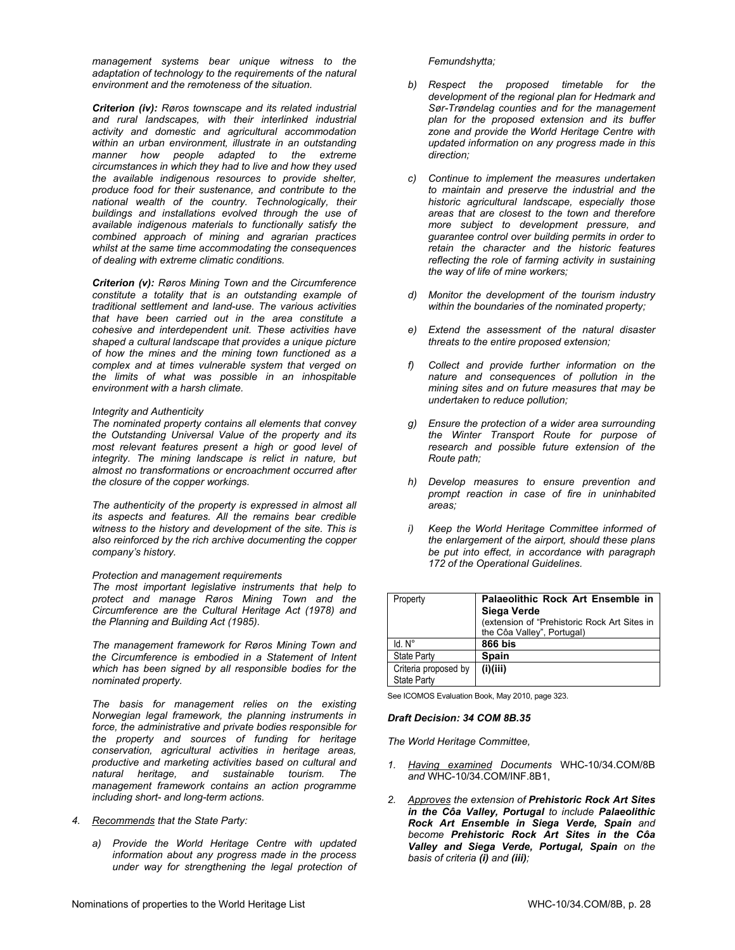*management systems bear unique witness to the adaptation of technology to the requirements of the natural environment and the remoteness of the situation.* 

*Criterion (iv): Røros townscape and its related industrial and rural landscapes, with their interlinked industrial activity and domestic and agricultural accommodation within an urban environment, illustrate in an outstanding manner how people adapted to the extreme circumstances in which they had to live and how they used the available indigenous resources to provide shelter, produce food for their sustenance, and contribute to the national wealth of the country. Technologically, their buildings and installations evolved through the use of available indigenous materials to functionally satisfy the combined approach of mining and agrarian practices whilst at the same time accommodating the consequences of dealing with extreme climatic conditions.* 

*Criterion (v): Røros Mining Town and the Circumference constitute a totality that is an outstanding example of traditional settlement and land-use. The various activities that have been carried out in the area constitute a cohesive and interdependent unit. These activities have shaped a cultural landscape that provides a unique picture of how the mines and the mining town functioned as a complex and at times vulnerable system that verged on the limits of what was possible in an inhospitable environment with a harsh climate.* 

#### *Integrity and Authenticity*

*The nominated property contains all elements that convey the Outstanding Universal Value of the property and its most relevant features present a high or good level of integrity. The mining landscape is relict in nature, but almost no transformations or encroachment occurred after the closure of the copper workings.* 

*The authenticity of the property is expressed in almost all its aspects and features. All the remains bear credible witness to the history and development of the site. This is also reinforced by the rich archive documenting the copper company's history.* 

#### *Protection and management requirements*

*The most important legislative instruments that help to protect and manage Røros Mining Town and the Circumference are the Cultural Heritage Act (1978) and the Planning and Building Act (1985).* 

*The management framework for Røros Mining Town and the Circumference is embodied in a Statement of Intent which has been signed by all responsible bodies for the nominated property.* 

*The basis for management relies on the existing Norwegian legal framework, the planning instruments in force, the administrative and private bodies responsible for the property and sources of funding for heritage conservation, agricultural activities in heritage areas, productive and marketing activities based on cultural and natural heritage, and sustainable tourism. The management framework contains an action programme including short- and long-term actions.* 

- *4. Recommends that the State Party:* 
	- *a) Provide the World Heritage Centre with updated information about any progress made in the process under way for strengthening the legal protection of*

#### *Femundshytta;*

- *b) Respect the proposed timetable for the development of the regional plan for Hedmark and Sør-Trøndelag counties and for the management plan for the proposed extension and its buffer zone and provide the World Heritage Centre with updated information on any progress made in this direction;*
- *c) Continue to implement the measures undertaken to maintain and preserve the industrial and the historic agricultural landscape, especially those areas that are closest to the town and therefore more subject to development pressure, and guarantee control over building permits in order to retain the character and the historic features reflecting the role of farming activity in sustaining the way of life of mine workers;*
- *d) Monitor the development of the tourism industry within the boundaries of the nominated property;*
- *e) Extend the assessment of the natural disaster threats to the entire proposed extension;*
- *f) Collect and provide further information on the nature and consequences of pollution in the mining sites and on future measures that may be undertaken to reduce pollution;*
- *g) Ensure the protection of a wider area surrounding the Winter Transport Route for purpose of research and possible future extension of the Route path;*
- *h) Develop measures to ensure prevention and prompt reaction in case of fire in uninhabited areas;*
- *i) Keep the World Heritage Committee informed of the enlargement of the airport, should these plans be put into effect, in accordance with paragraph 172 of the Operational Guidelines.*

| Property                                   | Palaeolithic Rock Art Ensemble in<br>Siega Verde<br>(extension of "Prehistoric Rock Art Sites in<br>the Côa Valley", Portugal) |
|--------------------------------------------|--------------------------------------------------------------------------------------------------------------------------------|
| $Id$ $N^{\circ}$                           | 866 bis                                                                                                                        |
| <b>State Party</b>                         | <b>Spain</b>                                                                                                                   |
| Criteria proposed by<br><b>State Party</b> | (i)(iii)                                                                                                                       |

See ICOMOS Evaluation Book, May 2010, page 323.

#### *Draft Decision: 34 COM 8B.35*

- *1. Having examined Documents* WHC-10/34.COM/8B *and* WHC-10/34.COM/INF.8B1,
- *2. Approves the extension of Prehistoric Rock Art Sites in the Côa Valley, Portugal to include Palaeolithic Rock Art Ensemble in Siega Verde, Spain and become Prehistoric Rock Art Sites in the Côa Valley and Siega Verde, Portugal, Spain on the basis of criteria (i) and (iii);*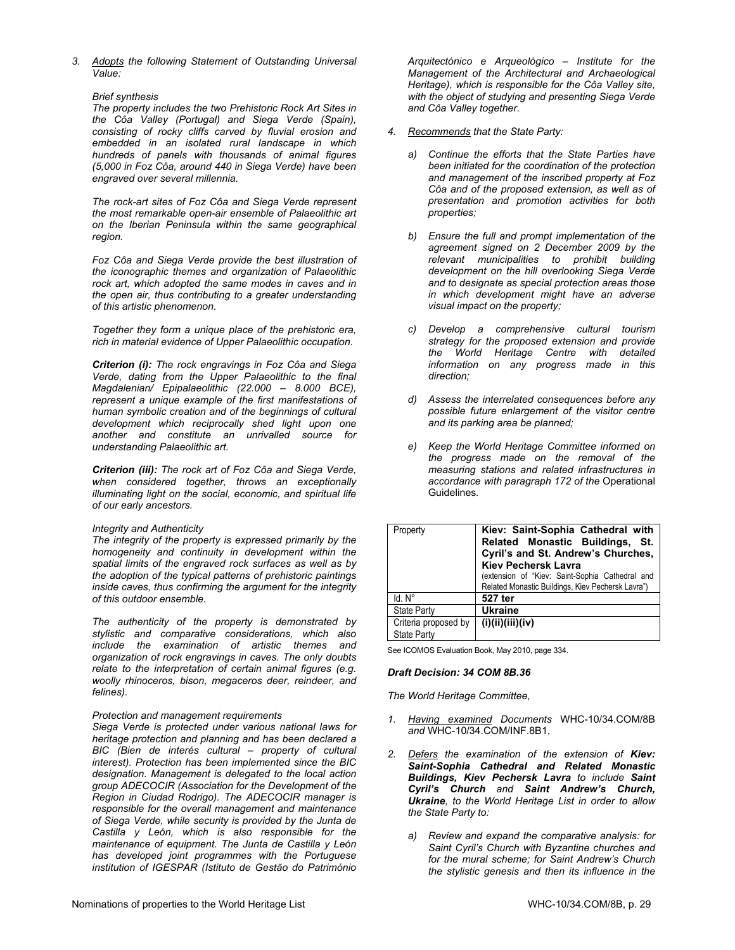*3. Adopts the following Statement of Outstanding Universal Value:* 

# *Brief synthesis*

*The property includes the two Prehistoric Rock Art Sites in the Côa Valley (Portugal) and Siega Verde (Spain), consisting of rocky cliffs carved by fluvial erosion and embedded in an isolated rural landscape in which hundreds of panels with thousands of animal figures (5,000 in Foz Côa, around 440 in Siega Verde) have been engraved over several millennia.* 

*The rock-art sites of Foz Côa and Siega Verde represent the most remarkable open-air ensemble of Palaeolithic art on the Iberian Peninsula within the same geographical region.* 

*Foz Côa and Siega Verde provide the best illustration of the iconographic themes and organization of Palaeolithic rock art, which adopted the same modes in caves and in the open air, thus contributing to a greater understanding of this artistic phenomenon.* 

*Together they form a unique place of the prehistoric era, rich in material evidence of Upper Palaeolithic occupation.* 

*Criterion (i): The rock engravings in Foz Côa and Siega Verde, dating from the Upper Palaeolithic to the final Magdalenian/ Epipalaeolithic (22.000 – 8.000 BCE), represent a unique example of the first manifestations of human symbolic creation and of the beginnings of cultural development which reciprocally shed light upon one another and constitute an unrivalled source for understanding Palaeolithic art.* 

*Criterion (iii): The rock art of Foz Côa and Siega Verde, when considered together, throws an exceptionally illuminating light on the social, economic, and spiritual life of our early ancestors.* 

#### *Integrity and Authenticity*

*The integrity of the property is expressed primarily by the homogeneity and continuity in development within the spatial limits of the engraved rock surfaces as well as by the adoption of the typical patterns of prehistoric paintings inside caves, thus confirming the argument for the integrity of this outdoor ensemble.* 

*The authenticity of the property is demonstrated by stylistic and comparative considerations, which also include the examination of artistic themes and organization of rock engravings in caves. The only doubts relate to the interpretation of certain animal figures (e.g. woolly rhinoceros, bison, megaceros deer, reindeer, and felines).* 

# *Protection and management requirements*

*Siega Verde is protected under various national laws for heritage protection and planning and has been declared a BIC (Bien de interés cultural – property of cultural interest). Protection has been implemented since the BIC designation. Management is delegated to the local action group ADECOCIR (Association for the Development of the Region in Ciudad Rodrigo). The ADECOCIR manager is responsible for the overall management and maintenance of Siega Verde, while security is provided by the Junta de Castilla y León, which is also responsible for the maintenance of equipment. The Junta de Castilla y León has developed joint programmes with the Portuguese institution of IGESPAR (Istituto de Gestão do Património* 

*Arquitectónico e Arqueológico – Institute for the Management of the Architectural and Archaeological Heritage), which is responsible for the Côa Valley site, with the object of studying and presenting Siega Verde and Côa Valley together.* 

- *4. Recommends that the State Party:* 
	- *a) Continue the efforts that the State Parties have been initiated for the coordination of the protection and management of the inscribed property at Foz Côa and of the proposed extension, as well as of presentation and promotion activities for both properties;*
	- *b) Ensure the full and prompt implementation of the agreement signed on 2 December 2009 by the relevant municipalities to prohibit building development on the hill overlooking Siega Verde and to designate as special protection areas those in which development might have an adverse visual impact on the property;*
	- *c) Develop a comprehensive cultural tourism strategy for the proposed extension and provide the World Heritage Centre with detailed information on any progress made in this direction;*
	- *d) Assess the interrelated consequences before any possible future enlargement of the visitor centre and its parking area be planned;*
	- *e) Keep the World Heritage Committee informed on the progress made on the removal of the measuring stations and related infrastructures in accordance with paragraph 172 of the* Operational Guidelines*.*

| Property                                   | Kiev: Saint-Sophia Cathedral with<br>Related Monastic Buildings, St.<br>Cyril's and St. Andrew's Churches,<br><b>Kiev Pechersk Lavra</b><br>(extension of "Kiev: Saint-Sophia Cathedral and<br>Related Monastic Buildings, Kiev Pechersk Lavra") |
|--------------------------------------------|--------------------------------------------------------------------------------------------------------------------------------------------------------------------------------------------------------------------------------------------------|
| $Id. N^\circ$                              | 527 ter                                                                                                                                                                                                                                          |
| <b>State Party</b>                         | Ukraine                                                                                                                                                                                                                                          |
| Criteria proposed by<br><b>State Party</b> | (i)(ii)(iii)(iv)                                                                                                                                                                                                                                 |

See ICOMOS Evaluation Book, May 2010, page 334.

#### *Draft Decision: 34 COM 8B.36*

- *1. Having examined Documents* WHC-10/34.COM/8B *and* WHC-10/34.COM/INF.8B1,
- *2. Defers the examination of the extension of Kiev: Saint-Sophia Cathedral and Related Monastic Buildings, Kiev Pechersk Lavra to include Saint Cyril's Church and Saint Andrew's Church, Ukraine, to the World Heritage List in order to allow the State Party to:* 
	- *a) Review and expand the comparative analysis: for Saint Cyril's Church with Byzantine churches and for the mural scheme; for Saint Andrew's Church the stylistic genesis and then its influence in the*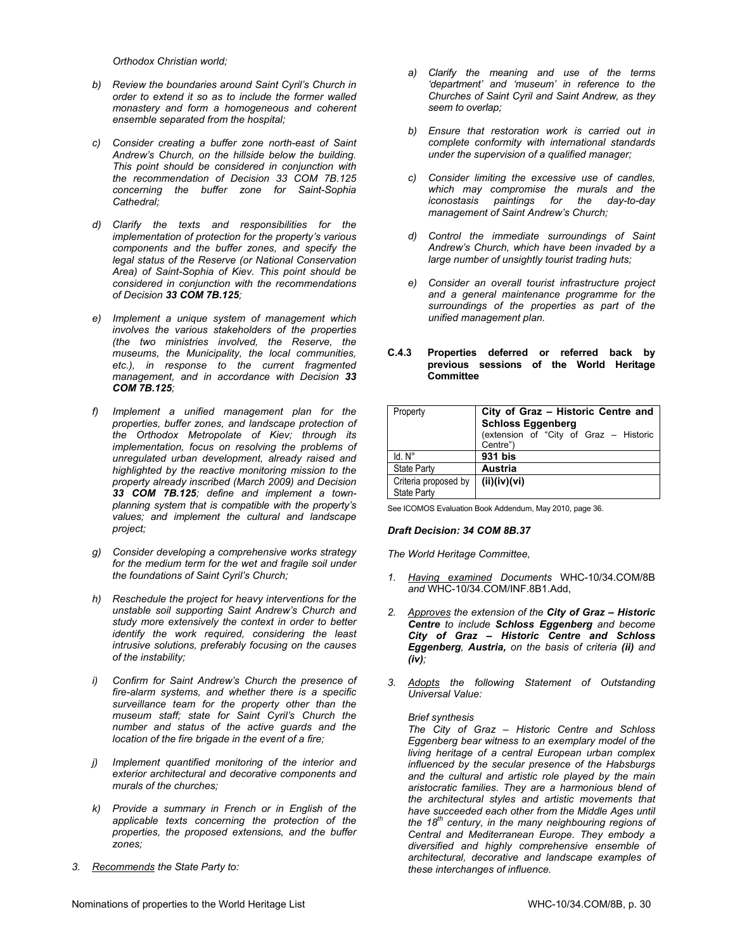*Orthodox Christian world;* 

- *b) Review the boundaries around Saint Cyril's Church in order to extend it so as to include the former walled monastery and form a homogeneous and coherent ensemble separated from the hospital;*
- *c) Consider creating a buffer zone north-east of Saint Andrew's Church, on the hillside below the building. This point should be considered in conjunction with the recommendation of Decision 33 COM 7B.125 concerning the buffer zone for Saint-Sophia Cathedral;*
- *d) Clarify the texts and responsibilities for the implementation of protection for the property's various components and the buffer zones, and specify the legal status of the Reserve (or National Conservation Area) of Saint-Sophia of Kiev. This point should be considered in conjunction with the recommendations of Decision 33 COM 7B.125;*
- *e) Implement a unique system of management which involves the various stakeholders of the properties (the two ministries involved, the Reserve, the museums, the Municipality, the local communities, etc.), in response to the current fragmented management, and in accordance with Decision 33 COM 7B.125;*
- *f) Implement a unified management plan for the properties, buffer zones, and landscape protection of the Orthodox Metropolate of Kiev; through its implementation, focus on resolving the problems of unregulated urban development, already raised and highlighted by the reactive monitoring mission to the property already inscribed (March 2009) and Decision 33 COM 7B.125; define and implement a townplanning system that is compatible with the property's values; and implement the cultural and landscape project;*
- *g) Consider developing a comprehensive works strategy for the medium term for the wet and fragile soil under the foundations of Saint Cyril's Church;*
- *h) Reschedule the project for heavy interventions for the unstable soil supporting Saint Andrew's Church and study more extensively the context in order to better identify the work required, considering the least intrusive solutions, preferably focusing on the causes of the instability;*
- *i) Confirm for Saint Andrew's Church the presence of fire-alarm systems, and whether there is a specific surveillance team for the property other than the museum staff; state for Saint Cyril's Church the number and status of the active guards and the location of the fire brigade in the event of a fire;*
- *j) Implement quantified monitoring of the interior and exterior architectural and decorative components and murals of the churches;*
- *k) Provide a summary in French or in English of the applicable texts concerning the protection of the properties, the proposed extensions, and the buffer zones;*
- *3. Recommends the State Party to:*
- *a) Clarify the meaning and use of the terms 'department' and 'museum' in reference to the Churches of Saint Cyril and Saint Andrew, as they seem to overlap;*
- *b) Ensure that restoration work is carried out in complete conformity with international standards under the supervision of a qualified manager;*
- *c) Consider limiting the excessive use of candles, which may compromise the murals and the iconostasis paintings for the day-to-day management of Saint Andrew's Church;*
- *d) Control the immediate surroundings of Saint Andrew's Church, which have been invaded by a large number of unsightly tourist trading huts;*
- *e) Consider an overall tourist infrastructure project and a general maintenance programme for the surroundings of the properties as part of the unified management plan.*

| <b>Committee</b> |                                                                  |
|------------------|------------------------------------------------------------------|
|                  |                                                                  |
| Property         | City of Graz - Historic Centre and  <br><b>Cobloge Eggenhera</b> |

**C.4.3 Properties deferred or referred back by previous sessions of the World Heritage** 

| Property             | City of Graz - Historic Centre and<br><b>Schloss Eggenberg</b><br>(extension of "City of Graz - Historic<br>Centre") |  |
|----------------------|----------------------------------------------------------------------------------------------------------------------|--|
| $Id. N^\circ$        | 931 bis                                                                                                              |  |
| <b>State Party</b>   | Austria                                                                                                              |  |
| Criteria proposed by | (ii)(iv)(vi)                                                                                                         |  |
| <b>State Party</b>   |                                                                                                                      |  |

See ICOMOS Evaluation Book Addendum, May 2010, page 36.

# *Draft Decision: 34 COM 8B.37*

*The World Heritage Committee,* 

- *1. Having examined Documents* WHC-10/34.COM/8B *and* WHC-10/34.COM/INF.8B1.Add,
- *2. Approves the extension of the City of Graz Historic Centre to include Schloss Eggenberg and become City of Graz – Historic Centre and Schloss Eggenberg, Austria, on the basis of criteria (ii) and (iv);*
- *3. Adopts the following Statement of Outstanding Universal Value:*

# *Brief synthesis*

*The City of Graz – Historic Centre and Schloss Eggenberg bear witness to an exemplary model of the living heritage of a central European urban complex influenced by the secular presence of the Habsburgs and the cultural and artistic role played by the main aristocratic families. They are a harmonious blend of the architectural styles and artistic movements that have succeeded each other from the Middle Ages until the 18th century, in the many neighbouring regions of Central and Mediterranean Europe. They embody a diversified and highly comprehensive ensemble of architectural, decorative and landscape examples of these interchanges of influence.*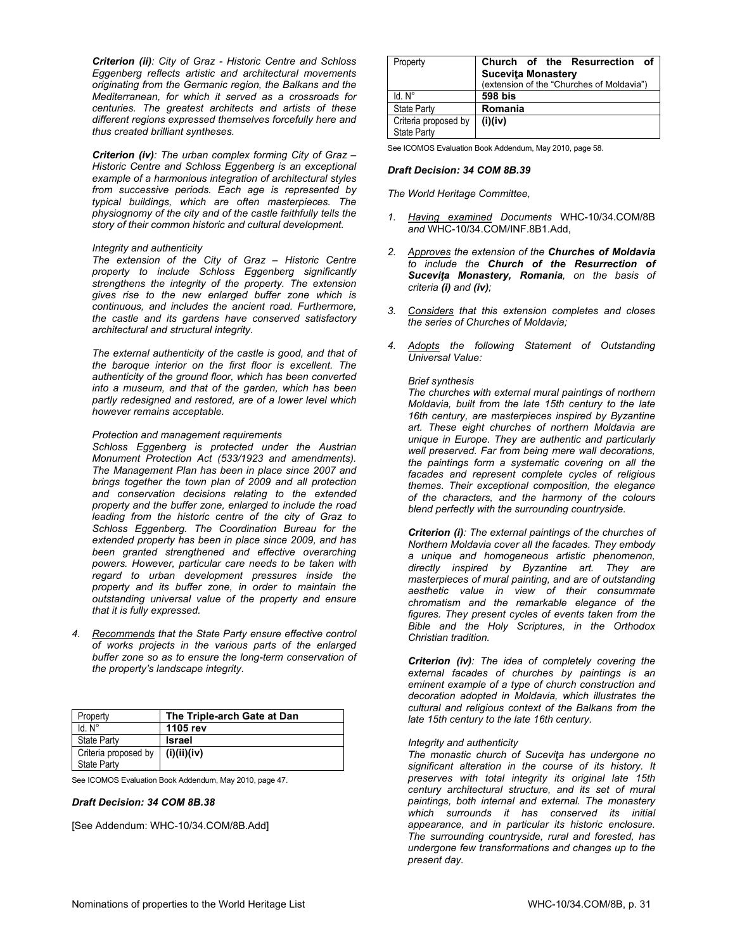*Criterion (ii): City of Graz - Historic Centre and Schloss Eggenberg reflects artistic and architectural movements originating from the Germanic region, the Balkans and the Mediterranean, for which it served as a crossroads for centuries. The greatest architects and artists of these different regions expressed themselves forcefully here and thus created brilliant syntheses.* 

*Criterion (iv): The urban complex forming City of Graz – Historic Centre and Schloss Eggenberg is an exceptional example of a harmonious integration of architectural styles from successive periods. Each age is represented by typical buildings, which are often masterpieces. The physiognomy of the city and of the castle faithfully tells the story of their common historic and cultural development.* 

#### *Integrity and authenticity*

*The extension of the City of Graz – Historic Centre property to include Schloss Eggenberg significantly strengthens the integrity of the property. The extension gives rise to the new enlarged buffer zone which is continuous, and includes the ancient road. Furthermore, the castle and its gardens have conserved satisfactory architectural and structural integrity.* 

*The external authenticity of the castle is good, and that of the baroque interior on the first floor is excellent. The authenticity of the ground floor, which has been converted into a museum, and that of the garden, which has been partly redesigned and restored, are of a lower level which however remains acceptable.* 

#### *Protection and management requirements*

*Schloss Eggenberg is protected under the Austrian Monument Protection Act (533/1923 and amendments). The Management Plan has been in place since 2007 and brings together the town plan of 2009 and all protection and conservation decisions relating to the extended property and the buffer zone, enlarged to include the road leading from the historic centre of the city of Graz to Schloss Eggenberg. The Coordination Bureau for the extended property has been in place since 2009, and has been granted strengthened and effective overarching powers. However, particular care needs to be taken with regard to urban development pressures inside the property and its buffer zone, in order to maintain the outstanding universal value of the property and ensure that it is fully expressed.* 

*4. Recommends that the State Party ensure effective control of works projects in the various parts of the enlarged buffer zone so as to ensure the long-term conservation of the property's landscape integrity.* 

| Property             | The Triple-arch Gate at Dan |
|----------------------|-----------------------------|
| $Id. N^\circ$        | 1105 rev                    |
| <b>State Party</b>   | <b>Israel</b>               |
| Criteria proposed by | (i)(ii)(iv)                 |
| <b>State Party</b>   |                             |

See ICOMOS Evaluation Book Addendum, May 2010, page 47.

#### *Draft Decision: 34 COM 8B.38*

[See Addendum: WHC-10/34.COM/8B.Add]

| Property             | Church of the Resurrection of             |
|----------------------|-------------------------------------------|
|                      | <b>Sucevita Monastery</b>                 |
|                      | (extension of the "Churches of Moldavia") |
| $Id. N^\circ$        | 598 bis                                   |
| <b>State Party</b>   | Romania                                   |
| Criteria proposed by | (i)(iv)                                   |
| <b>State Party</b>   |                                           |

See ICOMOS Evaluation Book Addendum, May 2010, page 58.

### *Draft Decision: 34 COM 8B.39*

*The World Heritage Committee,* 

- *1. Having examined Documents* WHC-10/34.COM/8B *and* WHC-10/34.COM/INF.8B1.Add,
- *2. Approves the extension of the Churches of Moldavia to include the Church of the Resurrection of Suceviţa Monastery, Romania, on the basis of criteria (i) and (iv);*
- *3. Considers that this extension completes and closes the series of Churches of Moldavia;*
- *4. Adopts the following Statement of Outstanding Universal Value:*

#### *Brief synthesis*

*The churches with external mural paintings of northern Moldavia, built from the late 15th century to the late 16th century, are masterpieces inspired by Byzantine art. These eight churches of northern Moldavia are unique in Europe. They are authentic and particularly well preserved. Far from being mere wall decorations, the paintings form a systematic covering on all the facades and represent complete cycles of religious themes. Their exceptional composition, the elegance of the characters, and the harmony of the colours blend perfectly with the surrounding countryside.* 

*Criterion (i): The external paintings of the churches of Northern Moldavia cover all the facades. They embody a unique and homogeneous artistic phenomenon, directly inspired by Byzantine art. They are masterpieces of mural painting, and are of outstanding aesthetic value in view of their consummate chromatism and the remarkable elegance of the figures. They present cycles of events taken from the Bible and the Holy Scriptures, in the Orthodox Christian tradition.* 

*Criterion (iv): The idea of completely covering the external facades of churches by paintings is an eminent example of a type of church construction and decoration adopted in Moldavia, which illustrates the cultural and religious context of the Balkans from the late 15th century to the late 16th century.* 

#### *Integrity and authenticity*

*The monastic church of Suceviţa has undergone no significant alteration in the course of its history. It preserves with total integrity its original late 15th century architectural structure, and its set of mural paintings, both internal and external. The monastery which surrounds it has conserved its initial appearance, and in particular its historic enclosure. The surrounding countryside, rural and forested, has undergone few transformations and changes up to the present day.*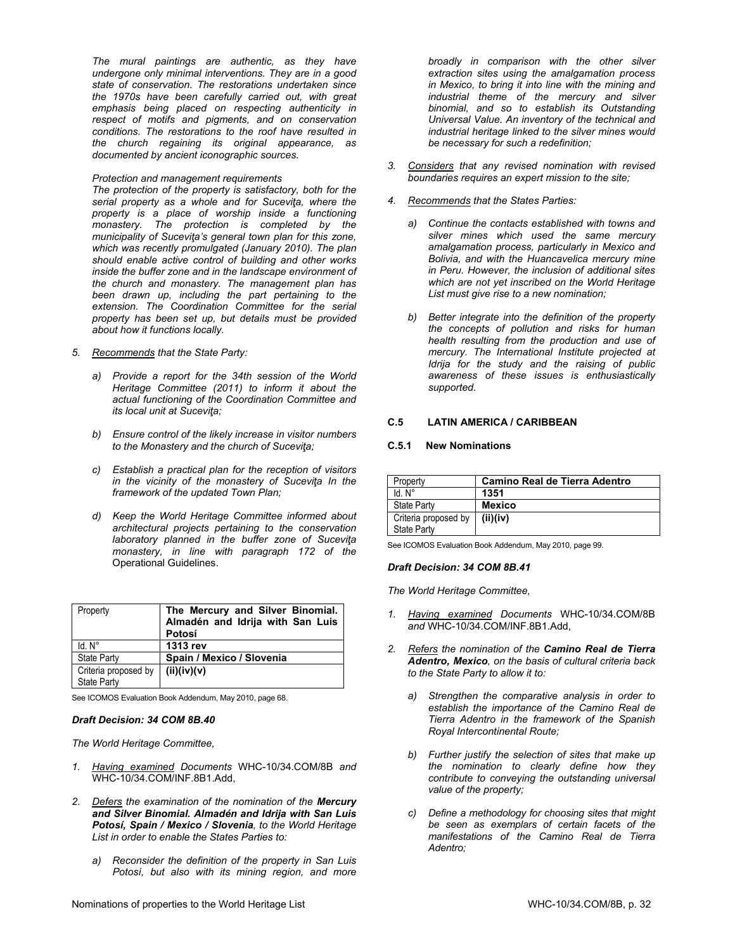*The mural paintings are authentic, as they have undergone only minimal interventions. They are in a good state of conservation. The restorations undertaken since the 1970s have been carefully carried out, with great emphasis being placed on respecting authenticity in respect of motifs and pigments, and on conservation conditions. The restorations to the roof have resulted in the church regaining its original appearance, as documented by ancient iconographic sources.* 

### *Protection and management requirements*

*The protection of the property is satisfactory, both for the serial property as a whole and for Suceviţa, where the property is a place of worship inside a functioning monastery. The protection is completed by the municipality of Suceviţa's general town plan for this zone, which was recently promulgated (January 2010). The plan should enable active control of building and other works inside the buffer zone and in the landscape environment of the church and monastery. The management plan has been drawn up, including the part pertaining to the extension. The Coordination Committee for the serial property has been set up, but details must be provided about how it functions locally.* 

- *5. Recommends that the State Party:* 
	- *a) Provide a report for the 34th session of the World Heritage Committee (2011) to inform it about the actual functioning of the Coordination Committee and its local unit at Suceviţa;*
	- *b) Ensure control of the likely increase in visitor numbers to the Monastery and the church of Suceviţa;*
	- *c) Establish a practical plan for the reception of visitors in the vicinity of the monastery of Suceviţa In the framework of the updated Town Plan;*
	- *d) Keep the World Heritage Committee informed about architectural projects pertaining to the conservation laboratory planned in the buffer zone of Suceviţa monastery, in line with paragraph 172 of the*  Operational Guidelines.

| Property                            | The Mercury and Silver Binomial.<br>Almadén and Idrija with San Luis<br>Potosí |
|-------------------------------------|--------------------------------------------------------------------------------|
| $Id. N^\circ$                       | 1313 rev                                                                       |
| <b>State Party</b>                  | Spain / Mexico / Slovenia                                                      |
| Criteria proposed by<br>State Party | (ii)(iv)(v)                                                                    |

See ICOMOS Evaluation Book Addendum, May 2010, page 68.

# *Draft Decision: 34 COM 8B.40*

*The World Heritage Committee,* 

- *1. Having examined Documents* WHC-10/34.COM/8B *and* WHC-10/34.COM/INF.8B1.Add,
- *2. Defers the examination of the nomination of the Mercury and Silver Binomial. Almadén and Idrija with San Luis Potosí, Spain / Mexico / Slovenia, to the World Heritage List in order to enable the States Parties to:* 
	- *a) Reconsider the definition of the property in San Luis Potosí, but also with its mining region, and more*

*broadly in comparison with the other silver extraction sites using the amalgamation process in Mexico, to bring it into line with the mining and industrial theme of the mercury and silver binomial, and so to establish its Outstanding Universal Value. An inventory of the technical and industrial heritage linked to the silver mines would be necessary for such a redefinition;* 

- *3. Considers that any revised nomination with revised boundaries requires an expert mission to the site;*
- *4. Recommends that the States Parties:* 
	- *a) Continue the contacts established with towns and silver mines which used the same mercury amalgamation process, particularly in Mexico and Bolivia, and with the Huancavelica mercury mine in Peru. However, the inclusion of additional sites which are not yet inscribed on the World Heritage List must give rise to a new nomination;*
	- *b) Better integrate into the definition of the property the concepts of pollution and risks for human health resulting from the production and use of mercury. The International Institute projected at Idrija for the study and the raising of public awareness of these issues is enthusiastically supported.*

# **C.5 LATIN AMERICA / CARIBBEAN**

# **C.5.1 New Nominations**

| Property                            | Camino Real de Tierra Adentro |
|-------------------------------------|-------------------------------|
| $Id$ $N^{\circ}$                    | 1351                          |
| <b>State Party</b>                  | <b>Mexico</b>                 |
| Criteria proposed by<br>State Party | (ii)(iv)                      |
|                                     |                               |

See ICOMOS Evaluation Book Addendum, May 2010, page 99.

#### *Draft Decision: 34 COM 8B.41*

- *1. Having examined Documents* WHC-10/34.COM/8B *and* WHC-10/34.COM/INF.8B1.Add,
- *2. Refers the nomination of the Camino Real de Tierra Adentro, Mexico, on the basis of cultural criteria back to the State Party to allow it to:*
	- *a) Strengthen the comparative analysis in order to establish the importance of the Camino Real de Tierra Adentro in the framework of the Spanish Royal Intercontinental Route;*
	- *b) Further justify the selection of sites that make up the nomination to clearly define how they contribute to conveying the outstanding universal value of the property;*
	- *c) Define a methodology for choosing sites that might be seen as exemplars of certain facets of the manifestations of the Camino Real de Tierra Adentro;*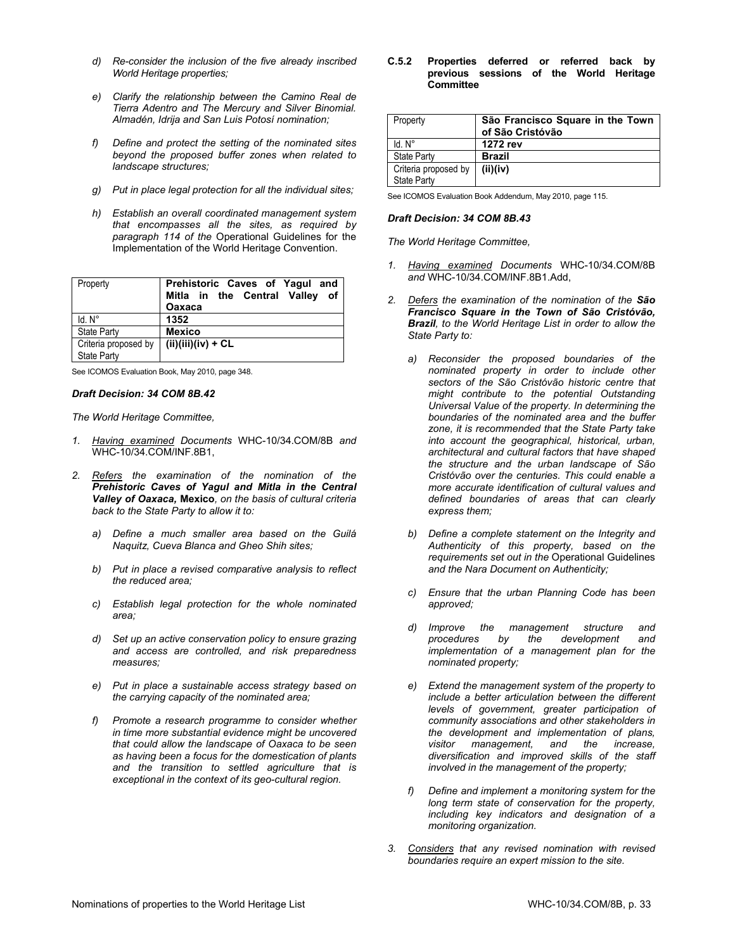- *d) Re-consider the inclusion of the five already inscribed World Heritage properties;*
- *e) Clarify the relationship between the Camino Real de Tierra Adentro and The Mercury and Silver Binomial. Almadén, Idrija and San Luis Potosí nomination;*
- *f) Define and protect the setting of the nominated sites beyond the proposed buffer zones when related to landscape structures;*
- *g) Put in place legal protection for all the individual sites;*
- *h) Establish an overall coordinated management system that encompasses all the sites, as required by paragraph 114 of the* Operational Guidelines for the Implementation of the World Heritage Convention.

| Property                                   | Prehistoric Caves of Yagul and<br>Mitla in the Central Valley of<br>Oaxaca |
|--------------------------------------------|----------------------------------------------------------------------------|
| $Id. N^\circ$                              | 1352                                                                       |
| <b>State Party</b>                         | <b>Mexico</b>                                                              |
| Criteria proposed by<br><b>State Party</b> | $(ii)(iii)(iv) + CL$                                                       |

See ICOMOS Evaluation Book, May 2010, page 348.

#### *Draft Decision: 34 COM 8B.42*

#### *The World Heritage Committee,*

- *1. Having examined Documents* WHC-10/34.COM/8B *and* WHC-10/34.COM/INF.8B1,
- *2. Refers the examination of the nomination of the Prehistoric Caves of Yagul and Mitla in the Central Valley of Oaxaca,* **Mexico***, on the basis of cultural criteria back to the State Party to allow it to:*
	- *a) Define a much smaller area based on the Guilá Naquitz, Cueva Blanca and Gheo Shih sites;*
	- *b) Put in place a revised comparative analysis to reflect the reduced area;*
	- *c) Establish legal protection for the whole nominated area;*
	- *d) Set up an active conservation policy to ensure grazing and access are controlled, and risk preparedness measures;*
	- *e) Put in place a sustainable access strategy based on the carrying capacity of the nominated area;*
	- *f) Promote a research programme to consider whether in time more substantial evidence might be uncovered that could allow the landscape of Oaxaca to be seen as having been a focus for the domestication of plants and the transition to settled agriculture that is exceptional in the context of its geo-cultural region.*

**C.5.2 Properties deferred or referred back by previous sessions of the World Heritage Committee** 

| São Francisco Square in the Town<br>of São Cristóvão |
|------------------------------------------------------|
| 1272 rev                                             |
| <b>Brazil</b>                                        |
| Criteria proposed by  <br>(ii)(iv)                   |
|                                                      |

See ICOMOS Evaluation Book Addendum, May 2010, page 115.

#### *Draft Decision: 34 COM 8B.43*

- *1. Having examined Documents* WHC-10/34.COM/8B *and* WHC-10/34.COM/INF.8B1.Add,
- *2. Defers the examination of the nomination of the São Francisco Square in the Town of São Cristóvão, Brazil, to the World Heritage List in order to allow the State Party to:* 
	- *a) Reconsider the proposed boundaries of the nominated property in order to include other sectors of the São Cristóvão historic centre that might contribute to the potential Outstanding Universal Value of the property. In determining the boundaries of the nominated area and the buffer zone, it is recommended that the State Party take into account the geographical, historical, urban, architectural and cultural factors that have shaped the structure and the urban landscape of São Cristóvão over the centuries. This could enable a more accurate identification of cultural values and defined boundaries of areas that can clearly express them;*
	- *b) Define a complete statement on the Integrity and Authenticity of this property, based on the requirements set out in the* Operational Guidelines *and the Nara Document on Authenticity;*
	- *c) Ensure that the urban Planning Code has been approved;*
	- *d) Improve the management structure and procedures by the development and implementation of a management plan for the nominated property;*
	- *e) Extend the management system of the property to include a better articulation between the different levels of government, greater participation of community associations and other stakeholders in the development and implementation of plans, visitor management, and the increase, diversification and improved skills of the staff involved in the management of the property;*
	- *f) Define and implement a monitoring system for the long term state of conservation for the property, including key indicators and designation of a monitoring organization.*
- *3. Considers that any revised nomination with revised boundaries require an expert mission to the site.*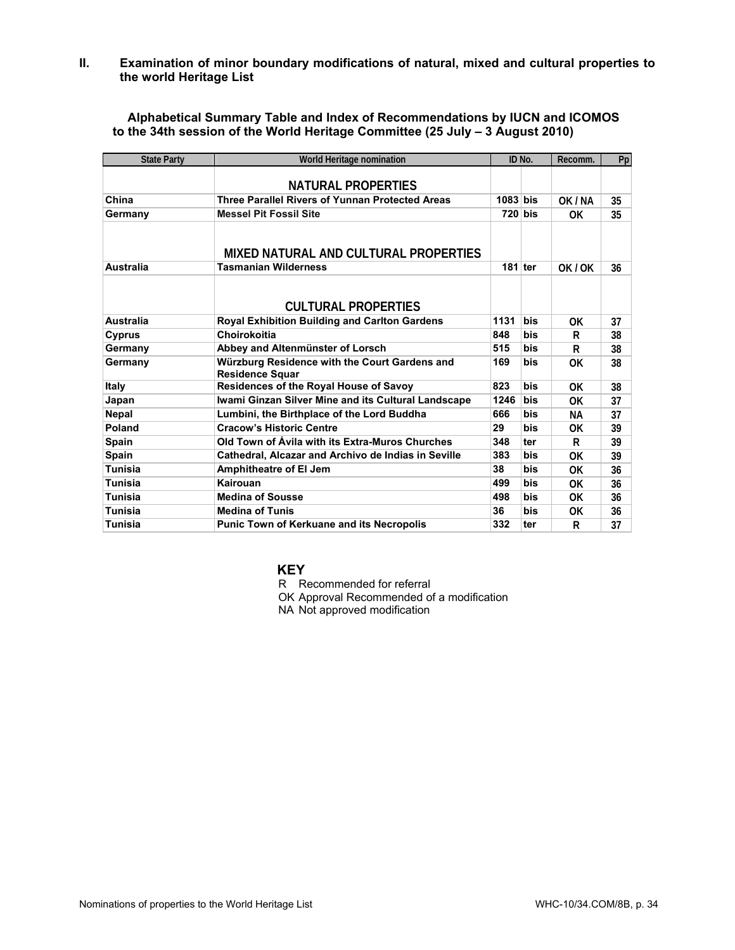**II. Examination of minor boundary modifications of natural, mixed and cultural properties to the world Heritage List** 

**Alphabetical Summary Table and Index of Recommendations by IUCN and ICOMOS to the 34th session of the World Heritage Committee (25 July – 3 August 2010)**

| <b>State Party</b> | World Heritage nomination                                               |            | ID No.     | Recomm. | Pp |
|--------------------|-------------------------------------------------------------------------|------------|------------|---------|----|
|                    |                                                                         |            |            |         |    |
|                    | <b>NATURAL PROPERTIES</b>                                               |            |            |         |    |
| China              | <b>Three Parallel Rivers of Yunnan Protected Areas</b>                  | $1083$ bis |            | OK / NA | 35 |
| Germany            | <b>Messel Pit Fossil Site</b>                                           |            | 720 bis    | ΩK      | 35 |
|                    |                                                                         |            |            |         |    |
|                    | MIXED NATURAL AND CULTURAL PROPERTIES                                   |            |            |         |    |
| <b>Australia</b>   | <b>Tasmanian Wilderness</b>                                             | $181$ ter  |            | OK / OK | 36 |
|                    |                                                                         |            |            |         |    |
|                    |                                                                         |            |            |         |    |
|                    | <b>CULTURAL PROPERTIES</b>                                              |            |            |         |    |
| <b>Australia</b>   | <b>Royal Exhibition Building and Carlton Gardens</b>                    | 1131       | <b>bis</b> | ΩK      | 37 |
| <b>Cyprus</b>      | Choirokoitia                                                            | 848        | bis        | R       | 38 |
| Germany            | Abbey and Altenmünster of Lorsch                                        | 515        | bis        | R       | 38 |
| Germany            | Würzburg Residence with the Court Gardens and<br><b>Residence Squar</b> | 169        | bis        | 0K      | 38 |
| Italy              | Residences of the Royal House of Savoy                                  | 823        | bis        | 0K      | 38 |
| Japan              | Iwami Ginzan Silver Mine and its Cultural Landscape                     | 1246       | bis        | 0K      | 37 |
| <b>Nepal</b>       | Lumbini, the Birthplace of the Lord Buddha                              | 666        | bis        | NА      | 37 |
| Poland             | <b>Cracow's Historic Centre</b>                                         | 29         | bis        | 0K      | 39 |
| <b>Spain</b>       | Old Town of Avila with its Extra-Muros Churches                         | 348        | ter        | R       | 39 |
| Spain              | Cathedral, Alcazar and Archivo de Indias in Seville                     | 383        | bis        | 0K      | 39 |
| <b>Tunisia</b>     | Amphitheatre of El Jem                                                  | 38         | bis        | ΩK      | 36 |
| <b>Tunisia</b>     | Kairouan                                                                | 499        | <b>bis</b> | 0K      | 36 |
| <b>Tunisia</b>     | <b>Medina of Sousse</b>                                                 | 498        | <b>bis</b> | 0K      | 36 |
| <b>Tunisia</b>     | <b>Medina of Tunis</b>                                                  | 36         | bis        | 0K      | 36 |
| Tunisia            | <b>Punic Town of Kerkuane and its Necropolis</b>                        | 332        | ter        | R       | 37 |

# **KEY**

R Recommended for referral

OK Approval Recommended of a modification

NA Not approved modification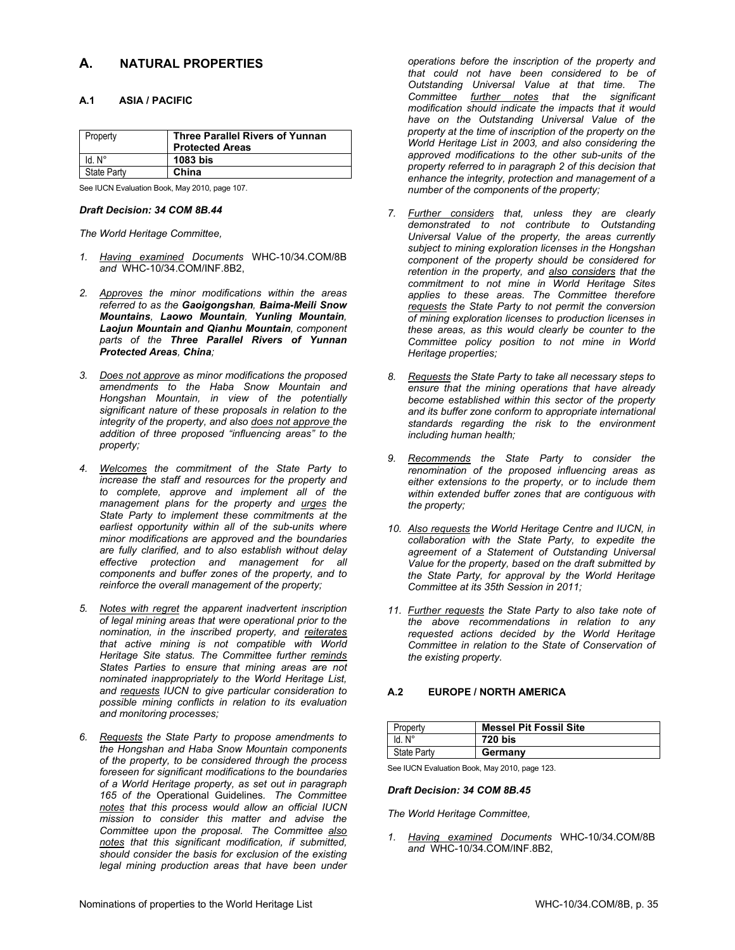# **A. NATURAL PROPERTIES**

# **A.1 ASIA / PACIFIC**

| <b>Property</b> | <b>Three Parallel Rivers of Yunnan</b><br><b>Protected Areas</b> |
|-----------------|------------------------------------------------------------------|
| $Id. N^\circ$   | 1083 bis                                                         |
| State Party     | China                                                            |

See IUCN Evaluation Book, May 2010, page 107.

#### *Draft Decision: 34 COM 8B.44*

*The World Heritage Committee,* 

- *1. Having examined Documents* WHC-10/34.COM/8B *and* WHC-10/34.COM/INF.8B2,
- *2. Approves the minor modifications within the areas referred to as the Gaoigongshan, Baima-Meili Snow Mountains, Laowo Mountain, Yunling Mountain, Laojun Mountain and Qianhu Mountain, component parts of the Three Parallel Rivers of Yunnan Protected Areas, China;*
- *3. Does not approve as minor modifications the proposed amendments to the Haba Snow Mountain and Hongshan Mountain, in view of the potentially significant nature of these proposals in relation to the integrity of the property, and also does not approve the addition of three proposed "influencing areas" to the property;*
- *4. Welcomes the commitment of the State Party to increase the staff and resources for the property and to complete, approve and implement all of the management plans for the property and urges the State Party to implement these commitments at the earliest opportunity within all of the sub-units where minor modifications are approved and the boundaries are fully clarified, and to also establish without delay effective protection and management for all components and buffer zones of the property, and to reinforce the overall management of the property;*
- *5. Notes with regret the apparent inadvertent inscription of legal mining areas that were operational prior to the nomination, in the inscribed property, and reiterates that active mining is not compatible with World Heritage Site status. The Committee further reminds States Parties to ensure that mining areas are not nominated inappropriately to the World Heritage List, and requests IUCN to give particular consideration to possible mining conflicts in relation to its evaluation and monitoring processes;*
- *6. Requests the State Party to propose amendments to the Hongshan and Haba Snow Mountain components of the property, to be considered through the process foreseen for significant modifications to the boundaries of a World Heritage property, as set out in paragraph 165 of the* Operational Guidelines*. The Committee notes that this process would allow an official IUCN mission to consider this matter and advise the Committee upon the proposal. The Committee also notes that this significant modification, if submitted, should consider the basis for exclusion of the existing legal mining production areas that have been under*

*operations before the inscription of the property and that could not have been considered to be of Outstanding Universal Value at that time. The Committee further notes that the significant modification should indicate the impacts that it would have on the Outstanding Universal Value of the property at the time of inscription of the property on the World Heritage List in 2003, and also considering the approved modifications to the other sub-units of the property referred to in paragraph 2 of this decision that enhance the integrity, protection and management of a number of the components of the property;* 

- *7. Further considers that, unless they are clearly demonstrated to not contribute to Outstanding Universal Value of the property, the areas currently subject to mining exploration licenses in the Hongshan component of the property should be considered for retention in the property, and also considers that the commitment to not mine in World Heritage Sites applies to these areas. The Committee therefore requests the State Party to not permit the conversion of mining exploration licenses to production licenses in these areas, as this would clearly be counter to the Committee policy position to not mine in World Heritage properties;*
- *8. Requests the State Party to take all necessary steps to ensure that the mining operations that have already become established within this sector of the property and its buffer zone conform to appropriate international standards regarding the risk to the environment including human health;*
- *9. Recommends the State Party to consider the renomination of the proposed influencing areas as either extensions to the property, or to include them within extended buffer zones that are contiguous with the property;*
- *10. Also requests the World Heritage Centre and IUCN, in collaboration with the State Party, to expedite the agreement of a Statement of Outstanding Universal Value for the property, based on the draft submitted by the State Party, for approval by the World Heritage Committee at its 35th Session in 2011;*
- *11. Further requests the State Party to also take note of the above recommendations in relation to any requested actions decided by the World Heritage Committee in relation to the State of Conservation of the existing property.*

# **A.2 EUROPE / NORTH AMERICA**

| Property                            | <b>Messel Pit Fossil Site</b> |
|-------------------------------------|-------------------------------|
| $\mathsf{I}$ Id. $\mathsf{N}^\circ$ | 720 bis                       |
| State Party                         | Germany                       |

See IUCN Evaluation Book, May 2010, page 123.

# *Draft Decision: 34 COM 8B.45*

*The World Heritage Committee,* 

*1. Having examined Documents* WHC-10/34.COM/8B *and* WHC-10/34.COM/INF.8B2,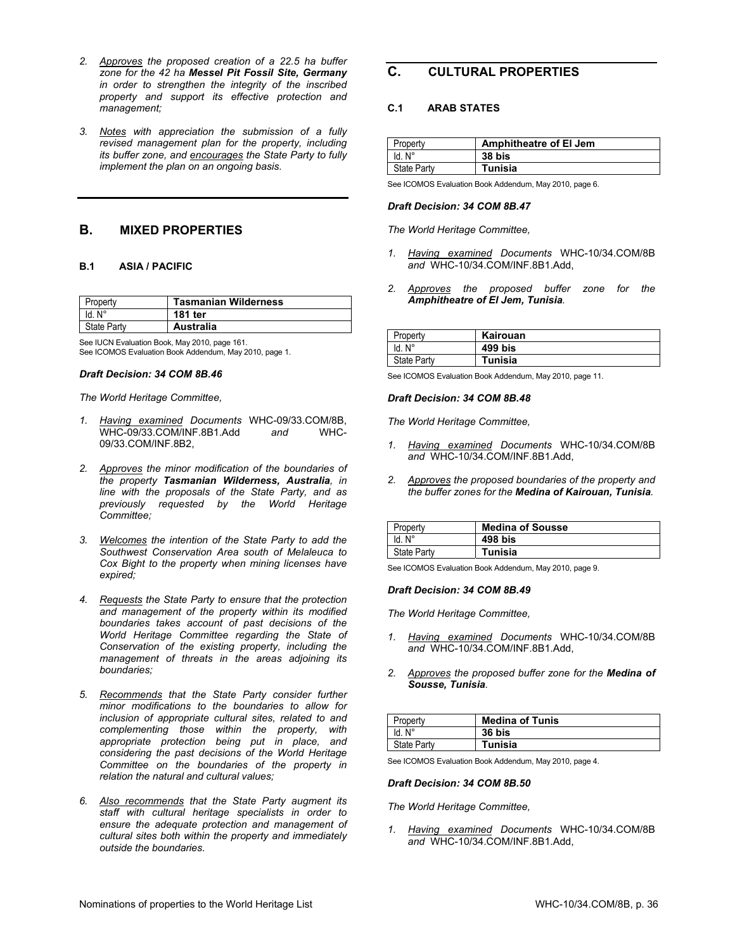- *2. Approves the proposed creation of a 22.5 ha buffer zone for the 42 ha Messel Pit Fossil Site, Germany in order to strengthen the integrity of the inscribed property and support its effective protection and management;*
- *3. Notes with appreciation the submission of a fully revised management plan for the property, including its buffer zone, and encourages the State Party to fully implement the plan on an ongoing basis.*

# **B. MIXED PROPERTIES**

# **B.1 ASIA / PACIFIC**

| 'ropertv    | <b>Tasmanian Wilderness</b> |
|-------------|-----------------------------|
| ld. N°      | 181 ter                     |
| State Party | Australia                   |

See IUCN Evaluation Book, May 2010, page 161. See ICOMOS Evaluation Book Addendum, May 2010, page 1.

### *Draft Decision: 34 COM 8B.46*

*The World Heritage Committee,* 

- *1. Having examined Documents* WHC-09/33.COM/8B, WHC-09/33.COM/INF.8B1.Add *and* WHC-09/33.COM/INF.8B2,
- *2. Approves the minor modification of the boundaries of the property Tasmanian Wilderness, Australia, in line with the proposals of the State Party, and as previously requested by the World Heritage Committee;*
- *3. Welcomes the intention of the State Party to add the Southwest Conservation Area south of Melaleuca to Cox Bight to the property when mining licenses have expired;*
- *4. Requests the State Party to ensure that the protection and management of the property within its modified boundaries takes account of past decisions of the World Heritage Committee regarding the State of Conservation of the existing property, including the management of threats in the areas adjoining its boundaries;*
- *5. Recommends that the State Party consider further minor modifications to the boundaries to allow for inclusion of appropriate cultural sites, related to and complementing those within the property, with appropriate protection being put in place, and considering the past decisions of the World Heritage Committee on the boundaries of the property in relation the natural and cultural values;*
- *6. Also recommends that the State Party augment its staff with cultural heritage specialists in order to ensure the adequate protection and management of cultural sites both within the property and immediately outside the boundaries.*

# **C. CULTURAL PROPERTIES**

# **C.1 ARAB STATES**

| Propertv           | Amphitheatre of El Jem |
|--------------------|------------------------|
| ld. N°             | 38 bis                 |
| <b>State Party</b> | Tunisia                |

See ICOMOS Evaluation Book Addendum, May 2010, page 6.

### *Draft Decision: 34 COM 8B.47*

*The World Heritage Committee,* 

- *1. Having examined Documents* WHC-10/34.COM/8B *and* WHC-10/34.COM/INF.8B1.Add,
- *2. Approves the proposed buffer zone for the Amphitheatre of El Jem, Tunisia.*

| Property           | Kairouan |
|--------------------|----------|
| ld. N°             | 499 bis  |
| <b>State Party</b> | Tunisia  |

See ICOMOS Evaluation Book Addendum, May 2010, page 11.

#### *Draft Decision: 34 COM 8B.48*

*The World Heritage Committee,* 

- *1. Having examined Documents* WHC-10/34.COM/8B *and* WHC-10/34.COM/INF.8B1.Add,
- *2. Approves the proposed boundaries of the property and the buffer zones for the Medina of Kairouan, Tunisia.*

| Property    | <b>Medina of Sousse</b> |
|-------------|-------------------------|
| ld. N°      | 498 bis                 |
| State Party | Tunisia                 |

See ICOMOS Evaluation Book Addendum, May 2010, page 9.

# *Draft Decision: 34 COM 8B.49*

*The World Heritage Committee,* 

- *1. Having examined Documents* WHC-10/34.COM/8B *and* WHC-10/34.COM/INF.8B1.Add,
- *2. Approves the proposed buffer zone for the Medina of Sousse, Tunisia.*

| Property           | <b>Medina of Tunis</b> |
|--------------------|------------------------|
| ld. N°             | 36 bis                 |
| <b>State Party</b> | Tunisia                |

See ICOMOS Evaluation Book Addendum, May 2010, page 4.

#### *Draft Decision: 34 COM 8B.50*

*The World Heritage Committee,* 

*1. Having examined Documents* WHC-10/34.COM/8B *and* WHC-10/34.COM/INF.8B1.Add,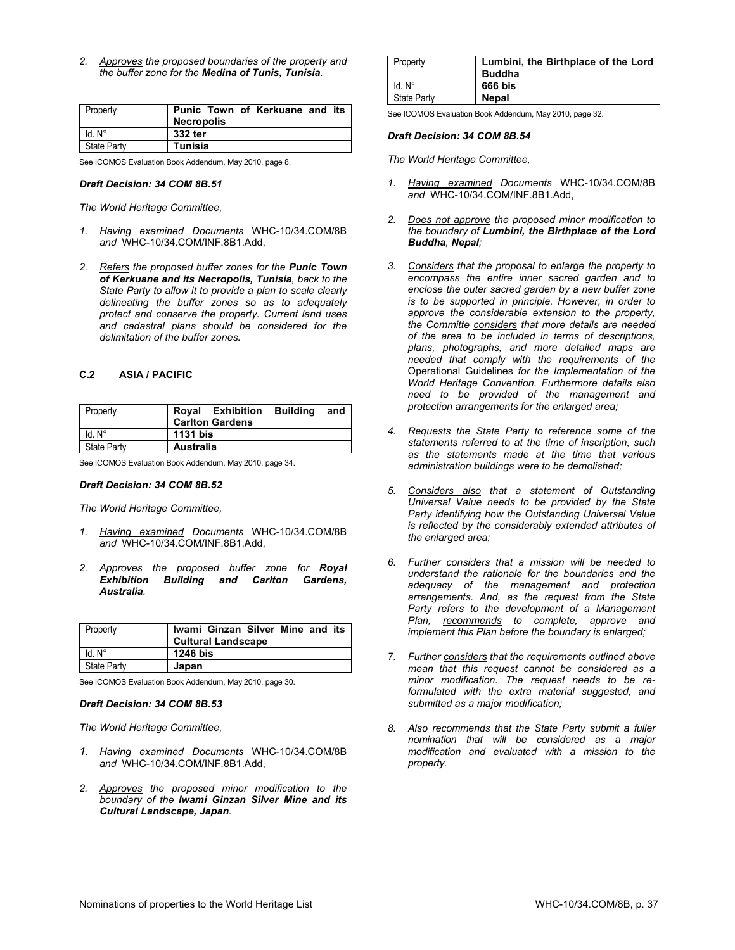*2. Approves the proposed boundaries of the property and the buffer zone for the Medina of Tunis, Tunisia.*

| <b>Property</b> | Punic Town of Kerkuane and its |
|-----------------|--------------------------------|
|                 | Necropolis                     |
| $Id. N^\circ$   | 332 ter                        |
| State Party     | Tunisia                        |

See ICOMOS Evaluation Book Addendum, May 2010, page 8.

#### *Draft Decision: 34 COM 8B.51*

*The World Heritage Committee,* 

- *1. Having examined Documents* WHC-10/34.COM/8B *and* WHC-10/34.COM/INF.8B1.Add,
- *2. Refers the proposed buffer zones for the Punic Town of Kerkuane and its Necropolis, Tunisia, back to the State Party to allow it to provide a plan to scale clearly delineating the buffer zones so as to adequately protect and conserve the property. Current land uses and cadastral plans should be considered for the delimitation of the buffer zones.*

# **C.2 ASIA / PACIFIC**

| <b>Property</b>    |           | <b>Royal Exhibition</b><br><b>Carlton Gardens</b> | <b>Building</b> and |  |
|--------------------|-----------|---------------------------------------------------|---------------------|--|
| $Id. N^\circ$      | 1131 bis  |                                                   |                     |  |
| <b>State Party</b> | Australia |                                                   |                     |  |

See ICOMOS Evaluation Book Addendum, May 2010, page 34.

#### *Draft Decision: 34 COM 8B.52*

*The World Heritage Committee,* 

- *1. Having examined Documents* WHC-10/34.COM/8B *and* WHC-10/34.COM/INF.8B1.Add,
- *2. Approves the proposed buffer zone for Royal Exhibition Building and Carlton Gardens, Australia.*

| Property           | Iwami Ginzan Silver Mine and its<br><b>Cultural Landscape</b> |
|--------------------|---------------------------------------------------------------|
| ld. N°             | 1246 bis                                                      |
| <b>State Party</b> | Japan                                                         |

See ICOMOS Evaluation Book Addendum, May 2010, page 30.

#### *Draft Decision: 34 COM 8B.53*

*The World Heritage Committee,* 

- *1. Having examined Documents* WHC-10/34.COM/8B *and* WHC-10/34.COM/INF.8B1.Add,
- *2. Approves the proposed minor modification to the boundary of the Iwami Ginzan Silver Mine and its Cultural Landscape, Japan.*

| Property           | Lumbini, the Birthplace of the Lord<br><b>Buddha</b> |
|--------------------|------------------------------------------------------|
| $Id. N^\circ$      | 666 bis                                              |
| <b>State Party</b> | <b>Nepal</b>                                         |

See ICOMOS Evaluation Book Addendum, May 2010, page 32.

#### *Draft Decision: 34 COM 8B.54*

- *1. Having examined Documents* WHC-10/34.COM/8B *and* WHC-10/34.COM/INF.8B1.Add,
- *2. Does not approve the proposed minor modification to the boundary of Lumbini, the Birthplace of the Lord Buddha, Nepal;*
- *3. Considers that the proposal to enlarge the property to encompass the entire inner sacred garden and to enclose the outer sacred garden by a new buffer zone is to be supported in principle. However, in order to approve the considerable extension to the property, the Committe considers that more details are needed of the area to be included in terms of descriptions, plans, photographs, and more detailed maps are needed that comply with the requirements of the*  Operational Guidelines *for the Implementation of the World Heritage Convention. Furthermore details also need to be provided of the management and protection arrangements for the enlarged area;*
- *4. Requests the State Party to reference some of the statements referred to at the time of inscription, such as the statements made at the time that various administration buildings were to be demolished;*
- *5. Considers also that a statement of Outstanding Universal Value needs to be provided by the State Party identifying how the Outstanding Universal Value is reflected by the considerably extended attributes of the enlarged area;*
- *6. Further considers that a mission will be needed to understand the rationale for the boundaries and the adequacy of the management and protection arrangements. And, as the request from the State Party refers to the development of a Management Plan, recommends to complete, approve and implement this Plan before the boundary is enlarged;*
- *7. Further considers that the requirements outlined above mean that this request cannot be considered as a minor modification. The request needs to be reformulated with the extra material suggested, and submitted as a major modification;*
- *8. Also recommends that the State Party submit a fuller nomination that will be considered as a major modification and evaluated with a mission to the property.*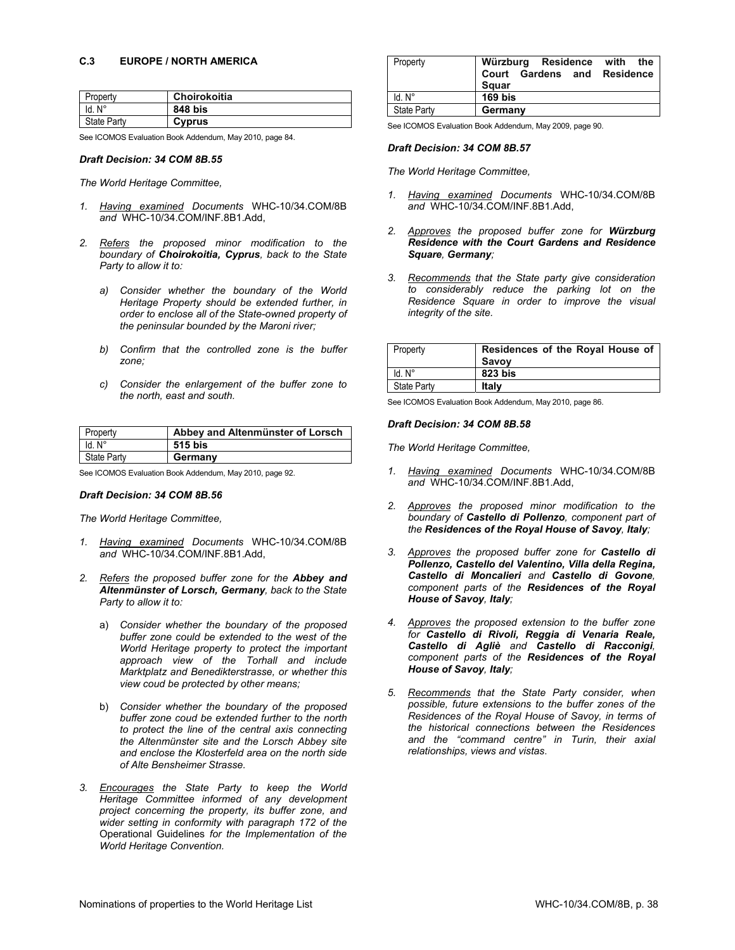| Property           | Choirokoitia |
|--------------------|--------------|
| ıd. N°             | 848 bis      |
| <b>State Party</b> | Cyprus       |

See ICOMOS Evaluation Book Addendum, May 2010, page 84.

# *Draft Decision: 34 COM 8B.55*

*The World Heritage Committee,* 

- *1. Having examined Documents* WHC-10/34.COM/8B *and* WHC-10/34.COM/INF.8B1.Add,
- *2. Refers the proposed minor modification to the boundary of Choirokoitia, Cyprus, back to the State Party to allow it to:* 
	- *a) Consider whether the boundary of the World Heritage Property should be extended further, in order to enclose all of the State-owned property of the peninsular bounded by the Maroni river;*
	- *b) Confirm that the controlled zone is the buffer zone;*
	- *c) Consider the enlargement of the buffer zone to the north, east and south.*

| Property           | Abbey and Altenmünster of Lorsch |
|--------------------|----------------------------------|
| $Id. N^{\circ}$    | 515 bis                          |
| <b>State Party</b> | Germany                          |

See ICOMOS Evaluation Book Addendum, May 2010, page 92.

#### *Draft Decision: 34 COM 8B.56*

*The World Heritage Committee,* 

- *1. Having examined Documents* WHC-10/34.COM/8B *and* WHC-10/34.COM/INF.8B1.Add,
- *2. Refers the proposed buffer zone for the Abbey and Altenmünster of Lorsch, Germany, back to the State Party to allow it to:* 
	- a) *Consider whether the boundary of the proposed buffer zone could be extended to the west of the World Heritage property to protect the important approach view of the Torhall and include Marktplatz and Benedikterstrasse, or whether this view coud be protected by other means;*
	- b) *Consider whether the boundary of the proposed buffer zone coud be extended further to the north to protect the line of the central axis connecting the Altenmünster site and the Lorsch Abbey site and enclose the Klosterfeld area on the north side of Alte Bensheimer Strasse.*
- *3. Encourages the State Party to keep the World Heritage Committee informed of any development project concerning the property, its buffer zone, and wider setting in conformity with paragraph 172 of the*  Operational Guidelines *for the Implementation of the World Heritage Convention.*

| Property           | Würzburg Residence with the<br>Court Gardens and Residence<br>Sauar |  |
|--------------------|---------------------------------------------------------------------|--|
| $Id. N^\circ$      | $169$ bis                                                           |  |
| <b>State Party</b> | Germany                                                             |  |

See ICOMOS Evaluation Book Addendum, May 2009, page 90.

#### *Draft Decision: 34 COM 8B.57*

*The World Heritage Committee,* 

- *1. Having examined Documents* WHC-10/34.COM/8B *and* WHC-10/34.COM/INF.8B1.Add,
- *2. Approves the proposed buffer zone for Würzburg Residence with the Court Gardens and Residence Square, Germany;*
- *3. Recommends that the State party give consideration to considerably reduce the parking lot on the Residence Square in order to improve the visual integrity of the site.*

| Property           | Residences of the Royal House of<br>Savoy |
|--------------------|-------------------------------------------|
| $Id. N^\circ$      | 823 bis                                   |
| <b>State Party</b> | Italv                                     |

See ICOMOS Evaluation Book Addendum, May 2010, page 86.

#### *Draft Decision: 34 COM 8B.58*

- *1. Having examined Documents* WHC-10/34.COM/8B *and* WHC-10/34.COM/INF.8B1.Add,
- *2. Approves the proposed minor modification to the boundary of Castello di Pollenzo, component part of the Residences of the Royal House of Savoy, Italy;*
- *3. Approves the proposed buffer zone for Castello di Pollenzo, Castello del Valentino, Villa della Regina, Castello di Moncalieri and Castello di Govone, component parts of the Residences of the Royal House of Savoy, Italy;*
- *4. Approves the proposed extension to the buffer zone for Castello di Rivoli, Reggia di Venaria Reale, Castello di Agliè and Castello di Racconigi, component parts of the Residences of the Royal House of Savoy, Italy;*
- *5. Recommends that the State Party consider, when possible, future extensions to the buffer zones of the Residences of the Royal House of Savoy, in terms of the historical connections between the Residences and the "command centre" in Turin, their axial relationships, views and vistas*.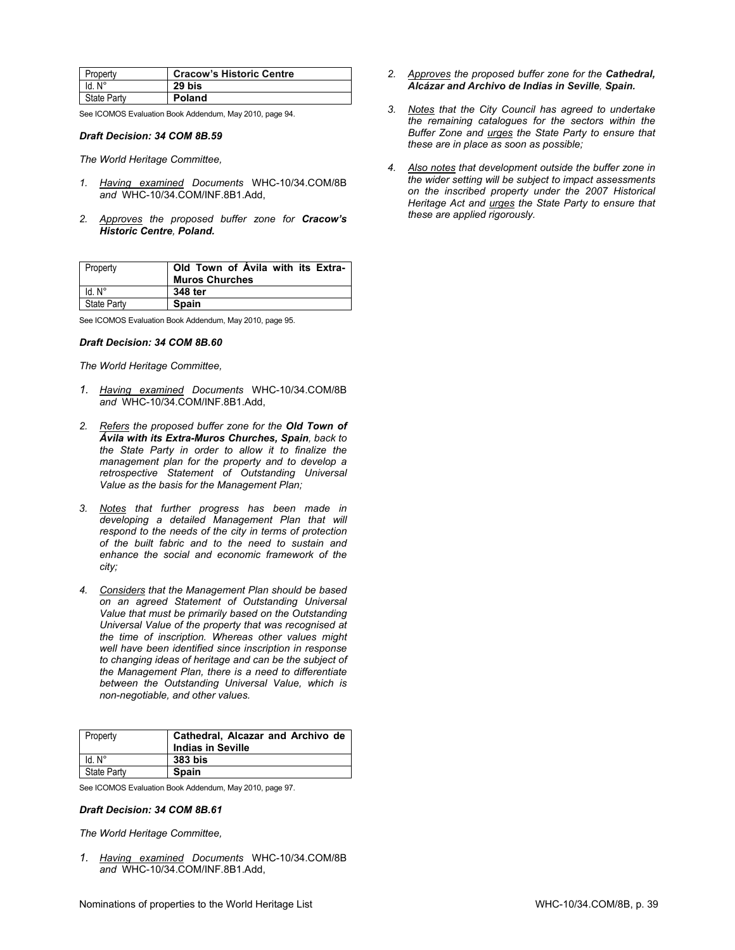| Property    | <b>Cracow's Historic Centre</b> |
|-------------|---------------------------------|
| Id. N°      | 29 bis                          |
| State Party | <b>Poland</b>                   |

See ICOMOS Evaluation Book Addendum, May 2010, page 94.

#### *Draft Decision: 34 COM 8B.59*

*The World Heritage Committee,* 

- *1. Having examined Documents* WHC-10/34.COM/8B *and* WHC-10/34.COM/INF.8B1.Add,
- *2. Approves the proposed buffer zone for Cracow's Historic Centre, Poland.*

| Property           | Old Town of Avila with its Extra-<br><b>Muros Churches</b> |
|--------------------|------------------------------------------------------------|
| ld. N°             | 348 ter                                                    |
| <b>State Party</b> | <b>Spain</b>                                               |

See ICOMOS Evaluation Book Addendum, May 2010, page 95.

#### *Draft Decision: 34 COM 8B.60*

*The World Heritage Committee,* 

- *1. Having examined Documents* WHC-10/34.COM/8B *and* WHC-10/34.COM/INF.8B1.Add,
- *2. Refers the proposed buffer zone for the Old Town of Ávila with its Extra-Muros Churches, Spain, back to the State Party in order to allow it to finalize the management plan for the property and to develop a retrospective Statement of Outstanding Universal Value as the basis for the Management Plan;*
- *3. Notes that further progress has been made in developing a detailed Management Plan that will respond to the needs of the city in terms of protection of the built fabric and to the need to sustain and enhance the social and economic framework of the city;*
- *4. Considers that the Management Plan should be based on an agreed Statement of Outstanding Universal Value that must be primarily based on the Outstanding Universal Value of the property that was recognised at the time of inscription. Whereas other values might well have been identified since inscription in response to changing ideas of heritage and can be the subject of the Management Plan, there is a need to differentiate between the Outstanding Universal Value, which is non-negotiable, and other values.*

| Property           | Cathedral, Alcazar and Archivo de<br><b>Indias in Seville</b> |
|--------------------|---------------------------------------------------------------|
| ld. N°             | 383 bis                                                       |
| <b>State Party</b> | <b>Spain</b>                                                  |

See ICOMOS Evaluation Book Addendum, May 2010, page 97.

#### *Draft Decision: 34 COM 8B.61*

*The World Heritage Committee,* 

*1. Having examined Documents* WHC-10/34.COM/8B *and* WHC-10/34.COM/INF.8B1.Add,

- *2. Approves the proposed buffer zone for the Cathedral, Alcázar and Archivo de Indias in Seville, Spain.*
- *3. Notes that the City Council has agreed to undertake the remaining catalogues for the sectors within the Buffer Zone and urges the State Party to ensure that these are in place as soon as possible;*
- *4. Also notes that development outside the buffer zone in the wider setting will be subject to impact assessments on the inscribed property under the 2007 Historical Heritage Act and urges the State Party to ensure that these are applied rigorously.*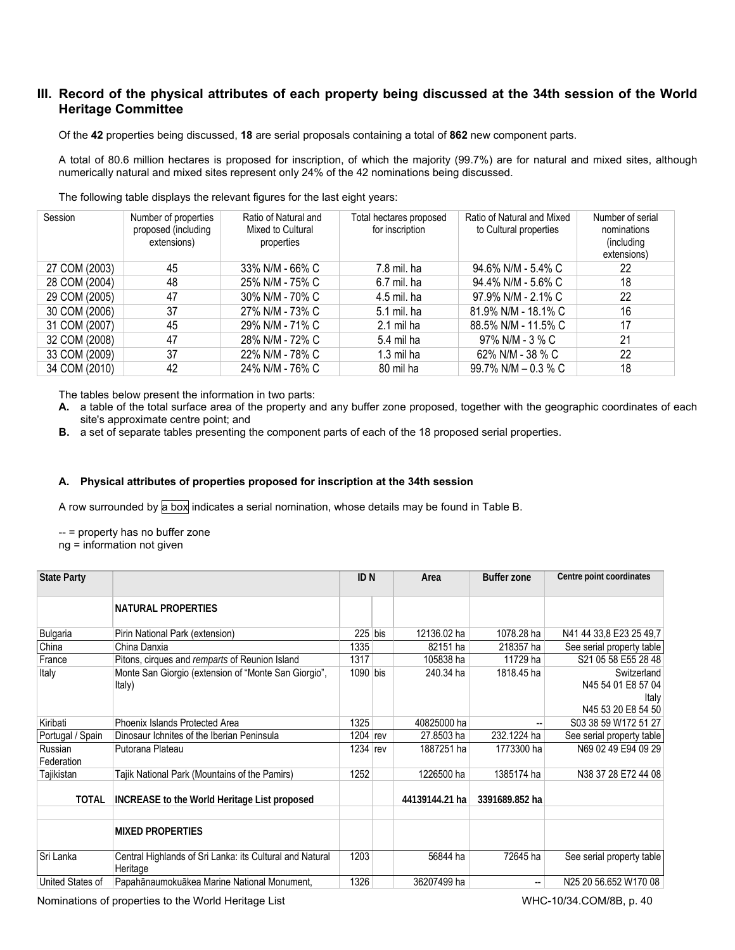# **III. Record of the physical attributes of each property being discussed at the 34th session of the World Heritage Committee**

Of the **42** properties being discussed, **18** are serial proposals containing a total of **862** new component parts.

A total of 80.6 million hectares is proposed for inscription, of which the majority (99.7%) are for natural and mixed sites, although numerically natural and mixed sites represent only 24% of the 42 nominations being discussed.

| Session       | Number of properties<br>proposed (including<br>extensions) | Ratio of Natural and<br>Mixed to Cultural<br>properties | Total hectares proposed<br>for inscription | Ratio of Natural and Mixed<br>to Cultural properties | Number of serial<br>nominations<br>(including<br>extensions) |
|---------------|------------------------------------------------------------|---------------------------------------------------------|--------------------------------------------|------------------------------------------------------|--------------------------------------------------------------|
| 27 COM (2003) | 45                                                         | 33% N/M - 66% C                                         | 7.8 mil. ha                                | 94.6% N/M - 5.4% C                                   | 22                                                           |
| 28 COM (2004) | 48                                                         | 25% N/M - 75% C                                         | 6.7 mil. ha                                | 94.4% N/M - 5.6% C                                   | 18                                                           |
| 29 COM (2005) | 47                                                         | 30% N/M - 70% C                                         | 4.5 mil. ha                                | 97.9% N/M - 2.1% C                                   | 22                                                           |
| 30 COM (2006) | 37                                                         | 27% N/M - 73% C                                         | 5.1 mil. ha                                | 81.9% N/M - 18.1% C                                  | 16                                                           |
| 31 COM (2007) | 45                                                         | 29% N/M - 71% C                                         | 2.1 mil ha                                 | 88.5% N/M - 11.5% C                                  | 17                                                           |
| 32 COM (2008) | 47                                                         | 28% N/M - 72% C                                         | 5.4 mil ha                                 | 97% N/M - 3 % C                                      | 21                                                           |
| 33 COM (2009) | 37                                                         | 22% N/M - 78% C                                         | $1.3$ mil ha                               | 62% N/M - 38 % C                                     | 22                                                           |
| 34 COM (2010) | 42                                                         | 24% N/M - 76% C                                         | 80 mil ha                                  | 99.7% N/M $-$ 0.3 % C                                | 18                                                           |

The following table displays the relevant figures for the last eight years:

The tables below present the information in two parts:

- **A.** a table of the total surface area of the property and any buffer zone proposed, together with the geographic coordinates of each site's approximate centre point; and
- **B.** a set of separate tables presenting the component parts of each of the 18 proposed serial properties.

# **A. Physical attributes of properties proposed for inscription at the 34th session**

A row surrounded by a box indicates a serial nomination, whose details may be found in Table B.

-- = property has no buffer zone

ng = information not given

| <b>State Party</b>    |                                                                      | ID <sub>N</sub> | Area           | <b>Buffer zone</b> | Centre point coordinates                   |
|-----------------------|----------------------------------------------------------------------|-----------------|----------------|--------------------|--------------------------------------------|
|                       | <b>NATURAL PROPERTIES</b>                                            |                 |                |                    |                                            |
| Bulgaria              | Pirin National Park (extension)                                      | $225$ bis       | 12136.02 ha    | 1078.28 ha         | N41 44 33,8 E23 25 49,7                    |
| China                 | China Danxia                                                         | 1335            | 82151 ha       | 218357 ha          | See serial property table                  |
| France                | Pitons, cirques and remparts of Reunion Island                       | 1317            | 105838 ha      | 11729 ha           | S21 05 58 E55 28 48                        |
| Italy                 | Monte San Giorgio (extension of "Monte San Giorgio",<br>Italy)       | $1090$ bis      | 240.34 ha      | 1818.45 ha         | Switzerland<br>N45 54 01 E8 57 04<br>Italy |
|                       |                                                                      |                 |                |                    | N45 53 20 E8 54 50                         |
| Kiribati              | Phoenix Islands Protected Area                                       | 1325            | 40825000 ha    |                    | S03 38 59 W172 51 27                       |
| Portugal / Spain      | Dinosaur Ichnites of the Iberian Peninsula                           | $1204$ rev      | 27,8503 ha     | 232.1224 ha        | See serial property table                  |
| Russian<br>Federation | Putorana Plateau                                                     | $1234$ rev      | 1887251 ha     | 1773300 ha         | N69 02 49 E94 09 29                        |
| Tajikistan            | Tajik National Park (Mountains of the Pamirs)                        | 1252            | 1226500 ha     | 1385174 ha         | N38 37 28 E72 44 08                        |
| <b>TOTAL</b>          | INCREASE to the World Heritage List proposed                         |                 | 44139144.21 ha | 3391689.852 ha     |                                            |
|                       | <b>MIXED PROPERTIES</b>                                              |                 |                |                    |                                            |
| Sri Lanka             | Central Highlands of Sri Lanka: its Cultural and Natural<br>Heritage | 1203            | 56844 ha       | 72645 ha           | See serial property table                  |
| United States of      | Papahānaumokuākea Marine National Monument,                          | 1326            | 36207499 ha    | --                 | N25 20 56.652 W170 08                      |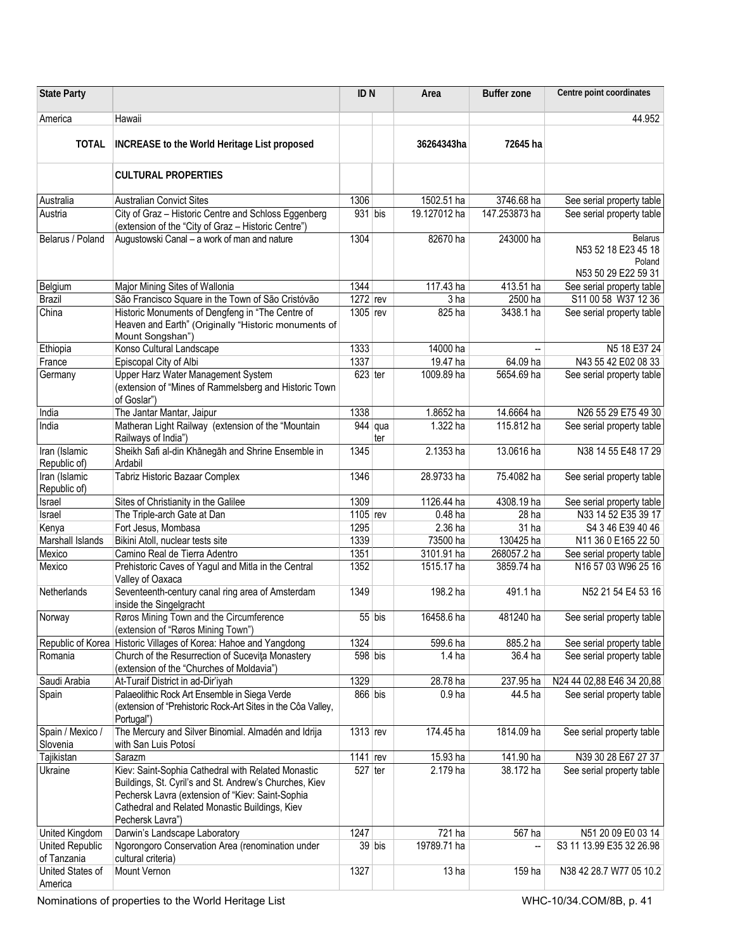| <b>State Party</b>             |                                                                                                                                                                                                                                        | ID <sub>N</sub>       |                                | Area              | <b>Buffer zone</b>       | Centre point coordinates                                               |
|--------------------------------|----------------------------------------------------------------------------------------------------------------------------------------------------------------------------------------------------------------------------------------|-----------------------|--------------------------------|-------------------|--------------------------|------------------------------------------------------------------------|
|                                |                                                                                                                                                                                                                                        |                       |                                |                   |                          |                                                                        |
| America                        | Hawaii                                                                                                                                                                                                                                 |                       |                                |                   |                          | 44.952                                                                 |
| <b>TOTAL</b>                   | INCREASE to the World Heritage List proposed                                                                                                                                                                                           |                       |                                | 36264343ha        | 72645 ha                 |                                                                        |
|                                | <b>CULTURAL PROPERTIES</b>                                                                                                                                                                                                             |                       |                                |                   |                          |                                                                        |
| Australia                      | <b>Australian Convict Sites</b>                                                                                                                                                                                                        | 1306                  |                                | 1502.51 ha        | 3746.68 ha               | See serial property table                                              |
| Austria                        | City of Graz - Historic Centre and Schloss Eggenberg<br>(extension of the "City of Graz - Historic Centre")                                                                                                                            | 931 bis               |                                | 19.127012 ha      | 147.253873 ha            | See serial property table                                              |
| Belarus / Poland               | Augustowski Canal - a work of man and nature                                                                                                                                                                                           | 1304                  |                                | 82670 ha          | 243000 ha                | <b>Belarus</b><br>N53 52 18 E23 45 18<br>Poland<br>N53 50 29 E22 59 31 |
| Belgium                        | Major Mining Sites of Wallonia                                                                                                                                                                                                         | 1344                  |                                | 117.43 ha         | 413.51 ha                | See serial property table                                              |
| <b>Brazil</b>                  | São Francisco Square in the Town of São Cristóvão                                                                                                                                                                                      | 1272 rev              |                                | 3 ha              | 2500 ha                  | S11 00 58 W37 12 36                                                    |
| China                          | Historic Monuments of Dengfeng in "The Centre of<br>Heaven and Earth" (Originally "Historic monuments of<br>Mount Songshan")                                                                                                           | 1305 rev              |                                | 825 ha            | 3438.1 ha                | See serial property table                                              |
| Ethiopia                       | Konso Cultural Landscape                                                                                                                                                                                                               | 1333                  |                                | 14000 ha          | $\overline{\phantom{a}}$ | N5 18 E37 24                                                           |
| France                         | Episcopal City of Albi                                                                                                                                                                                                                 | 1337                  |                                | 19.47 ha          | 64.09 ha                 | N43 55 42 E02 08 33                                                    |
| Germany                        | Upper Harz Water Management System<br>(extension of "Mines of Rammelsberg and Historic Town<br>of Goslar")                                                                                                                             | $623$ ter             |                                | 1009.89 ha        | 5654.69 ha               | See serial property table                                              |
| India                          | The Jantar Mantar, Jaipur                                                                                                                                                                                                              | 1338                  |                                | 1.8652 ha         | 14.6664 ha               | N26 55 29 E75 49 30                                                    |
| India                          | Matheran Light Railway (extension of the "Mountain<br>Railways of India")                                                                                                                                                              |                       | $\overline{9}$ 44   qua<br>ter | 1.322 ha          | 115.812 ha               | See serial property table                                              |
| Iran (Islamic<br>Republic of)  | Sheikh Safi al-din Khānegāh and Shrine Ensemble in<br>Ardabil                                                                                                                                                                          | 1345                  |                                | 2.1353 ha         | 13.0616 ha               | N38 14 55 E48 17 29                                                    |
| Iran (Islamic<br>Republic of)  | Tabriz Historic Bazaar Complex                                                                                                                                                                                                         | 1346                  |                                | 28.9733 ha        | 75.4082 ha               | See serial property table                                              |
| Israel                         | Sites of Christianity in the Galilee                                                                                                                                                                                                   | 1309                  |                                | 1126.44 ha        | 4308.19 ha               | See serial property table                                              |
| Israel                         | The Triple-arch Gate at Dan                                                                                                                                                                                                            | 1105 rev              |                                | $0.48$ ha         | 28 ha                    | N33 14 52 E35 39 17                                                    |
| Kenya                          | Fort Jesus, Mombasa                                                                                                                                                                                                                    | 1295                  |                                | 2.36 ha           | 31 ha                    | S4 3 46 E39 40 46                                                      |
| Marshall Islands               | Bikini Atoll, nuclear tests site                                                                                                                                                                                                       | 1339                  |                                | 73500 ha          | 130425 ha                | N11 36 0 E165 22 50                                                    |
| Mexico                         | Camino Real de Tierra Adentro                                                                                                                                                                                                          | 1351                  |                                | 3101.91 ha        | 268057.2 ha              | See serial property table                                              |
| Mexico                         | Prehistoric Caves of Yagul and Mitla in the Central<br>Valley of Oaxaca                                                                                                                                                                | 1352                  |                                | 1515.17 ha        | 3859.74 ha               | N16 57 03 W96 25 16                                                    |
| Netherlands                    | Seventeenth-century canal ring area of Amsterdam<br>inside the Singelgracht                                                                                                                                                            | 1349                  |                                | 198.2 ha          | 491.1 ha                 | N52 21 54 E4 53 16                                                     |
| Norway                         | Røros Mining Town and the Circumference<br>(extension of "Røros Mining Town")                                                                                                                                                          |                       | $55$ bis                       | 16458.6 ha        | 481240 ha                | See serial property table                                              |
|                                | Republic of Korea Historic Villages of Korea: Hahoe and Yangdong                                                                                                                                                                       | 1324                  |                                | 599.6 ha          | 885.2 ha                 | See serial property table                                              |
| Romania                        | Church of the Resurrection of Sucevita Monastery<br>(extension of the "Churches of Moldavia")                                                                                                                                          | 598 bis               |                                | 1.4 <sub>ha</sub> | 36.4 ha                  | See serial property table                                              |
| Saudi Arabia                   | At-Turaif District in ad-Dir'iyah                                                                                                                                                                                                      | 1329                  |                                | 28.78 ha          | 237.95 ha                | N24 44 02,88 E46 34 20,88                                              |
| Spain                          | Palaeolithic Rock Art Ensemble in Siega Verde<br>(extension of "Prehistoric Rock-Art Sites in the Côa Valley,<br>Portugal")                                                                                                            | $866$ bis             |                                | 0.9 <sub>ha</sub> | 44.5 ha                  | See serial property table                                              |
| Spain / Mexico /<br>Slovenia   | The Mercury and Silver Binomial. Almadén and Idrija<br>with San Luis Potosí                                                                                                                                                            | 1313 rev              |                                | 174.45 ha         | 1814.09 ha               | See serial property table                                              |
| Tajikistan                     | Sarazm                                                                                                                                                                                                                                 | $\overline{11}41$ rev |                                | 15.93 ha          | 141.90 ha                | N39 30 28 E67 27 37                                                    |
| Ukraine                        | Kiev: Saint-Sophia Cathedral with Related Monastic<br>Buildings, St. Cyril's and St. Andrew's Churches, Kiev<br>Pechersk Lavra (extension of "Kiev: Saint-Sophia<br>Cathedral and Related Monastic Buildings, Kiev<br>Pechersk Lavra") | $527$ ter             |                                | 2.179 ha          | 38.172 ha                | See serial property table                                              |
| United Kingdom                 | Darwin's Landscape Laboratory                                                                                                                                                                                                          | 1247                  |                                | 721 ha            | 567 ha                   | N51 20 09 E0 03 14                                                     |
| United Republic<br>of Tanzania | Ngorongoro Conservation Area (renomination under<br>cultural criteria)                                                                                                                                                                 |                       | $39$ bis                       | 19789.71 ha       |                          | S3 11 13.99 E35 32 26.98                                               |
| United States of<br>America    | Mount Vernon                                                                                                                                                                                                                           | 1327                  |                                | 13 <sub>ha</sub>  | 159 ha                   | N38 42 28.7 W77 05 10.2                                                |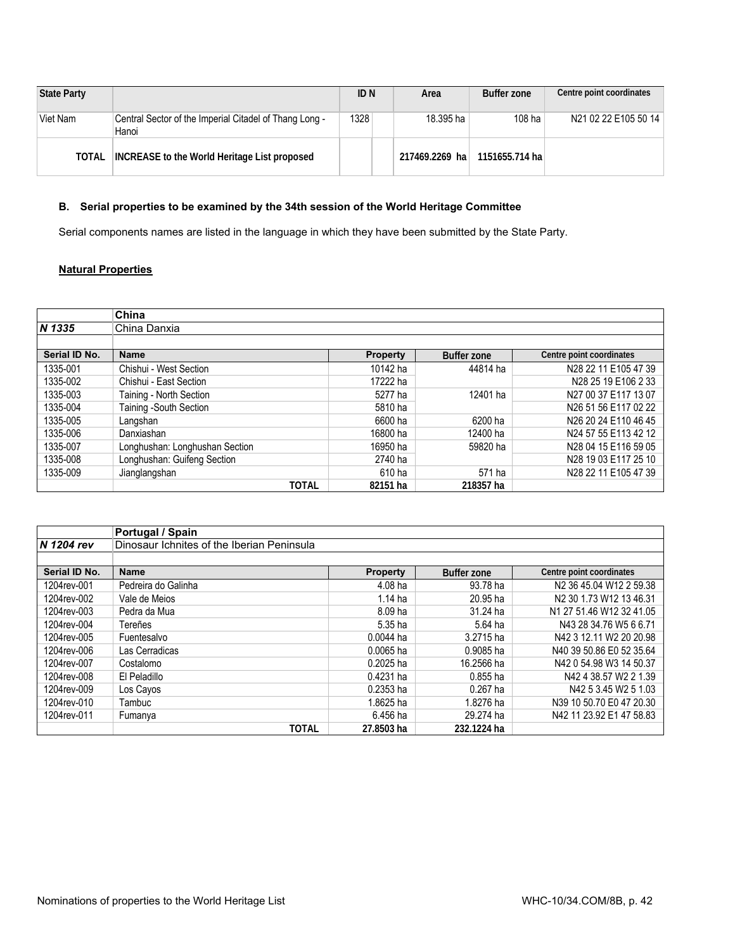| State Party |                                                                 | ID N | Area            | <b>Buffer zone</b> | Centre point coordinates |
|-------------|-----------------------------------------------------------------|------|-----------------|--------------------|--------------------------|
| Viet Nam    | Central Sector of the Imperial Citadel of Thang Long -<br>Hanoi | 1328 | 18.395 ha       | $108$ ha           | N21 02 22 E105 50 14     |
| TOTAL       | <b>INCREASE to the World Heritage List proposed</b>             |      | 217469.2269 hal | 1151655.714 hal    |                          |

# **B. Serial properties to be examined by the 34th session of the World Heritage Committee**

Serial components names are listed in the language in which they have been submitted by the State Party.

# **Natural Properties**

|               | China                          |                 |                    |                          |
|---------------|--------------------------------|-----------------|--------------------|--------------------------|
| N 1335        | China Danxia                   |                 |                    |                          |
|               |                                |                 |                    |                          |
| Serial ID No. | <b>Name</b>                    | <b>Property</b> | <b>Buffer zone</b> | Centre point coordinates |
| 1335-001      | Chishui - West Section         | 10142 ha        | 44814 ha           | N28 22 11 E105 47 39     |
| 1335-002      | Chishui - East Section         | 17222 ha        |                    | N28 25 19 E106 2 33      |
| 1335-003      | Taining - North Section        | 5277 ha         | 12401 ha           | N27 00 37 E117 13 07     |
| 1335-004      | Taining -South Section         | 5810 ha         |                    | N26 51 56 E117 02 22     |
| 1335-005      | Langshan                       | 6600 ha         | 6200 ha            | N26 20 24 E110 46 45     |
| 1335-006      | Danxiashan                     | 16800 ha        | 12400 ha           | N24 57 55 E113 42 12     |
| 1335-007      | Longhushan: Longhushan Section | 16950 ha        | 59820 ha           | N28 04 15 E116 59 05     |
| 1335-008      | Longhushan: Guifeng Section    | 2740 ha         |                    | N28 19 03 E117 25 10     |
| 1335-009      | Jianglangshan                  | 610 ha          | 571 ha             | N28 22 11 E105 47 39     |
|               | <b>TOTAL</b>                   | 82151 ha        | 218357 ha          |                          |

|               | Portugal / Spain                           |                 |                    |                                                 |  |  |  |  |  |
|---------------|--------------------------------------------|-----------------|--------------------|-------------------------------------------------|--|--|--|--|--|
| N 1204 rev    | Dinosaur Ichnites of the Iberian Peninsula |                 |                    |                                                 |  |  |  |  |  |
|               |                                            |                 |                    |                                                 |  |  |  |  |  |
| Serial ID No. | <b>Name</b>                                | <b>Property</b> | <b>Buffer zone</b> | Centre point coordinates                        |  |  |  |  |  |
| 1204rev-001   | Pedreira do Galinha                        | 4.08 ha         | 93.78 ha           | N <sub>2</sub> 36 45.04 W <sub>12</sub> 2 59.38 |  |  |  |  |  |
| 1204rev-002   | Vale de Meios                              | $1.14$ ha       | 20.95 ha           | N2 30 1.73 W12 13 46.31                         |  |  |  |  |  |
| 1204rev-003   | Pedra da Mua                               | 8.09 ha         | 31.24 ha           | N1 27 51.46 W12 32 41.05                        |  |  |  |  |  |
| 1204rev-004   | Tereñes                                    | 5.35 ha         | 5.64 ha            | N43 28 34.76 W5 6 6.71                          |  |  |  |  |  |
| 1204rev-005   | Fuentesalvo                                | $0.0044$ ha     | 3.2715 ha          | N42 3 12.11 W2 20 20.98                         |  |  |  |  |  |
| 1204rev-006   | Las Cerradicas                             | 0.0065 ha       | 0.9085 ha          | N40 39 50.86 E0 52 35.64                        |  |  |  |  |  |
| 1204rev-007   | Costalomo                                  | 0.2025 ha       | 16.2566 ha         | N42 0 54.98 W3 14 50.37                         |  |  |  |  |  |
| 1204rev-008   | El Peladillo                               | 0.4231 ha       | $0.855$ ha         | N42 4 38.57 W2 2 1.39                           |  |  |  |  |  |
| 1204rev-009   | Los Cayos                                  | $0.2353$ ha     | $0.267$ ha         | N42 5 3.45 W2 5 1.03                            |  |  |  |  |  |
| 1204rev-010   | Tambuc                                     | 1.8625 ha       | 1.8276 ha          | N39 10 50.70 E0 47 20.30                        |  |  |  |  |  |
| 1204rev-011   | Fumanya                                    | 6.456 ha        | 29.274 ha          | N42 11 23.92 E1 47 58.83                        |  |  |  |  |  |
|               | <b>TOTAL</b>                               | 27.8503 ha      | 232.1224 ha        |                                                 |  |  |  |  |  |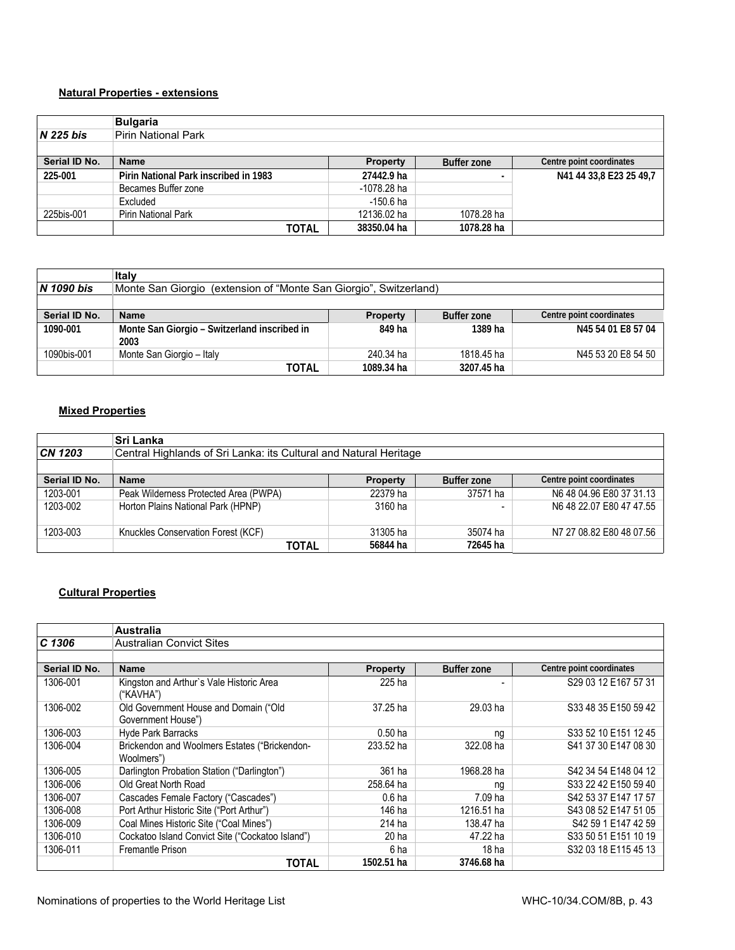# **Natural Properties - extensions**

|               | <b>Bulgaria</b>                       |                 |                    |                          |
|---------------|---------------------------------------|-----------------|--------------------|--------------------------|
| $N$ 225 bis   | Pirin National Park                   |                 |                    |                          |
|               |                                       |                 |                    |                          |
| Serial ID No. | <b>Name</b>                           | <b>Property</b> | <b>Buffer zone</b> | Centre point coordinates |
| 225-001       | Pirin National Park inscribed in 1983 | 27442.9 ha      |                    | N41 44 33,8 E23 25 49,7  |
|               | Becames Buffer zone                   | -1078.28 ha     |                    |                          |
|               | Excluded                              | -150.6 ha       |                    |                          |
| 225bis-001    | Pirin National Park                   | 12136.02 ha     | 1078.28 ha         |                          |
|               | TOTAL                                 | 38350.04 ha     | 1078.28 ha         |                          |

|                   | Italy                                                                |                 |                    |                          |  |
|-------------------|----------------------------------------------------------------------|-----------------|--------------------|--------------------------|--|
| <b>N</b> 1090 bis | (extension of "Monte San Giorgio", Switzerland)<br>Monte San Giorgio |                 |                    |                          |  |
|                   |                                                                      |                 |                    |                          |  |
| Serial ID No.     | <b>Name</b>                                                          | <b>Property</b> | <b>Buffer zone</b> | Centre point coordinates |  |
| 1090-001          | Monte San Giorgio - Switzerland inscribed in<br>2003                 | 849 ha          | 1389 ha            | N45 54 01 E8 57 04       |  |
| 1090bis-001       | Monte San Giorgio - Italy                                            | 240.34 ha       | 1818.45 ha         | N45 53 20 E8 54 50       |  |
|                   | TOTAL                                                                | 1089.34 ha      | 3207.45 ha         |                          |  |

# **Mixed Properties**

|               | <b>Sri Lanka</b>                                                  |          |                    |                          |  |
|---------------|-------------------------------------------------------------------|----------|--------------------|--------------------------|--|
| CN 1203       | Central Highlands of Sri Lanka: its Cultural and Natural Heritage |          |                    |                          |  |
|               |                                                                   |          |                    |                          |  |
| Serial ID No. | <b>Name</b>                                                       | Property | <b>Buffer zone</b> | Centre point coordinates |  |
| 1203-001      | Peak Wilderness Protected Area (PWPA)                             | 22379 ha | 37571 ha           | N6 48 04.96 E80 37 31.13 |  |
| 1203-002      | Horton Plains National Park (HPNP)                                | 3160 ha  |                    | N6 48 22.07 E80 47 47.55 |  |
|               |                                                                   |          |                    |                          |  |
| 1203-003      | Knuckles Conservation Forest (KCF)                                | 31305 ha | 35074 ha           | N7 27 08.82 E80 48 07.56 |  |
|               | TOTAL                                                             | 56844 ha | 72645 ha           |                          |  |

# **Cultural Properties**

|               | <b>Australia</b>                                            |                   |                    |                          |
|---------------|-------------------------------------------------------------|-------------------|--------------------|--------------------------|
| C 1306        | <b>Australian Convict Sites</b>                             |                   |                    |                          |
|               |                                                             |                   |                    |                          |
| Serial ID No. | <b>Name</b>                                                 | <b>Property</b>   | <b>Buffer zone</b> | Centre point coordinates |
| 1306-001      | Kingston and Arthur's Vale Historic Area<br>("KAVHA")       | 225 ha            |                    | S29 03 12 E167 57 31     |
| 1306-002      | Old Government House and Domain ("Old<br>Government House") | 37.25 ha          | 29.03 ha           | S33 48 35 E150 59 42     |
| 1306-003      | <b>Hyde Park Barracks</b>                                   | $0.50$ ha         | na                 | S33 52 10 E151 12 45     |
| 1306-004      | Brickendon and Woolmers Estates ("Brickendon-<br>Woolmers") | 233.52 ha         | 322.08 ha          | S41 37 30 E147 08 30     |
| 1306-005      | Darlington Probation Station ("Darlington")                 | 361 ha            | 1968.28 ha         | S42 34 54 E148 04 12     |
| 1306-006      | Old Great North Road                                        | 258.64 ha         | nq                 | S33 22 42 E150 59 40     |
| 1306-007      | Cascades Female Factory ("Cascades")                        | 0.6 <sub>ha</sub> | 7.09 ha            | S42 53 37 E147 17 57     |
| 1306-008      | Port Arthur Historic Site ("Port Arthur")                   | 146 ha            | 1216.51 ha         | S43 08 52 E147 51 05     |
| 1306-009      | Coal Mines Historic Site ("Coal Mines")                     | 214 ha            | 138.47 ha          | S42 59 1 E147 42 59      |
| 1306-010      | Cockatoo Island Convict Site ("Cockatoo Island")            | 20 ha             | 47.22 ha           | S33 50 51 E151 10 19     |
| 1306-011      | <b>Fremantle Prison</b>                                     | 6 ha              | 18 <sub>ha</sub>   | S32 03 18 E115 45 13     |
|               | <b>TOTAL</b>                                                | 1502.51 ha        | 3746.68 ha         |                          |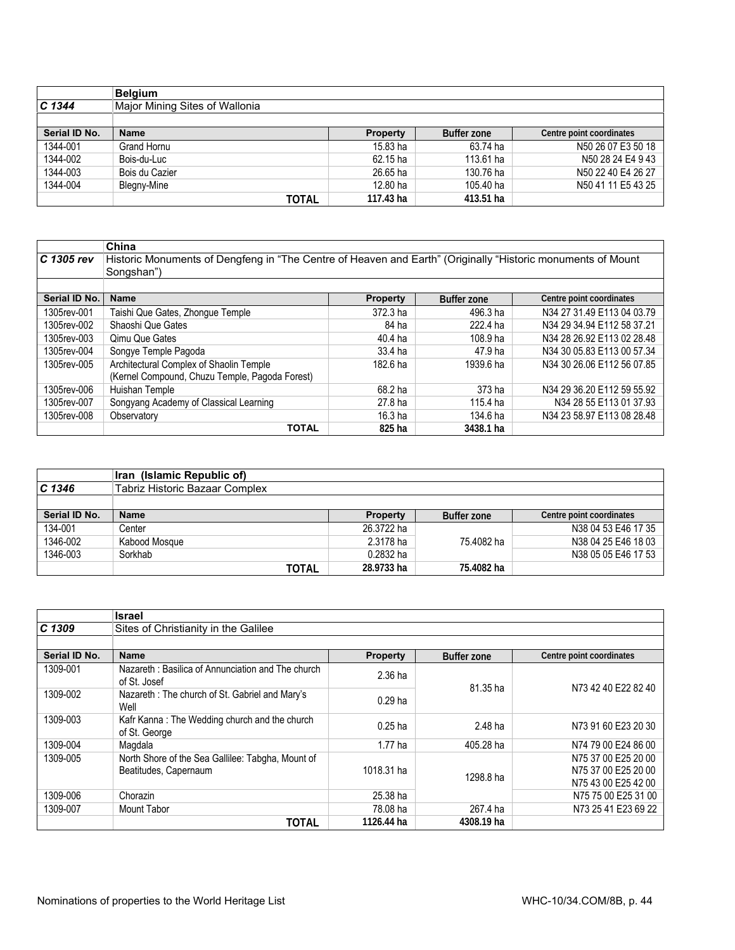|               | <b>Belgium</b>                 |                 |                    |                          |
|---------------|--------------------------------|-----------------|--------------------|--------------------------|
| $C$ 1344      | Major Mining Sites of Wallonia |                 |                    |                          |
|               |                                |                 |                    |                          |
| Serial ID No. | <b>Name</b>                    | <b>Property</b> | <b>Buffer zone</b> | Centre point coordinates |
| 1344-001      | Grand Hornu                    | 15.83 ha        | 63.74 ha           | N50 26 07 E3 50 18       |
| 1344-002      | Bois-du-Luc                    | 62.15 ha        | 113.61 ha          | N50 28 24 E4 9 43        |
| 1344-003      | Bois du Cazier                 | 26.65 ha        | 130.76 ha          | N50 22 40 E4 26 27       |
| 1344-004      | Blegny-Mine                    | 12.80 ha        | 105.40 ha          | N50 41 11 E5 43 25       |
|               | TOTAL                          | 117.43 ha       | 413.51 ha          |                          |

|               | China                                                                                                                     |                 |                    |                            |
|---------------|---------------------------------------------------------------------------------------------------------------------------|-----------------|--------------------|----------------------------|
| C 1305 rev    | Historic Monuments of Dengfeng in "The Centre of Heaven and Earth" (Originally "Historic monuments of Mount<br>Songshan") |                 |                    |                            |
|               |                                                                                                                           |                 |                    |                            |
| Serial ID No. | <b>Name</b>                                                                                                               | <b>Property</b> | <b>Buffer zone</b> | Centre point coordinates   |
| 1305rev-001   | Taishi Que Gates, Zhongue Temple                                                                                          | 372.3 ha        | 496.3 ha           | N34 27 31.49 E113 04 03.79 |
| 1305rev-002   | Shaoshi Que Gates                                                                                                         | 84 ha           | 222.4 ha           | N34 29 34.94 E112 58 37.21 |
| 1305rev-003   | <b>Qimu Que Gates</b>                                                                                                     | $40.4$ ha       | 108.9 ha           | N34 28 26.92 E113 02 28.48 |
| 1305rev-004   | Songye Temple Pagoda                                                                                                      | 33.4 ha         | 47.9 ha            | N34 30 05.83 E113 00 57.34 |
| 1305rev-005   | Architectural Complex of Shaolin Temple                                                                                   | 182.6 ha        | 1939.6 ha          | N34 30 26.06 E112 56 07.85 |
|               | (Kernel Compound, Chuzu Temple, Pagoda Forest)                                                                            |                 |                    |                            |
| 1305rev-006   | Huishan Temple                                                                                                            | 68.2 ha         | 373 ha             | N34 29 36.20 E112 59 55.92 |
| 1305rev-007   | Songyang Academy of Classical Learning                                                                                    | 27.8 ha         | 115.4 ha           | N34 28 55 E113 01 37.93    |
| 1305rev-008   | Observatory                                                                                                               | 16.3 ha         | 134.6 ha           | N34 23 58.97 E113 08 28.48 |
|               | <b>TOTAL</b>                                                                                                              | 825 ha          | 3438.1 ha          |                            |

|               | Iran (Islamic Republic of)     |                 |                    |                          |
|---------------|--------------------------------|-----------------|--------------------|--------------------------|
| $C$ 1346      | Tabriz Historic Bazaar Complex |                 |                    |                          |
|               |                                |                 |                    |                          |
| Serial ID No. | <b>Name</b>                    | <b>Property</b> | <b>Buffer zone</b> | Centre point coordinates |
| 134-001       | Center                         | 26.3722 ha      |                    | N38 04 53 E46 17 35      |
| 1346-002      | Kabood Mosque                  | 2.3178 ha       | 75.4082 ha         | N38 04 25 E46 18 03      |
| 1346-003      | Sorkhab                        | $0.2832$ ha     |                    | N38 05 05 E46 17 53      |
|               | TOTAL                          | 28.9733 ha      | 75.4082 ha         |                          |

|               | <b>Israel</b>                                                              |                 |                    |                                                                   |  |  |
|---------------|----------------------------------------------------------------------------|-----------------|--------------------|-------------------------------------------------------------------|--|--|
| C 1309        | Sites of Christianity in the Galilee                                       |                 |                    |                                                                   |  |  |
|               |                                                                            |                 |                    |                                                                   |  |  |
| Serial ID No. | <b>Name</b>                                                                | <b>Property</b> | <b>Buffer zone</b> | Centre point coordinates                                          |  |  |
| 1309-001      | Nazareth: Basilica of Annunciation and The church<br>of St. Josef          | 2.36 ha         | 81.35 ha           |                                                                   |  |  |
| 1309-002      | Nazareth: The church of St. Gabriel and Mary's<br>Well                     | $0.29$ ha       |                    | N73 42 40 E22 82 40                                               |  |  |
| 1309-003      | Kafr Kanna: The Wedding church and the church<br>of St. George             | $0.25$ ha       | 2.48 ha            | N73 91 60 E23 20 30                                               |  |  |
| 1309-004      | Magdala                                                                    | $1.77$ ha       | 405.28 ha          | N74 79 00 E24 86 00                                               |  |  |
| 1309-005      | North Shore of the Sea Gallilee: Tabgha, Mount of<br>Beatitudes, Capernaum | 1018.31 ha      | 1298.8 ha          | N75 37 00 E25 20 00<br>N75 37 00 E25 20 00<br>N75 43 00 E25 42 00 |  |  |
| 1309-006      | Chorazin                                                                   | 25.38 ha        |                    | N75 75 00 E25 31 00                                               |  |  |
| 1309-007      | <b>Mount Tabor</b>                                                         | 78.08 ha        | 267.4 ha           | N73 25 41 E23 69 22                                               |  |  |
|               | <b>TOTAL</b>                                                               | 1126.44 ha      | 4308.19 ha         |                                                                   |  |  |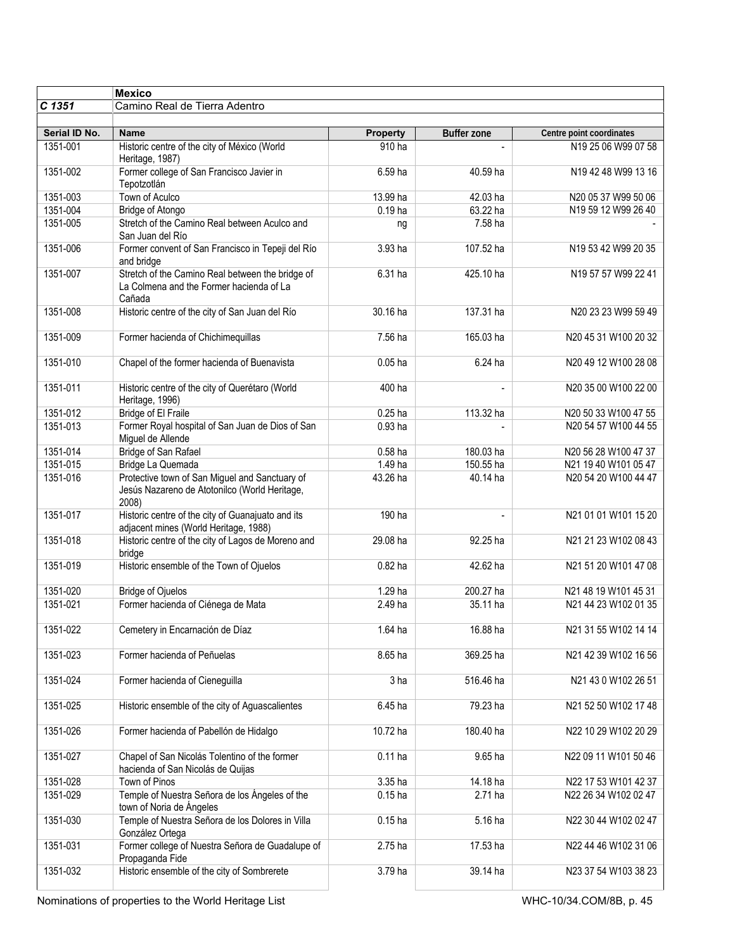| <b>Mexico</b> |                                                                                                          |                    |                    |                          |
|---------------|----------------------------------------------------------------------------------------------------------|--------------------|--------------------|--------------------------|
| $C$ 1351      | Camino Real de Tierra Adentro                                                                            |                    |                    |                          |
|               |                                                                                                          |                    |                    |                          |
| Serial ID No. | <b>Name</b>                                                                                              | <b>Property</b>    | <b>Buffer zone</b> | Centre point coordinates |
| 1351-001      | Historic centre of the city of México (World<br>Heritage, 1987)                                          | 910 ha             |                    | N19 25 06 W99 07 58      |
| 1351-002      | Former college of San Francisco Javier in<br>Tepotzotlán                                                 | 6.59 ha            | 40.59 ha           | N19 42 48 W99 13 16      |
| 1351-003      | Town of Aculco                                                                                           | 13.99 ha           | 42.03 ha           | N20 05 37 W99 50 06      |
| 1351-004      | <b>Bridge of Atongo</b>                                                                                  | $0.19$ ha          | 63.22 ha           | N19 59 12 W99 26 40      |
| 1351-005      | Stretch of the Camino Real between Aculco and<br>San Juan del Río                                        | ng                 | 7.58 ha            |                          |
| 1351-006      | Former convent of San Francisco in Tepeji del Río<br>and bridge                                          | 3.93 ha            | 107.52 ha          | N19 53 42 W99 20 35      |
| 1351-007      | Stretch of the Camino Real between the bridge of<br>La Colmena and the Former hacienda of La<br>Cañada   | 6.31 ha            | 425.10 ha          | N19 57 57 W99 22 41      |
| 1351-008      | Historic centre of the city of San Juan del Río                                                          | 30.16 ha           | 137.31 ha          | N20 23 23 W99 59 49      |
| 1351-009      | Former hacienda of Chichimequillas                                                                       | 7.56 ha            | 165.03 ha          | N20 45 31 W100 20 32     |
| 1351-010      | Chapel of the former hacienda of Buenavista                                                              | $0.05$ ha          | 6.24 ha            | N20 49 12 W100 28 08     |
| 1351-011      | Historic centre of the city of Querétaro (World<br>Heritage, 1996)                                       | 400 ha             |                    | N20 35 00 W100 22 00     |
| 1351-012      | <b>Bridge of El Fraile</b>                                                                               | $0.25$ ha          | 113.32 ha          | N20 50 33 W100 47 55     |
| 1351-013      | Former Royal hospital of San Juan de Dios of San<br>Miguel de Allende                                    | 0.93 <sub>ha</sub> |                    | N20 54 57 W100 44 55     |
| 1351-014      | Bridge of San Rafael                                                                                     | $0.58$ ha          | 180.03 ha          | N20 56 28 W100 47 37     |
| 1351-015      | Bridge La Quemada                                                                                        | 1.49 ha            | 150.55 ha          | N21 19 40 W101 05 47     |
| 1351-016      | Protective town of San Miguel and Sanctuary of<br>Jesús Nazareno de Atotonilco (World Heritage,<br>2008) | 43.26 ha           | 40.14 ha           | N20 54 20 W100 44 47     |
| 1351-017      | Historic centre of the city of Guanajuato and its<br>adjacent mines (World Heritage, 1988)               | 190 ha             |                    | N21 01 01 W101 15 20     |
| 1351-018      | Historic centre of the city of Lagos de Moreno and<br>bridge                                             | 29.08 ha           | 92.25 ha           | N21 21 23 W102 08 43     |
| 1351-019      | Historic ensemble of the Town of Ojuelos                                                                 | $0.82$ ha          | 42.62 ha           | N21 51 20 W101 47 08     |
| 1351-020      | <b>Bridge of Ojuelos</b>                                                                                 | 1.29 ha            | 200.27 ha          | N21 48 19 W101 45 31     |
| 1351-021      | Former hacienda of Ciénega de Mata                                                                       | 2.49 ha            | 35.11 ha           | N21 44 23 W102 01 35     |
| 1351-022      | Cemetery in Encarnación de Díaz                                                                          | 1.64 ha            | 16.88 ha           | N21 31 55 W102 14 14     |
| 1351-023      | Former hacienda of Peñuelas                                                                              | 8.65 ha            | 369.25 ha          | N21 42 39 W102 16 56     |
| 1351-024      | Former hacienda of Cieneguilla                                                                           | 3 ha               | 516.46 ha          | N21 43 0 W102 26 51      |
| 1351-025      | Historic ensemble of the city of Aguascalientes                                                          | 6.45 ha            | 79.23 ha           | N21 52 50 W102 17 48     |
| 1351-026      | Former hacienda of Pabellón de Hidalgo                                                                   | 10.72 ha           | 180.40 ha          | N22 10 29 W102 20 29     |
| 1351-027      | Chapel of San Nicolás Tolentino of the former<br>hacienda of San Nicolás de Quijas                       | $0.11$ ha          | 9.65 ha            | N22 09 11 W101 50 46     |
| 1351-028      | Town of Pinos                                                                                            | 3.35 ha            | 14.18 ha           | N22 17 53 W101 42 37     |
| 1351-029      | Temple of Nuestra Señora de los Ángeles of the<br>town of Noria de Ángeles                               | $0.15$ ha          | 2.71 ha            | N22 26 34 W102 02 47     |
| 1351-030      | Temple of Nuestra Señora de los Dolores in Villa<br>González Ortega                                      | $0.15$ ha          | $5.16$ ha          | N22 30 44 W102 02 47     |
| 1351-031      | Former college of Nuestra Señora de Guadalupe of<br>Propaganda Fide                                      | 2.75 ha            | 17.53 ha           | N22 44 46 W102 31 06     |
| 1351-032      | Historic ensemble of the city of Sombrerete                                                              | 3.79 ha            | 39.14 ha           | N23 37 54 W103 38 23     |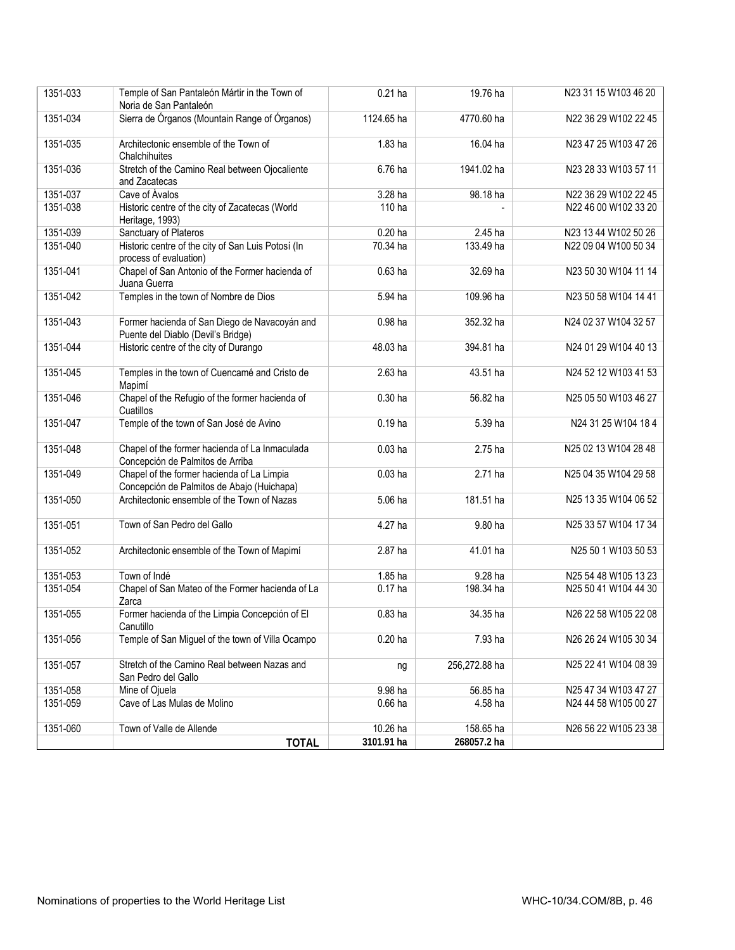| 1351-033 | Temple of San Pantaleón Mártir in the Town of                                            | $0.21$ ha  | 19.76 ha      | N23 31 15 W103 46 20 |
|----------|------------------------------------------------------------------------------------------|------------|---------------|----------------------|
|          | Noria de San Pantaleón                                                                   |            |               |                      |
| 1351-034 | Sierra de Órganos (Mountain Range of Órganos)                                            | 1124.65 ha | 4770.60 ha    | N22 36 29 W102 22 45 |
| 1351-035 | Architectonic ensemble of the Town of<br>Chalchihuites                                   | 1.83 ha    | 16.04 ha      | N23 47 25 W103 47 26 |
| 1351-036 | Stretch of the Camino Real between Ojocaliente<br>and Zacatecas                          | 6.76 ha    | 1941.02 ha    | N23 28 33 W103 57 11 |
| 1351-037 | Cave of Ávalos                                                                           | 3.28 ha    | 98.18 ha      | N22 36 29 W102 22 45 |
| 1351-038 | Historic centre of the city of Zacatecas (World<br>Heritage, 1993)                       | 110 ha     |               | N22 46 00 W102 33 20 |
| 1351-039 | Sanctuary of Plateros                                                                    | $0.20$ ha  | 2.45 ha       | N23 13 44 W102 50 26 |
| 1351-040 | Historic centre of the city of San Luis Potosí (In<br>process of evaluation)             | 70.34 ha   | 133.49 ha     | N22 09 04 W100 50 34 |
| 1351-041 | Chapel of San Antonio of the Former hacienda of<br>Juana Guerra                          | $0.63$ ha  | 32.69 ha      | N23 50 30 W104 11 14 |
| 1351-042 | Temples in the town of Nombre de Dios                                                    | 5.94 ha    | 109.96 ha     | N23 50 58 W104 14 41 |
| 1351-043 | Former hacienda of San Diego de Navacoyán and<br>Puente del Diablo (Devil's Bridge)      | 0.98 ha    | 352.32 ha     | N24 02 37 W104 32 57 |
| 1351-044 | Historic centre of the city of Durango                                                   | 48.03 ha   | 394.81 ha     | N24 01 29 W104 40 13 |
| 1351-045 | Temples in the town of Cuencamé and Cristo de<br>Mapimí                                  | 2.63 ha    | 43.51 ha      | N24 52 12 W103 41 53 |
| 1351-046 | Chapel of the Refugio of the former hacienda of<br>Cuatillos                             | $0.30$ ha  | 56.82 ha      | N25 05 50 W103 46 27 |
| 1351-047 | Temple of the town of San José de Avino                                                  | $0.19$ ha  | 5.39 ha       | N24 31 25 W104 18 4  |
| 1351-048 | Chapel of the former hacienda of La Inmaculada<br>Concepción de Palmitos de Arriba       | $0.03$ ha  | 2.75 ha       | N25 02 13 W104 28 48 |
| 1351-049 | Chapel of the former hacienda of La Limpia<br>Concepción de Palmitos de Abajo (Huichapa) | $0.03$ ha  | 2.71 ha       | N25 04 35 W104 29 58 |
| 1351-050 | Architectonic ensemble of the Town of Nazas                                              | 5.06 ha    | 181.51 ha     | N25 13 35 W104 06 52 |
| 1351-051 | Town of San Pedro del Gallo                                                              | 4.27 ha    | 9.80 ha       | N25 33 57 W104 17 34 |
| 1351-052 | Architectonic ensemble of the Town of Mapimí                                             | 2.87 ha    | 41.01 ha      | N25 50 1 W103 50 53  |
| 1351-053 | Town of Indé                                                                             | 1.85 ha    | 9.28 ha       | N25 54 48 W105 13 23 |
| 1351-054 | Chapel of San Mateo of the Former hacienda of La<br>Zarca                                | $0.17$ ha  | 198.34 ha     | N25 50 41 W104 44 30 |
| 1351-055 | Former hacienda of the Limpia Concepción of El<br>Canutillo                              | $0.83$ ha  | 34.35 ha      | N26 22 58 W105 22 08 |
| 1351-056 | Temple of San Miguel of the town of Villa Ocampo                                         | $0.20$ ha  | 7.93 ha       | N26 26 24 W105 30 34 |
| 1351-057 | Stretch of the Camino Real between Nazas and<br>San Pedro del Gallo                      | ng         | 256,272.88 ha | N25 22 41 W104 08 39 |
| 1351-058 | Mine of Ojuela                                                                           | 9.98 ha    | 56.85 ha      | N25 47 34 W103 47 27 |
| 1351-059 | Cave of Las Mulas de Molino                                                              | $0.66$ ha  | 4.58 ha       | N24 44 58 W105 00 27 |
| 1351-060 | Town of Valle de Allende                                                                 | 10.26 ha   | 158.65 ha     | N26 56 22 W105 23 38 |
|          | <b>TOTAL</b>                                                                             | 3101.91 ha | 268057.2 ha   |                      |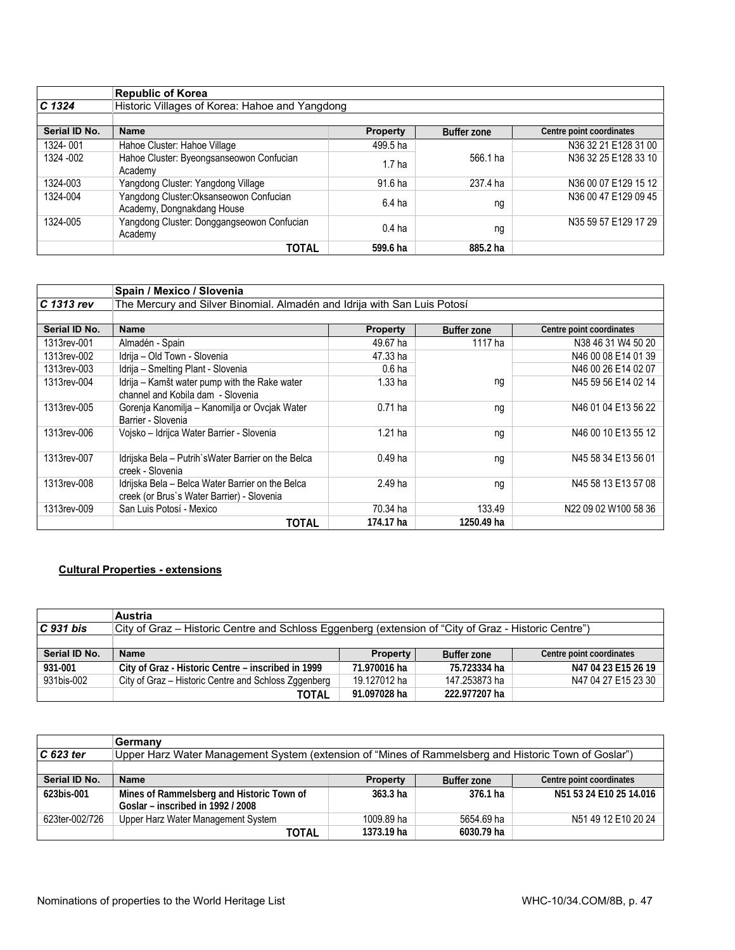|               | <b>Republic of Korea</b>                                              |                   |                    |                          |
|---------------|-----------------------------------------------------------------------|-------------------|--------------------|--------------------------|
| $C$ 1324      | Historic Villages of Korea: Hahoe and Yangdong                        |                   |                    |                          |
|               |                                                                       |                   |                    |                          |
| Serial ID No. | <b>Name</b>                                                           | <b>Property</b>   | <b>Buffer zone</b> | Centre point coordinates |
| 1324-001      | Hahoe Cluster: Hahoe Village                                          | 499.5 ha          |                    | N36 32 21 E128 31 00     |
| 1324 - 002    | Hahoe Cluster: Byeongsanseowon Confucian<br>Academy                   | 1.7 <sub>ha</sub> | 566.1 ha           | N36 32 25 E128 33 10     |
| 1324-003      | Yangdong Cluster: Yangdong Village                                    | 91.6 ha           | 237.4 ha           | N36 00 07 E129 15 12     |
| 1324-004      | Yangdong Cluster: Oksanseowon Confucian<br>Academy, Dongnakdang House | $6.4$ ha          | ng                 | N36 00 47 E129 09 45     |
| 1324-005      | Yangdong Cluster: Donggangseowon Confucian<br>Academy                 | $0.4$ ha          | ng                 | N35 59 57 E129 17 29     |
|               | TOTAL                                                                 | 599.6 ha          | 885.2 ha           |                          |

|               | Spain / Mexico / Slovenia                                                                      |                   |                    |                          |  |
|---------------|------------------------------------------------------------------------------------------------|-------------------|--------------------|--------------------------|--|
| C 1313 rev    | The Mercury and Silver Binomial. Almadén and Idrija with San Luis Potosí                       |                   |                    |                          |  |
|               |                                                                                                |                   |                    |                          |  |
| Serial ID No. | <b>Name</b>                                                                                    | <b>Property</b>   | <b>Buffer zone</b> | Centre point coordinates |  |
| 1313rev-001   | Almadén - Spain                                                                                | 49.67 ha          | 1117 ha            | N38 46 31 W4 50 20       |  |
| 1313rev-002   | Idrija - Old Town - Slovenia                                                                   | 47.33 ha          |                    | N46 00 08 E14 01 39      |  |
| 1313rev-003   | Idrija - Smelting Plant - Slovenia                                                             | 0.6 <sub>ha</sub> |                    | N46 00 26 E14 02 07      |  |
| 1313rev-004   | Idrija - Kamšt water pump with the Rake water<br>channel and Kobila dam - Slovenia             | 1.33 ha           | ng                 | N45 59 56 E14 02 14      |  |
| 1313rev-005   | Gorenja Kanomilja - Kanomilja or Ovcjak Water<br>Barrier - Slovenia                            | $0.71$ ha         | ng                 | N46 01 04 E13 56 22      |  |
| 1313rev-006   | Vojsko - Idrijca Water Barrier - Slovenia                                                      | 1.21 ha           | ng                 | N46 00 10 E13 55 12      |  |
| 1313rev-007   | Idrijska Bela - Putrih`sWater Barrier on the Belca<br>creek - Slovenia                         | $0.49$ ha         | ng                 | N45 58 34 E13 56 01      |  |
| 1313rev-008   | Idrijska Bela - Belca Water Barrier on the Belca<br>creek (or Brus's Water Barrier) - Slovenia | 2.49 ha           | ng                 | N45 58 13 E13 57 08      |  |
| 1313rev-009   | San Luis Potosí - Mexico                                                                       | 70.34 ha          | 133.49             | N22 09 02 W100 58 36     |  |
|               | TOTAL                                                                                          | 174.17 ha         | 1250.49 ha         |                          |  |

# **Cultural Properties - extensions**

|               | <b>Austria</b>                                                                                       |                 |               |                          |
|---------------|------------------------------------------------------------------------------------------------------|-----------------|---------------|--------------------------|
| $C$ 931 bis   | City of Graz - Historic Centre and Schloss Eggenberg (extension of "City of Graz - Historic Centre") |                 |               |                          |
|               |                                                                                                      |                 |               |                          |
| Serial ID No. | <b>Name</b>                                                                                          | <b>Property</b> | Buffer zone   | Centre point coordinates |
| 931-001       | City of Graz - Historic Centre – inscribed in 1999                                                   | 71.970016 ha    | 75.723334 ha  | N47 04 23 E15 26 19      |
| 931bis-002    | City of Graz – Historic Centre and Schloss Zggenberg                                                 | 19.127012 ha    | 147.253873 ha | N47 04 27 E15 23 30      |
|               | TOTAL                                                                                                | 91.097028 ha    | 222.977207 ha |                          |

|                | Germany                                                                                              |                     |             |                          |
|----------------|------------------------------------------------------------------------------------------------------|---------------------|-------------|--------------------------|
| $C$ 623 ter    | Upper Harz Water Management System (extension of "Mines of Rammelsberg and Historic Town of Goslar") |                     |             |                          |
|                |                                                                                                      |                     |             |                          |
| Serial ID No.  | <b>Name</b>                                                                                          | <b>Property</b>     | Buffer zone | Centre point coordinates |
| 623bis-001     | Mines of Rammelsberg and Historic Town of                                                            | 363.3 <sub>ha</sub> | 376.1 ha    | N51 53 24 E10 25 14.016  |
|                | Goslar – inscribed in 1992 / 2008                                                                    |                     |             |                          |
| 623ter-002/726 | Upper Harz Water Management System                                                                   | 1009.89 ha          | 5654.69 ha  | N51 49 12 E10 20 24      |
|                | TOTAL                                                                                                | 1373.19 ha          | 6030.79 ha  |                          |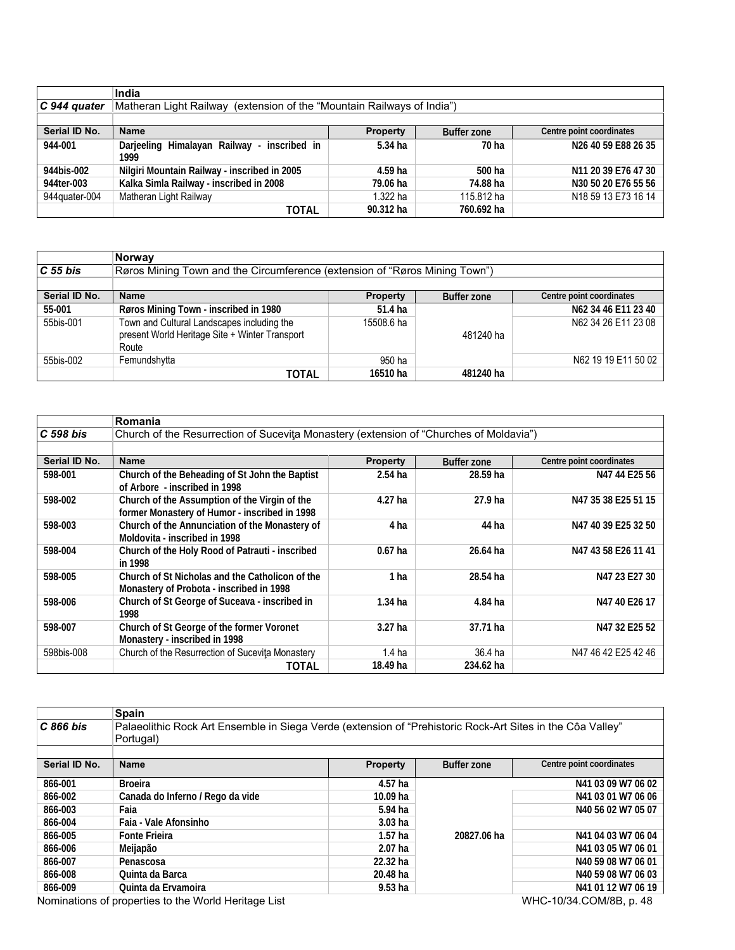|               | India                                                                     |            |            |                                             |  |  |  |
|---------------|---------------------------------------------------------------------------|------------|------------|---------------------------------------------|--|--|--|
| C 944 quater  | Matheran Light Railway (extension of the "Mountain Railways of India")    |            |            |                                             |  |  |  |
|               |                                                                           |            |            |                                             |  |  |  |
| Serial ID No. | <b>Name</b><br>Centre point coordinates<br>Buffer zone<br><b>Property</b> |            |            |                                             |  |  |  |
| 944-001       | Darjeeling Himalayan Railway -<br>inscribed in<br>1999                    | $5.34$ ha  | 70 ha      | N26 40 59 E88 26 35                         |  |  |  |
| 944bis-002    | Nilgiri Mountain Railway - inscribed in 2005                              | 4.59 ha    | 500 ha     | N <sub>11</sub> 20 39 E <sub>76</sub> 47 30 |  |  |  |
| 944ter-003    | Kalka Simla Railway - inscribed in 2008                                   | 79.06 ha   | 74.88 ha   | N30 50 20 E76 55 56                         |  |  |  |
| 944quater-004 | Matheran Light Railway                                                    | $1.322$ ha | 115.812 ha | N18 59 13 E73 16 14                         |  |  |  |
|               | TOTAL                                                                     | 90.312 ha  | 760.692 ha |                                             |  |  |  |

|               | Norway                                                                     |                 |                    |                          |
|---------------|----------------------------------------------------------------------------|-----------------|--------------------|--------------------------|
| $C55$ bis     | Røros Mining Town and the Circumference (extension of "Røros Mining Town") |                 |                    |                          |
|               |                                                                            |                 |                    |                          |
| Serial ID No. | <b>Name</b>                                                                | <b>Property</b> | <b>Buffer zone</b> | Centre point coordinates |
| 55-001        | Røros Mining Town - inscribed in 1980                                      | 51.4 ha         |                    | N62 34 46 E11 23 40      |
| 55bis-001     | Town and Cultural Landscapes including the                                 | 15508.6 ha      |                    | N62 34 26 E11 23 08      |
|               | present World Heritage Site + Winter Transport                             |                 | 481240 ha          |                          |
|               | Route                                                                      |                 |                    |                          |
| 55bis-002     | Femundshytta                                                               | 950 ha          |                    | N62 19 19 E11 50 02      |
|               | TOTAL                                                                      | 16510 ha        | 481240 ha          |                          |

|               | Romania                                                                                        |                    |                    |                          |  |
|---------------|------------------------------------------------------------------------------------------------|--------------------|--------------------|--------------------------|--|
| C 598 bis     | Church of the Resurrection of Sucevita Monastery (extension of "Churches of Moldavia")         |                    |                    |                          |  |
|               |                                                                                                |                    |                    |                          |  |
| Serial ID No. | <b>Name</b>                                                                                    | <b>Property</b>    | <b>Buffer zone</b> | Centre point coordinates |  |
| 598-001       | Church of the Beheading of St John the Baptist<br>of Arbore - inscribed in 1998                | $2.54$ ha          | 28.59 ha           | N47 44 E25 56            |  |
| 598-002       | Church of the Assumption of the Virgin of the<br>former Monastery of Humor - inscribed in 1998 | 4.27 ha            | 27.9 ha            | N47 35 38 E25 51 15      |  |
| 598-003       | Church of the Annunciation of the Monastery of<br>Moldovita - inscribed in 1998                | 4 ha               | 44 ha              | N47 40 39 E25 32 50      |  |
| 598-004       | Church of the Holy Rood of Patrauti - inscribed<br>in 1998                                     | $0.67$ ha          | 26.64 ha           | N47 43 58 E26 11 41      |  |
| 598-005       | Church of St Nicholas and the Catholicon of the<br>Monastery of Probota - inscribed in 1998    | 1 ha               | 28.54 ha           | N47 23 E27 30            |  |
| 598-006       | Church of St George of Suceava - inscribed in<br>1998                                          | $1.34$ ha          | 4.84 ha            | N47 40 E26 17            |  |
| 598-007       | Church of St George of the former Voronet<br>Monastery - inscribed in 1998                     | 3.27 <sub>ha</sub> | 37.71 ha           | N47 32 E25 52            |  |
| 598bis-008    | Church of the Resurrection of Sucevita Monastery                                               | 1.4 <sub>ha</sub>  | 36.4 ha            | N47 46 42 E25 42 46      |  |
|               | TOTAL                                                                                          | 18.49 ha           | 234.62 ha          |                          |  |

|               | <b>Spain</b>                                                                                               |                     |                    |                          |
|---------------|------------------------------------------------------------------------------------------------------------|---------------------|--------------------|--------------------------|
| $C866$ bis    | Palaeolithic Rock Art Ensemble in Siega Verde (extension of "Prehistoric Rock-Art Sites in the Côa Valley" |                     |                    |                          |
|               | Portugal)                                                                                                  |                     |                    |                          |
|               |                                                                                                            |                     |                    |                          |
| Serial ID No. | <b>Name</b>                                                                                                | <b>Property</b>     | <b>Buffer zone</b> | Centre point coordinates |
| 866-001       | Broeira                                                                                                    | 4.57 ha             |                    | N41 03 09 W7 06 02       |
| 866-002       | Canada do Inferno / Rego da vide                                                                           | $10.09$ ha          |                    | N41 03 01 W7 06 06       |
| 866-003       | Faia                                                                                                       | $5.94$ ha           |                    | N40 56 02 W7 05 07       |
| 866-004       | Faia - Vale Afonsinho                                                                                      | 3.03 <sub>ha</sub>  |                    |                          |
| 866-005       | <b>Fonte Frieira</b>                                                                                       | 1.57 <sub>ha</sub>  | 20827.06 ha        | N41 04 03 W7 06 04       |
| 866-006       | Meijapão                                                                                                   | $2.07$ ha           |                    | N41 03 05 W7 06 01       |
| 866-007       | Penascosa                                                                                                  | 22.32 <sub>ha</sub> |                    | N40 59 08 W7 06 01       |
| 866-008       | Quinta da Barca                                                                                            | 20.48 ha            |                    | N40 59 08 W7 06 03       |
| 866-009       | Quinta da Ervamoira                                                                                        | 9.53 <sub>ha</sub>  |                    | N41 01 12 W7 06 19       |

Nominations of properties to the World Heritage List WHC-10/34.COM/8B, p. 48